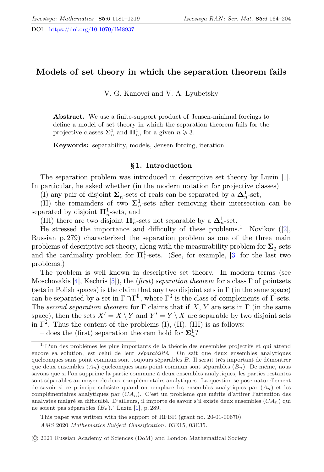DOI: <https://doi.org/10.1070/IM8937>

# Models of set theory in which the separation theorem fails

V. G. Kanovei and V. A. Lyubetsky

Abstract. We use a finite-support product of Jensen-minimal forcings to define a model of set theory in which the separation theorem fails for the projective classes  $\mathbf{\Sigma}_n^1$  and  $\mathbf{\Pi}_n^1$ , for a given  $n \geq 3$ .

Keywords: separability, models, Jensen forcing, iteration.

## § 1. Introduction

The separation problem was introduced in descriptive set theory by Luzin [\[1\]](#page-36-0). In particular, he asked whether (in the modern notation for projective classes)

(I) any pair of disjoint  $\Sigma_n^1$ -sets of reals can be separated by a  $\Delta_n^1$ -set,

(II) the remainders of two  $\Sigma_n^1$ -sets after removing their intersection can be separated by disjoint  $\mathbf{\Pi}_{n}^{1}$ -sets, and

(III) there are two disjoint  $\mathbf{\Pi}_{n}^{1}$ -sets not separable by a  $\mathbf{\Delta}_{n}^{1}$ -set.

He stressed the importance and difficulty of these problems.<sup>[1](#page-0-0)</sup> Novikov  $(2)$ , Russian p. 279) characterized the separation problem as one of the three main problems of descriptive set theory, along with the measurability problem for  $\Sigma^1_2$ -sets and the cardinality problem for  $\Pi_1^1$ -sets. (See, for example, [\[3\]](#page-36-2) for the last two problems.)

The problem is well known in descriptive set theory. In modern terms (see Moschovakis [\[4\]](#page-36-3), Kechris [\[5\]](#page-36-4)), the (first) separation theorem for a class  $\Gamma$  of pointsets (sets in Polish spaces) is the claim that any two disjoint sets in  $\Gamma$  (in the same space) can be separated by a set in  $\Gamma \cap \Gamma^{\complement}$ , where  $\Gamma^{\complement}$  is the class of complements of  $\Gamma$ -sets. The second separation theorem for  $\Gamma$  claims that if X, Y are sets in  $\Gamma$  (in the same space), then the sets  $X' = X \setminus Y$  and  $Y' = Y \setminus X$  are separable by two disjoint sets in  $\Gamma^{\complement}$ . Thus the content of the problems (I), (II), (III) is as follows:

This paper was written with the support of RFBR (grant no. 20-01-00670).

AMS 2020 Mathematics Subject Classification. 03E15, 03E35.

○c 2021 Russian Academy of Sciences (DoM) and London Mathematical Society

<span id="page-0-0"></span><sup>–</sup> does the (first) separation theorem hold for  $\Sigma^1_n$ ?

 $1^{\circ}$ L'un des problémes les plus importants de la théorie des ensembles projectifs et qui attend encore sa solution, est celui de leur séparabilité. On sait que deux ensembles analytiques quelconques sans point commun sont toujours séparables B. Il serait trés important de démontrer que deux ensembles  $(A_n)$  quelconques sans point commun sont séparables  $(B_n)$ . De même, nous savons que si l'on supprime la partie commune à deux ensembles analytiques, les parties restantes sont séparables au moyen de deux complémentairs analytiques. La question se pose naturellement de savoir si ce principe subsiste quand on remplace les ensembles analytiques par  $(A_n)$  et les complémentaires analytiques par  $(CA_n)$ . C'est un probleme que mérite d'attirer l'attention des analystes malgré sa difficulté. D'ailleurs, il importe de savoir s'il existe deux ensembles  $(CA_n)$  qui ne soient pas séparables  $(B_n)$ .' Luzin [\[1\]](#page-36-0), p. 289.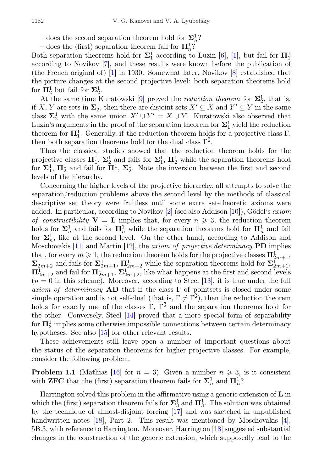– does the second separation theorem hold for  $\Sigma^1_n$ ?

– does the (first) separation theorem fail for  $\mathbf{\Pi}^{1}_n$ ?

Both separation theorems hold for  $\Sigma_1^1$  according to Luzin [\[6\]](#page-36-5), [\[1\]](#page-36-0), but fail for  $\Pi_1^1$ according to Novikov [\[7\]](#page-36-6), and these results were known before the publication of (the French original of) [\[1\]](#page-36-0) in 1930. Somewhat later, Novikov [\[8\]](#page-36-7) established that the picture changes at the second projective level: both separation theorems hold for  $\Pi^1_2$  but fail for  $\Sigma^1_2$ .

At the same time Kuratowski [\[9\]](#page-37-0) proved the *reduction theorem* for  $\Sigma_2^1$ , that is, if X, Y are sets in  $\Sigma_2^1$ , then there are disjoint sets  $X' \subseteq X$  and  $Y' \subseteq Y$  in the same class  $\Sigma_2^1$  with the same union  $X' \cup Y' = X \cup Y$ . Kuratowski also observed that Luzin's arguments in the proof of the separation theorem for  $\Sigma_1^1$  yield the reduction theorem for  $\mathbf{\Pi}^1_1$ . Generally, if the reduction theorem holds for a projective class  $\Gamma$ , then both separation theorems hold for the dual class  $\Gamma^{\complement}$ .

Thus the classical studies showed that the reduction theorem holds for the projective classes  $\mathbf{\Pi}^1_1$ ,  $\mathbf{\Sigma}^1_2$  and fails for  $\mathbf{\Sigma}^1_1$ ,  $\mathbf{\Pi}^1_2$  while the separation theorems hold for  $\Sigma_1^1$ ,  $\Pi_2^1$  and fail for  $\Pi_1^1$ ,  $\Sigma_2^1$ . Note the inversion between the first and second levels of the hierarchy.

Concerning the higher levels of the projective hierarchy, all attempts to solve the separation/reduction problems above the second level by the methods of classical descriptive set theory were fruitless until some extra set-theoretic axioms were added. In particular, according to Novikov  $[2]$  (see also Addison [\[10\]](#page-37-1)), Gödel's *axiom* of constructibility  $V = L$  implies that, for every  $n \geq 3$ , the reduction theorem holds for  $\Sigma_n^1$  and fails for  $\Pi_n^1$  while the separation theorems hold for  $\Pi_n^1$  and fail for  $\Sigma_n^1$ , like at the second level. On the other hand, according to Addison and Moschovakis [\[11\]](#page-37-2) and Martin [\[12\]](#page-37-3), the *axiom of projective determinacy* **PD** implies that, for every  $m \geqslant 1$ , the reduction theorem holds for the projective classes  $\prod_{2m+1}^1$ ,  $\Sigma^1_{2m+2}$  and fails for  $\Sigma^1_{2m+1}$ ,  $\Pi^1_{2m+2}$  while the separation theorems hold for  $\Sigma^1_{2m+1}$ ,  $\Pi_{2m+2}^1$  and fail for  $\Pi_{2m+1}^1$ ,  $\Sigma_{2m+2}^1$ , like what happens at the first and second levels  $(n = 0$  in this scheme). Moreover, according to Steel [\[13\]](#page-37-4), it is true under the full axiom of determinacy  $AD$  that if the class  $\Gamma$  of pointsets is closed under some simple operation and is not self-dual (that is,  $\Gamma \neq \Gamma^{\mathbb{C}}$ ), then the reduction theorem holds for exactly one of the classes  $\Gamma$ ,  $\Gamma^{\complement}$  and the separation theorems hold for the other. Conversely, Steel [\[14\]](#page-37-5) proved that a more special form of separability for  $\mathbf{\Pi}^1_3$  implies some otherwise impossible connections between certain determinacy hypotheses. See also [\[15\]](#page-37-6) for other relevant results.

These achievements still leave open a number of important questions about the status of the separation theorems for higher projective classes. For example, consider the following problem.

<span id="page-1-0"></span>**Problem 1.1** (Mathias [\[16\]](#page-37-7) for  $n = 3$ ). Given a number  $n \ge 3$ , is it consistent with **ZFC** that the (first) separation theorem fails for  $\Sigma_n^1$  and  $\Pi_n^1$ ?

Harrington solved this problem in the affirmative using a generic extension of L in which the (first) separation theorem fails for  $\Sigma_3^1$  and  $\Pi_3^1$ . The solution was obtained by the technique of almost-disjoint forcing [\[17\]](#page-37-8) and was sketched in unpublished handwritten notes [\[18\]](#page-37-9), Part 2. This result was mentioned by Moschovakis [\[4\]](#page-36-3), 5B.3, with reference to Harrington. Moreover, Harrington [\[18\]](#page-37-9) suggested substantial changes in the construction of the generic extension, which supposedly lead to the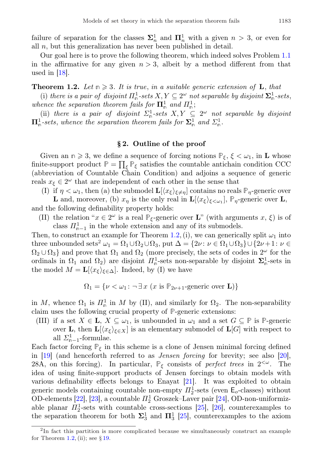Our goal here is to prove the following theorem, which indeed solves Problem [1.1](#page-1-0) in the affirmative for any given  $n > 3$ , albeit by a method different from that used in [\[18\]](#page-37-9).

<span id="page-2-0"></span>**Theorem 1.2.** Let  $n \geq 3$ . It is true, in a suitable generic extension of L, that

(i) there is a pair of disjoint  $\Pi_{\mathfrak{m}}^1$ -sets  $X, Y \subseteq 2^\omega$  not separable by disjoint  $\Sigma_{\mathfrak{m}}^1$ -sets, whence the separation theorem fails for  $\mathbf{\Pi}^1_{\mathbb{m}}$  and  $\Pi^1_{\mathbb{m}}$ ;

(ii) there is a pair of disjoint  $\Sigma_n^1$ -sets  $X, Y \subseteq 2^\omega$  not separable by disjoint  $\Pi_{\mathfrak{m}}^1$ -sets, whence the separation theorem fails for  $\Sigma_{\mathfrak{m}}^1$  and  $\Sigma_{\mathfrak{m}}^1$ .

## § 2. Outline of the proof

Given an  $n \ge 3$ , we define a sequence of forcing notions  $\mathbb{P}_{\xi}$ ,  $\xi < \omega_1$ , in **L** whose finite-support product  $\mathbb{P} = \prod_{\xi} \mathbb{P}_{\xi}$  satisfies the countable antichain condition CCC (abbreviation of Countable Сhain Сondition) and adjoins a sequence of generic reals  $x_{\xi} \in 2^{\omega}$  that are independent of each other in the sense that

(I) if  $\eta < \omega_1$ , then (a) the submodel  $\mathbf{L}[\langle x_{\xi} \rangle_{\xi \neq \eta}]$  contains no reals  $\mathbb{P}_{\eta}$ -generic over

**L** and, moreover, (b)  $x_{\eta}$  is the only real in  $\mathbf{L}[\langle x_{\xi} \rangle_{\xi \langle \omega_1} ]$ ,  $\mathbb{P}_{\eta}$ -generic over **L**, and the following definability property holds:

(II) the relation " $x \in 2^{\omega}$  is a real  $\mathbb{P}_{\xi}$ -generic over **L**" (with arguments  $x, \xi$ ) is of class  $\Pi_{n-1}^1$  in the whole extension and any of its submodels.

Then, to construct an example for Theorem [1.2,](#page-2-0) (i), we can generically split  $\omega_1$  into three unbounded sets<sup>[2](#page-2-1)</sup>  $\omega_1 = \Omega_1 \cup \Omega_2 \cup \Omega_3$ , put  $\Delta = \{2\nu : \nu \in \Omega_1 \cup \Omega_3\} \cup \{2\nu + 1 : \nu \in \Omega_1\}$  $\Omega_2 \cup \Omega_3$ } and prove that  $\Omega_1$  and  $\Omega_2$  (more precisely, the sets of codes in  $2^{\omega}$  for the ordinals in  $\Omega_1$  and  $\Omega_2$ ) are disjoint  $\Pi_{\rm m}^1$ -sets non-separable by disjoint  $\Sigma_{\rm m}^1$ -sets in the model  $M = L[\langle x_{\xi} \rangle_{\xi \in \Delta}]$ . Indeed, by (I) we have

$$
\Omega_1 = \{ \nu < \omega_1 : \neg \exists x \ (x \text{ is } \mathbb{P}_{2\nu+1}\text{-generic over } \mathbf{L}) \}
$$

in M, whence  $\Omega_1$  is  $\mathbb{I}_{\mathbb{R}}^1$  in M by (II), and similarly for  $\Omega_2$ . The non-separability claim uses the following crucial property of **P**-generic extensions:

(III) if a set  $X \in \mathbf{L}$ ,  $X \subseteq \omega_1$ , is unbounded in  $\omega_1$  and a set  $G \subseteq \mathbb{P}$  is  $\mathbb{P}$ -generic over **L**, then  $\mathbf{L}[\langle x_{\xi} \rangle_{\xi \in X}]$  is an elementary submodel of  $\mathbf{L}[G]$  with respect to all  $\Sigma_{n-1}^1$ -formulae.

Each factor forcing  $\mathbb{P}_{\xi}$  in this scheme is a clone of Jensen minimal forcing defined in [\[19\]](#page-37-10) (and henceforth referred to as Jensen forcing for brevity; see also [\[20\]](#page-37-11), 28A, on this forcing). In particular,  $\mathbb{P}_{\xi}$  consists of *perfect trees* in  $2<sup>{\omega}</sup>$ . The idea of using finite-support products of Jensen forcings to obtain models with various definability effects belongs to Enayat [\[21\]](#page-37-12). It was exploited to obtain generic models containing countable non-empty  $\prod_{2}^{1}$ -sets (even  $\mathsf{E}_{o}$ -classes) without OD-elements [\[22\]](#page-37-13), [\[23\]](#page-37-14), a countable  $\Pi_2^1$  Groszek–Laver pair [\[24\]](#page-37-15), OD-non-uniformizable planar  $\Pi_2^1$ -sets with countable cross-sections [\[25\]](#page-37-16), [\[26\]](#page-37-17), counterexamples to the separation theorem for both  $\Sigma_3^1$  and  $\Pi_3^1$  [\[25\]](#page-37-16), counterexamples to the axiom

<span id="page-2-1"></span><sup>2</sup> In fact this partition is more complicated because we simultaneously construct an example for Theorem [1.2,](#page-2-0) (ii); see  $\S 19$ .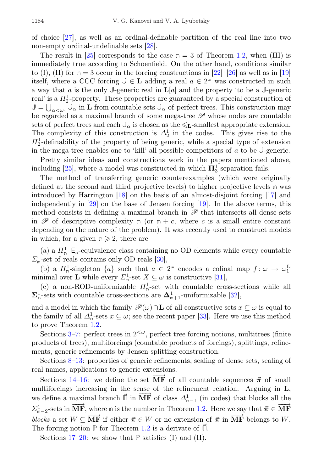of choice [\[27\]](#page-37-18), as well as an ordinal-definable partition of the real line into two non-empty ordinal-undefinable sets [\[28\]](#page-37-19).

The result in [\[25\]](#page-37-16) corresponds to the case  $n = 3$  of Theorem [1.2,](#page-2-0) when (III) is immediately true according to Schoenfield. On the other hand, conditions similar to (I), (II) for  $n = 3$  occur in the forcing constructions in [\[22\]](#page-37-13)–[\[26\]](#page-37-17) as well as in [\[19\]](#page-37-10) itself, where a CCC forcing  $\mathbb{J} \in \mathbf{L}$  adding a real  $a \in 2^{\omega}$  was constructed in such a way that a is the only  $J$ -generic real in  $\mathbf{L}[a]$  and the property 'to be a  $J$ -generic real' is a  $\Pi_2^1$ -property. These properties are guaranteed by a special construction of  $\mathbb{J} = \bigcup_{\alpha < \omega_1} \mathbb{J}_{\alpha}$  in **L** from countable sets  $\mathbb{J}_{\alpha}$  of perfect trees. This construction may be regarded as a maximal branch of some mega-tree  $\mathscr P$  whose nodes are countable sets of perfect trees and each  $\mathbb{J}_{\alpha}$  is chosen as the  $\leq_L$ -smallest appropriate extension. The complexity of this construction is  $\Delta_2^1$  in the codes. This gives rise to the  $\Pi_2^1$ -definability of the property of being generic, while a special type of extension in the mega-tree enables one to 'kill' all possible competitors of a to be **J**-generic.

Pretty similar ideas and constructions work in the papers mentioned above, including [\[25\]](#page-37-16), where a model was constructed in which  $\Pi_3^1$ -separation fails.

The method of transferring generic counterexamples (which were originally defined at the second and third projective levels) to higher projective levels **n** was introduced by Harrington [\[18\]](#page-37-9) on the basis of an almost-disjoint forcing [\[17\]](#page-37-8) and independently in [\[29\]](#page-37-20) on the base of Jensen forcing [\[19\]](#page-37-10). In the above terms, this method consists in defining a maximal branch in  $\mathscr P$  that intersects all dense sets in  $\mathscr P$  of descriptive complexity **n** (or  $n + c$ , where c is a small entire constant depending on the nature of the problem). It was recently used to construct models in which, for a given  $n \geq 2$ , there are

(a) a  $\Pi^1_{\mathfrak{n}}$   $\mathsf{E}_o$ -equivalence class containing no OD elements while every countable  $\Sigma_n^1$ -set of reals contains only OD reals [\[30\]](#page-37-21),

(b) a  $\Pi_{\mathsf{n}}^1$ -singleton  $\{a\}$  such that  $a \in 2^{\omega}$  encodes a cofinal map  $f: \omega \to \omega_1^{\mathbf{L}}$ minimal over **L** while every  $\Sigma_n^1$ -set  $X \subseteq \omega$  is constructive [\[31\]](#page-37-22),

(c) a non-ROD-uniformizable  $\Pi_{\mathfrak{n}}^1$ -set with countable cross-sections while all  $\Sigma_{\mathbb{n}}^1$ -sets with countable cross-sections are  $\Delta_{\mathbb{n}+1}^1$ -uniformizable [\[32\]](#page-38-0),

and a model in which the family  $\mathscr{P}(\omega) \cap L$  of all constructive sets  $x \subseteq \omega$  is equal to the family of all  $\Delta_{\mathfrak{n}}^1$ -sets  $x \subseteq \omega$ ; see the recent paper [\[33\]](#page-38-1). Here we use this method to prove Theorem [1.2.](#page-2-0)

Sections [3](#page-4-0)[–7:](#page-9-0) perfect trees in  $2<sup>{\omega}</sup>$ , perfect tree forcing notions, multitrees (finite products of trees), multiforcings (countable products of forcings), splittings, refinements, generic refinements by Jensen splitting construction.

Sections [8](#page-12-0)[–13:](#page-18-0) properties of generic refinements, sealing of dense sets, sealing of real names, applications to generic extensions.

Sections [14–](#page-18-1)[16:](#page-21-0) we define the set  $\overrightarrow{MF}$  of all countable sequences  $\vec{\pi}$  of small multiforcings increasing in the sense of the refinement relation. Arguing in L, we define a maximal branch  $\vec{\Pi}$  in  $\overrightarrow{MF}$  of class  $\Delta_{n-1}^1$  (in codes) that blocks all the  $\Sigma_{n-2}^1$ -sets in  $\overrightarrow{MF}$ , where  $\overrightarrow{n}$  is the number in Theorem [1.2.](#page-2-0) Here we say that  $\vec{\pi} \in \overrightarrow{MF}$ blocks a set  $W \subseteq \overrightarrow{MF}$  if either  $\vec{\pi} \in W$  or no extension of  $\vec{\pi}$  in  $\overrightarrow{MF}$  belongs to W. The forcing notion **P** for Theorem [1.2](#page-2-0) is a derivate of  $\Pi$ .

Sections [17](#page-23-0)[–20:](#page-26-0) we show that **P** satisfies (I) and (II).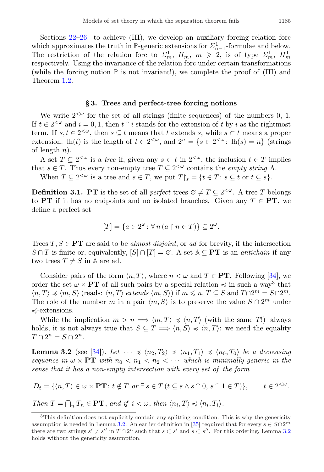Sections [22](#page-28-0)[–26:](#page-34-0) to achieve (III), we develop an auxiliary forcing relation forc which approximates the truth in  $\mathbb{P}$ -generic extensions for  $\sum_{n=1}^{1}$ -formulae and below. The restriction of the relation forc to  $\Sigma_m^1$ ,  $\Pi_m^1$ ,  $m \geq 2$ , is of type  $\Sigma_m^1$ ,  $\Pi_m^1$ respectively. Using the invariance of the relation forc under certain transformations (while the forcing notion **P** is not invariant!), we complete the proof of (III) and Theorem [1.2.](#page-2-0)

### § 3. Trees and perfect-tree forcing notions

<span id="page-4-0"></span>We write  $2<sup>{\omega}</sup>$  for the set of all strings (finite sequences) of the numbers 0, 1. If  $t \in 2^{<\omega}$  and  $i = 0, 1$ , then  $t \uparrow i$  stands for the extension of t by i as the rightmost term. If  $s, t \in 2^{\leq \omega}$ , then  $s \subseteq t$  means that t extends s, while  $s \subset t$  means a proper extension. lh(t) is the length of  $t \in 2^{<\omega}$ , and  $2^n = \{s \in 2^{<\omega} : \text{lh}(s) = n\}$  (strings of length  $n$ ).

A set  $T \subseteq 2^{\langle \omega \rangle}$  is a tree if, given any  $s \subset t$  in  $2^{\langle \omega \rangle}$ , the inclusion  $t \in T$  implies that  $s \in T$ . Thus every non-empty tree  $T \subseteq 2^{<\omega}$  contains the *empty string*  $\Lambda$ .

When  $T \subseteq 2^{<\omega}$  is a tree and  $s \in T$ , we put  $T \upharpoonright_s = \{t \in T : s \subseteq t \text{ or } t \subseteq s\}.$ 

**Definition 3.1. PT** is the set of all *perfect* trees  $\emptyset \neq T \subseteq 2^{&\omega}$ . A tree T belongs to PT if it has no endpoints and no isolated branches. Given any  $T \in PT$ , we define a perfect set

$$
[T] = \{ a \in 2^{\omega} \colon \forall n \left( a \restriction n \in T \right) \} \subseteq 2^{\omega}.
$$

Trees  $T, S \in \mathbf{PT}$  are said to be *almost disjoint*, or ad for brevity, if the intersection S ∩ T is finite or, equivalently,  $[S] \cap [T] = \emptyset$ . A set  $\mathbb{A} \subseteq PT$  is an *antichain* if any two trees  $T \neq S$  in A are ad.

Consider pairs of the form  $\langle n, T \rangle$ , where  $n < \omega$  and  $T \in PT$ . Following [\[34\]](#page-38-2), we order the set  $\omega \times PT$  of all such pairs by a special relation  $\preccurlyeq$  in such a way<sup>[3](#page-4-1)</sup> that  $\langle n, T \rangle \preccurlyeq \langle m, S \rangle$  (reads:  $\langle n, T \rangle$  extends  $\langle m, S \rangle$ ) if  $m \leqslant n, T \subseteq S$  and  $T \cap 2^m = S \cap 2^m$ . The role of the number m in a pair  $\langle m, S \rangle$  is to preserve the value  $S \cap 2^m$  under ≼-extensions.

While the implication  $m > n \Longrightarrow \langle m, T \rangle \preccurlyeq \langle n, T \rangle$  (with the same T!) always holds, it is not always true that  $S \subseteq T \Longrightarrow \langle n, S \rangle \preccurlyeq \langle n, T \rangle$ : we need the equality  $T \cap 2^n = S \cap 2^n$ .

<span id="page-4-2"></span>**Lemma 3.2** (see [\[34\]](#page-38-2)). Let  $\cdots \preccurlyeq \langle n_2, T_2 \rangle \preccurlyeq \langle n_1, T_1 \rangle \preccurlyeq \langle n_0, T_0 \rangle$  be a decreasing sequence in  $\omega \times PT$  with  $n_0 < n_1 < n_2 < \cdots$  which is minimally generic in the sense that it has a non-empty intersection with every set of the form

$$
D_t = \{ \langle n, T \rangle \in \omega \times \mathbf{PT} \colon t \notin T \text{ or } \exists s \in T \ (t \subseteq s \land s \cap 0, s \cap 1 \in T) \}, \qquad t \in 2^{<\omega}.
$$

Then  $T = \bigcap_n T_n \in \mathbf{PT}$ , and if  $i < \omega$ , then  $\langle n_i, T \rangle \preccurlyeq \langle n_i, T_i \rangle$ .

<span id="page-4-3"></span><span id="page-4-1"></span><sup>&</sup>lt;sup>3</sup>This definition does not explicitly contain any splitting condition. This is why the genericity assumption is needed in Lemma [3.2.](#page-4-2) An earlier definition in [\[35\]](#page-38-3) required that for every  $s \in S \cap 2^m$ there are two strings  $s' \neq s''$  in  $T \cap 2^n$  such that  $s \subset s'$  and  $s \subset s''$ . For this ordering, Lemma [3.2](#page-4-2) holds without the genericity assumption.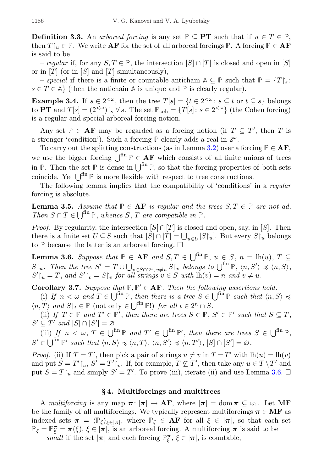**Definition 3.3.** An arboreal forcing is any set **P** ⊂ **PT** such that if  $u \in T \in \mathbb{P}$ . then  $T\upharpoonright_u \in \mathbb{P}$ . We write **AF** for the set of all arboreal forcings  $\mathbb{P}$ . A forcing  $\mathbb{P} \in \mathbf{AF}$ is said to be

– regular if, for any  $S, T \in \mathbb{P}$ , the intersection  $[S] \cap [T]$  is closed and open in [S] or in  $[T]$  (or in  $[S]$  and  $[T]$  simultaneously),

– special if there is a finite or countable antichain  $\mathbb{A} \subseteq \mathbb{P}$  such that  $\mathbb{P} = \{T\}_{s}$ :  $s \in T \in \mathbb{A}$  (then the antichain  $\mathbb{A}$  is unique and  $\mathbb{P}$  is clearly regular).

<span id="page-5-3"></span>**Example 3.4.** If  $s \in 2^{<\omega}$ , then the tree  $T[s] = \{t \in 2^{<\omega} : s \subseteq t \text{ or } t \subseteq s\}$  belongs to **PT** and  $T[s] = (2^{&\omega})\upharpoonright_s \forall s$ . The set  $\mathbb{P}_{coh} = \{T[s]: s \in 2^{&\omega}\}\$  (the Cohen forcing) is a regular and special arboreal forcing notion.

Any set  $\mathbb{P} \in \mathbf{AF}$  may be regarded as a forcing notion (if  $T \subseteq T'$ , then T is a stronger 'condition'). Such a forcing  $\mathbb P$  clearly adds a real in  $2^{\omega}$ .

To carry out the splitting constructions (as in Lemma [3.2\)](#page-4-2) over a forcing  $P \in AF$ , we use the bigger forcing  $\bigcup^{\text{fin}} P \in AF$  which consists of all finite unions of trees in  $\mathbb{P}$ . Then the set  $\mathbb{P}$  is dense in  $\left[\right]^{\text{fin}} \mathbb{P}$ , so that the forcing properties of both sets coincide. Yet  $\vert \ \vert^{\text{fin}} \, \mathbb{P}$  is more flexible with respect to tree constructions.

The following lemma implies that the compatibility of 'conditions' in a regular forcing is absolute.

<span id="page-5-1"></span>**Lemma 3.5.** Assume that  $P \in AF$  is regular and the trees  $S, T \in P$  are not ad. Then  $S \cap T \in \bigcup^{\text{fin}} \mathbb{P}$ , whence  $S, T$  are compatible in  $\mathbb{P}$ .

*Proof.* By regularity, the intersection  $[S] \cap [T]$  is closed and open, say, in [S]. Then there is a finite set  $U \subseteq S$  such that  $[S] \cap [T] = \bigcup_{u \in U} [S \upharpoonright_u]$ . But every  $S \upharpoonright_u$  belongs to  $P$  because the latter is an arboreal forcing.  $\Box$ 

<span id="page-5-0"></span>**Lemma 3.6.** Suppose that  $\mathbb{P} \in \mathbf{AF}$  and  $S, T \in \bigcup^{\text{fin}} \mathbb{P}, u \in S, n = \text{lh}(u), T \subseteq$  $S\vert_u$ . Then the tree  $S' = T \cup \bigcup_{v \in S \cap 2^n, v \neq u} S\vert_v$  belongs to  $\bigcup^{fin} \mathbb{P}, \langle n, S' \rangle \preccurlyeq \langle n, S \rangle$ ,  $S' \upharpoonright_u = T$ , and  $S' \upharpoonright_v = S \upharpoonright_v$  for all strings  $v \in S$  with  $lh(v) = n$  and  $v \neq u$ .

<span id="page-5-2"></span>**Corollary 3.7.** Suppose that  $P, P' \in AF$ . Then the following assertions hold.

(i) If  $n < \omega$  and  $T \in \bigcup^{\text{fin}} \mathbb{P}$ , then there is a tree  $S \in \bigcup^{\text{fin}} \mathbb{P}$  such that  $\langle n, S \rangle \preccurlyeq$  $\langle n, T \rangle$  and  $S \upharpoonright_t \in \mathbb{P}$  (not only  $\in \bigcup^{\text{fin}} \mathbb{P}!$ ) for all  $t \in 2^n \cap S$ .

(ii) If  $T \in \mathbb{P}$  and  $T' \in \mathbb{P}'$ , then there are trees  $S \in \mathbb{P}$ ,  $S' \in \mathbb{P}'$  such that  $S \subseteq T$ ,  $S' \subseteq T'$  and  $[S] \cap [S'] = \varnothing$ .

(iii) If  $n < \omega, T \in \bigcup^{\text{fin}} \mathbb{P}$  and  $T' \in \bigcup^{\text{fin}} \mathbb{P}'$ , then there are trees  $S \in \bigcup^{\text{fin}} \mathbb{P}$ ,  $S' \in \bigcup^{\text{fin}} \mathbb{P}'$  such that  $\langle n, S \rangle \preccurlyeq \langle n, T \rangle$ ,  $\langle n, S' \rangle \preccurlyeq \langle n, T' \rangle$ ,  $[S] \cap [S'] = \varnothing$ .

*Proof.* (ii) If  $T = T'$ , then pick a pair of strings  $u \neq v$  in  $T = T'$  with  $lh(u) = lh(v)$ and put  $S = T'|_u, S' = T'|_v$ . If, for example,  $T \nsubseteq T'$ , then take any  $u \in T \setminus T'$  and put  $S = T\upharpoonright_u$  and simply  $S' = T'$ . To prove (iii), iterate (ii) and use Lemma [3.6.](#page-5-0)  $\Box$ 

#### § 4. Multiforcings and multitrees

<span id="page-5-4"></span>A multiforcing is any map  $\pi: |\pi| \to AF$ , where  $|\pi| = \text{dom } \pi \subseteq \omega_1$ . Let MF be the family of all multiforcings. We typically represent multiforcings  $\pi \in \mathbf{MF}$  as indexed sets  $\pi = \langle \mathbb{P}_{\xi} \rangle_{\xi \in [\pi]},$  where  $\mathbb{P}_{\xi} \in \mathbf{AF}$  for all  $\xi \in [\pi],$  so that each set  $\mathbb{P}_{\xi} = \mathbb{P}_{\xi}^{\pi} = \pi(\xi), \xi \in |\pi|$ , is an arboreal forcing. A multiforcing  $\pi$  is said to be

 $-$  small if the set  $|\pi|$  and each forcing  $\mathbb{P}_{\xi}^{\pi}$ ,  $\xi \in |\pi|$ , is countable,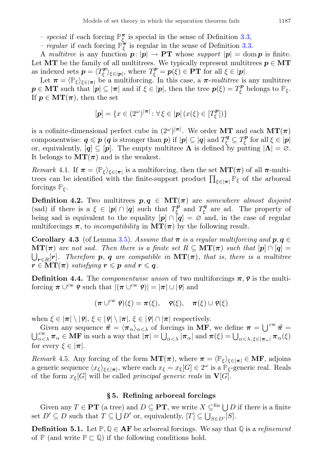- special if each forcing  $\mathbb{P}_{\xi}^{\pi}$  is special in the sense of Definition [3.3,](#page-4-3)
- *regular* if each forcing  $\mathbb{P}_{\xi}^{\pi}$  is regular in the sense of Definition [3.3.](#page-4-3)

A multitree is any function  $p: |p| \to PT$  whose support  $|p| = \text{dom } p$  is finite. Let MT be the family of all multitrees. We typically represent multitrees  $p \in \mathbf{MT}$ as indexed sets  $p = \langle T_{\xi}^{p} \rangle_{\xi \in [p]},$  where  $T_{\xi}^{p} = p(\xi) \in PT$  for all  $\xi \in [p].$ 

Let  $\pi = \langle \mathbb{P}_{\xi} \rangle_{\xi \in [\pi]}$  be a multiforcing. In this case, a  $\pi$ -*multitree* is any multitree  $p \in \mathbf{MT}$  such that  $|p| \subseteq |\pi|$  and if  $\xi \in |p|$ , then the tree  $p(\xi) = T_{\xi}^p$  belongs to  $\mathbb{P}_{\xi}$ . If  $p \in \mathbf{MT}(\pi)$ , then the set

$$
[\mathbf{p}] = \{ x \in (2^{\omega})^{|\pi|} \colon \forall \xi \in |\mathbf{p}| \left( x(\xi) \in [T_{\xi}^{\mathbf{p}}] \right) \}
$$

is a cofinite-dimensional perfect cube in  $(2^{\omega})^{|\pi|}$ . We order MT and each  $MT(\pi)$ componentwise:  $\boldsymbol{q} \leqslant \boldsymbol{p}$  ( $\boldsymbol{q}$  is stronger than  $\boldsymbol{p}$ ) if  $|\boldsymbol{p}| \subseteq |\boldsymbol{q}|$  and  $T_{\xi}^{\boldsymbol{q}} \subseteq T_{\xi}^{\boldsymbol{p}}$  for all  $\xi \in |\boldsymbol{p}|$ or, equivalently,  $[q] \subseteq [p]$ . The empty multitree  $\Lambda$  is defined by putting  $|\Lambda| = \emptyset$ . It belongs to  $MT(\pi)$  and is the weakest.

<span id="page-6-3"></span>Remark 4.1. If  $\pi = \langle \mathbb{P}_{\xi} \rangle_{\xi \in [\pi]}$  is a multiforcing, then the set  $\mathbf{MT}(\pi)$  of all  $\pi$ -multitrees can be identified with the finite-support product  $\prod_{\xi \in |\pi|} \mathbb{P}_{\xi}$  of the arboreal forcings  $\mathbb{P}_{\xi}$ .

<span id="page-6-4"></span>**Definition 4.2.** Two multitrees  $p, q \in MT(\pi)$  are somewhere almost disjoint (sad) if there is a  $\xi \in |p| \cap |q|$  such that  $T_{\xi}^p$  and  $T_{\xi}^q$  are ad. The property of being sad is equivalent to the equality  $[p] \cap [q] = \varnothing$  and, in the case of regular multiforcings  $\pi$ , to *incompatibility* in  $MT(\pi)$  by the following result.

<span id="page-6-2"></span>Corollary 4.3 (of Lemma [3.5\)](#page-5-1). Assume that  $\pi$  is a regular multiforcing and  $p, q \in$  $\mathbf{MT}(\pi)$  are not sad. Then there is a finite set  $R \subseteq \mathbf{MT}(\pi)$  such that  $[p] \cap [q] =$  $\bigcup_{\bm{r}\in R}[\bm{r}]$ . Therefore  $\bm{p},\ \bm{q}$  are compatible in  $\textbf{MT}(\bm{\pi}),$  that is, there is a multitree  $r \in \mathbf{MT}(\boldsymbol{\pi})$  satisfying  $r \leqslant p$  and  $r \leqslant q$ .

**Definition 4.4.** The *componentwise union* of two multiforcings  $\pi$ ,  $\rho$  is the multiforcing  $\pi \cup^{\text{cw}} \rho$  such that  $|(\pi \cup^{\text{cw}} \rho)| = |\pi| \cup |\rho|$  and

$$
(\pi \cup^{\mathrm{cw}} \mathsf{P})(\xi) = \pi(\xi), \quad \mathsf{P}(\xi), \quad \pi(\xi) \cup \mathsf{P}(\xi)
$$

when  $\xi \in |\pi| \setminus |\mathbf{Q}|$ ,  $\xi \in |\mathbf{Q}| \setminus |\pi|$ ,  $\xi \in |\mathbf{Q}| \cap |\pi|$  respectively.

Given any sequence  $\vec{\pi} = \langle \pi_{\alpha} \rangle_{\alpha < \lambda}$  of forcings in MF, we define  $\pi = \bigcup^{\text{cw}} \vec{\pi} =$  $\bigcup_{\alpha<\lambda}^{\text{cw}} \pi_{\alpha} \in \mathbf{MF}$  in such a way that  $|\pi| = \bigcup_{\alpha<\lambda} |\pi_{\alpha}|$  and  $\pi(\xi) = \bigcup_{\alpha<\lambda, \xi \in |\pi_{\alpha}|} \pi_{\alpha}(\xi)$ for every  $\xi \in |\pi|$ .

<span id="page-6-5"></span>*Remark* 4.5. Any forcing of the form  $MT(\pi)$ , where  $\pi = \langle \mathbb{P}_{\xi} \rangle_{\xi \in |\pi|} \in MF$ , adjoins a generic sequence  $\langle x_{\xi} \rangle_{\xi \in [\pi]}$ , where each  $x_{\xi} = x_{\xi}[G] \in 2^{\omega}$  is a  $\mathbb{P}_{\xi}$ -generic real. Reals of the form  $x_{\xi}[G]$  will be called *principal generic reals* in  $\mathbf{V}[G]$ .

### § 5. Refining arboreal forcings

<span id="page-6-1"></span>Given any  $T \in \mathbf{PT}$  (a tree) and  $D \subseteq \mathbf{PT}$ , we write  $X \subseteq^{\text{fin}} \bigcup D$  if there is a finite set  $D' \subseteq D$  such that  $T \subseteq \bigcup D'$  or, equivalently,  $[T] \subseteq \bigcup_{S \in D'} [S]$ .

<span id="page-6-0"></span>**Definition 5.1.** Let  $\mathbb{P}, \mathbb{Q} \in \mathbf{AF}$  be arboreal forcings. We say that  $\mathbb{Q}$  is a refinement of  $\mathbb{P}$  (and write  $\mathbb{P} \subset \mathbb{Q}$ ) if the following conditions hold.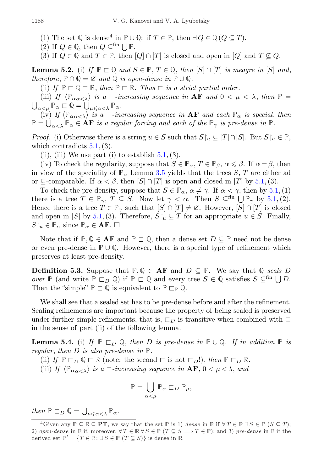(1) The set  $\mathbb{Q}$  is dense<sup>[4](#page-7-0)</sup> in  $\mathbb{P} \cup \mathbb{Q}$ : if  $T \in \mathbb{P}$ , then  $\exists Q \in \mathbb{Q}$  ( $Q \subseteq T$ ).

(2) If  $Q \in \mathbb{Q}$ , then  $Q \subseteq^{\text{fin}} \bigcup \mathbb{P}$ .

(3) If  $Q \in \mathbb{Q}$  and  $T \in \mathbb{P}$ , then  $[Q] \cap [T]$  is closed and open in  $[Q]$  and  $T \nsubseteq Q$ .

<span id="page-7-1"></span>**Lemma 5.2.** (i) If  $\mathbb{P} \subset \mathbb{Q}$  and  $S \in \mathbb{P}$ ,  $T \in \mathbb{Q}$ , then  $[S] \cap [T]$  is meagre in  $[S]$  and, therefore,  $\mathbb{P} \cap \mathbb{Q} = \emptyset$  and  $\mathbb{Q}$  is open-dense in  $\mathbb{P} \cup \mathbb{Q}$ .

(ii) If  $\mathbb{P} \subset \mathbb{Q} \subset \mathbb{R}$ , then  $\mathbb{P} \subset \mathbb{R}$ . Thus  $\subset$  is a strict partial order.

(iii) If  $\langle \mathbb{P}_{\alpha \alpha \langle \lambda \rangle}$  is a  $\Box$ -increasing sequence in **AF** and  $0 < \mu < \lambda$ , then  $\mathbb{P} =$  $\bigcup_{\alpha<\mu} \mathbb{P}_{\alpha} \sqsubset \mathbb{Q} = \bigcup_{\mu \leqslant \alpha < \lambda} \mathbb{P}_{\alpha}.$ 

(iv) If  $\langle \mathbb{P}_{\alpha \alpha \langle \lambda \rangle}$  is a  $\Box$ -increasing sequence in **AF** and each  $\mathbb{P}_{\alpha}$  is special, then  $\mathbb{P} = \bigcup_{\alpha < \lambda} \mathbb{P}_{\alpha} \in \mathbf{AF}$  is a regular forcing and each of the  $\mathbb{P}_{\gamma}$  is pre-dense in  $\mathbb{P}.$ 

*Proof.* (i) Otherwise there is a string  $u \in S$  such that  $S\vert_u \subseteq [T] \cap [S]$ . But  $S\vert_u \in \mathbb{P}$ , which contradicts  $5.1$ , (3).

(ii), (iii) We use part (i) to establish  $5.1$ , (3).

(iv) To check the regularity, suppose that  $S \in \mathbb{P}_{\alpha}$ ,  $T \in \mathbb{P}_{\beta}$ ,  $\alpha \leq \beta$ . If  $\alpha = \beta$ , then in view of the speciality of  $\mathbb{P}_{\alpha}$  Lemma [3.5](#page-5-1) yields that the trees S, T are either ad or ⊂-comparable. If  $\alpha < \beta$ , then  $[S] \cap [T]$  is open and closed in  $[T]$  by [5.1,](#page-6-0) (3).

To check the pre-density, suppose that  $S \in \mathbb{P}_{\alpha}$ ,  $\alpha \neq \gamma$ . If  $\alpha < \gamma$ , then by [5.1,](#page-6-0) (1) there is a tree  $T \in \mathbb{P}_{\gamma}$ ,  $T \subseteq S$ . Now let  $\gamma < \alpha$ . Then  $S \subseteq^{\text{fin}} \bigcup \mathbb{P}_{\gamma}$  by [5.1,](#page-6-0) (2). Hence there is a tree  $T \in \mathbb{P}_{\gamma}$  such that  $[S] \cap [T] \neq \emptyset$ . However,  $[S] \cap [T]$  is closed and open in [S] by [5.1,](#page-6-0) (3). Therefore,  $S\upharpoonright_u \subseteq T$  for an appropriate  $u \in S$ . Finally,  $S\upharpoonright_u \in \mathbb{P}_\alpha$  since  $\mathbb{P}_\alpha \in \mathbf{AF}$ .  $\Box$ 

Note that if  $\mathbb{P}, \mathbb{Q} \in \mathbf{AF}$  and  $\mathbb{P} \subset \mathbb{Q}$ , then a dense set  $D \subseteq \mathbb{P}$  need not be dense or even pre-dense in **P** ∪ **Q**. However, there is a special type of refinement which preserves at least pre-density.

<span id="page-7-2"></span>**Definition 5.3.** Suppose that  $\mathbb{P}, \mathbb{Q} \in \mathbf{AF}$  and  $D \subseteq \mathbb{P}$ . We say that  $\mathbb{Q}$  seals D over  $\mathbb{P}$  (and write  $\mathbb{P} \subset D$  Q) if  $\mathbb{P} \subset \mathbb{Q}$  and every tree  $S \in \mathbb{Q}$  satisfies  $S \subseteq^{fin} \bigcup D$ . Then the "simple"  $\mathbb{P} \subset \mathbb{Q}$  is equivalent to  $\mathbb{P} \subset \mathbb{P} \mathbb{Q}$ .

We shall see that a sealed set has to be pre-dense before and after the refinement. Sealing refinements are important because the property of being sealed is preserved under further simple refinements, that is,  $\sqsubset_D$  is transitive when combined with  $\sqsubset$ in the sense of part (ii) of the following lemma.

<span id="page-7-3"></span>**Lemma 5.4.** (i) If  $\mathbb{P} \subset_{D} \mathbb{Q}$ , then D is pre-dense in  $\mathbb{P} \cup \mathbb{Q}$ . If in addition  $\mathbb{P}$  is regular, then D is also pre-dense in **P**.

(ii) If  $\mathbb{P} \sqsubset_{D} \mathbb{Q} \sqsubset \mathbb{R}$  (note: the second  $\sqsubset$  is not  $\sqsubset_{D}$ !), then  $\mathbb{P} \sqsubset_{D} \mathbb{R}$ .

(iii) If  $\langle \mathbb{P}_{\alpha_{\alpha}<\lambda} \rangle$  is a  $\Box$ -increasing sequence in  $\mathbf{AF}, 0 < \mu < \lambda$ , and

$$
\mathbb{P} = \bigcup_{\alpha < \mu} \mathbb{P}_{\alpha} \sqsubset_D \mathbb{P}_{\mu},
$$

 $then \mathbb{P} \sqsubset_D \mathbb{Q} = \bigcup_{\mu \leq \alpha < \lambda} \mathbb{P}_\alpha.$ 

<span id="page-7-0"></span><sup>&</sup>lt;sup>4</sup>Given any **P** ⊆ **R** ⊆ **PT**, we say that the set **P** is 1) dense in **R** if  $\forall T \in \mathbb{R} \exists S \in \mathbb{P}$  ( $S \subseteq T$ ); 2) open-dense in  $\mathbb R$  if, moreover,  $\forall T \in \mathbb R \forall S \in \mathbb P$  ( $T \subseteq S \implies T \in \mathbb P$ ); and 3) pre-dense in  $\mathbb R$  if the derived set  $\mathbb{P}' = \{T \in \mathbb{R} : \exists S \in \mathbb{P} (T \subseteq S) \}$  is dense in  $\mathbb{R}$ .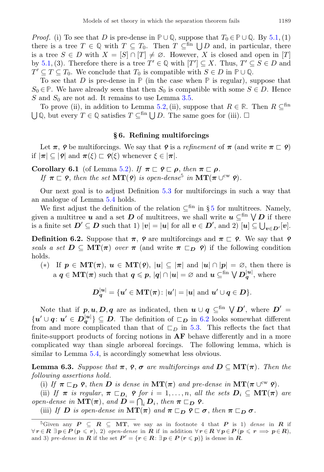*Proof.* (i) To see that D is pre-dense in  $\mathbb{P} \cup \mathbb{Q}$ , suppose that  $T_0 \in \mathbb{P} \cup \mathbb{Q}$ . By [5.1,](#page-6-0) (1) there is a tree  $T \in \mathbb{Q}$  with  $T \subseteq T_0$ . Then  $T \subseteq^{\text{fin}} \bigcup D$  and, in particular, there is a tree  $S \in D$  with  $X = [S] \cap [T] \neq \emptyset$ . However, X is closed and open in [T] by [5.1,](#page-6-0) (3). Therefore there is a tree  $T' \in \mathbb{Q}$  with  $[T'] \subseteq X$ . Thus,  $T' \subseteq S \in D$  and  $T' \subseteq T \subseteq T_0$ . We conclude that  $T_0$  is compatible with  $S \in D$  in  $\mathbb{P} \cup \mathbb{Q}$ .

To see that D is pre-dense in  $\mathbb P$  (in the case when  $\mathbb P$  is regular), suppose that  $S_0 \in \mathbb{P}$ . We have already seen that then  $S_0$  is compatible with some  $S \in D$ . Hence S and  $S_0$  are not ad. It remains to use Lemma [3.5.](#page-5-1)

To prove (ii), in addition to Lemma [5.2,](#page-7-1) (ii), suppose that  $R \in \mathbb{R}$ . Then  $R \subseteq \mathbb{S}^{\text{fin}}$  $\bigcup \mathbb{Q}$ , but every  $T \in \mathbb{Q}$  satisfies  $T \subseteq$ <sup>fin</sup>  $\bigcup D$ . The same goes for (iii).  $\square$ 

#### § 6. Refining multiforcings

Let  $\pi$ ,  $\rho$  be multiforcings. We say that  $\rho$  is a refinement of  $\pi$  (and write  $\pi \subset \rho$ ) if  $|\pi| \subseteq |\varphi|$  and  $\pi(\xi) \sqsubset \varphi(\xi)$  whenever  $\xi \in |\pi|$ .

<span id="page-8-2"></span>Corollary 6.1 (of Lemma [5.2\)](#page-7-1). If  $\pi \sqsubset \varphi \sqsubset \rho$ , then  $\pi \sqsubset \rho$ . If  $\pi \subset \rho$ , then the set  $MT(\rho)$  is open-dense<sup>[5](#page-8-0)</sup> in  $MT(\pi \cup^{\text{cw}} \rho)$ .

Our next goal is to adjust Definition [5.3](#page-7-2) for multiforcings in such a way that an analogue of Lemma [5.4](#page-7-3) holds.

We first adjust the definition of the relation  $\subseteq^{\text{fin}}$  in § [5](#page-6-1) for multitrees. Namely, given a multitree  $u$  and a set  $D$  of multitrees, we shall write  $u \subseteq^{\text{fin}} \bigvee D$  if there is a finite set  $D' \subseteq D$  such that 1)  $|v| = |u|$  for all  $v \in D'$ , and 2)  $[u] \subseteq \bigcup_{v \in D'} [v]$ .

<span id="page-8-1"></span>**Definition 6.2.** Suppose that  $\pi$ ,  $\rho$  are multiforcings and  $\pi \subset \rho$ . We say that  $\rho$ seals a set  $D \subseteq MT(\pi)$  over  $\pi$  (and write  $\pi \subset_D \rho$ ) if the following condition holds.

(\*) If 
$$
\mathbf{p} \in \mathbf{MT}(\pi)
$$
,  $\mathbf{u} \in \mathbf{MT}(\mathbf{P})$ ,  $|u| \subseteq |\pi|$  and  $|u| \cap |\mathbf{p}| = \varnothing$ , then there is a  $\mathbf{q} \in \mathbf{MT}(\pi)$  such that  $\mathbf{q} \leq \mathbf{p}$ ,  $|q| \cap |u| = \varnothing$  and  $\mathbf{u} \subseteq^{\text{fin}} \bigvee \mathbf{D}_q^{|u|}$ , where

$$
D_q^{|u|} = \{u' \in \mathbf{MT}(\pi) \colon |u'| = |u| \text{ and } u' \cup q \in D\}.
$$

Note that if  $p, u, D, q$  are as indicated, then  $u \cup q \subseteq^{\text{fin}} \bigvee D'$ , where  $D' =$  $\{u' \cup q : u' \in D_q^{|u|}\} \subseteq D$ . The definition of  $\Box_D$  in [6.2](#page-8-1) looks somewhat different from and more complicated than that of  $\Box_D$  in [5.3.](#page-7-2) This reflects the fact that finite-support products of forcing notions in AF behave differently and in a more complicated way than single arboreal forcings. The following lemma, which is similar to Lemma [5.4,](#page-7-3) is accordingly somewhat less obvious.

<span id="page-8-3"></span>**Lemma 6.3.** Suppose that  $\pi$ ,  $\rho$ ,  $\sigma$  are multiforcings and  $D \subseteq MT(\pi)$ . Then the following assertions hold.

(i) If  $\pi \sqsubset_D \rho$ , then D is dense in  $MT(\pi)$  and pre-dense in  $MT(\pi \cup_{\alpha}^{\text{cw}} \rho)$ .

(ii) If  $\pi$  is regular,  $\pi \sqsubset_{D_i} \varphi$  for  $i = 1, \ldots, n$ , all the sets  $D_i \subseteq MT(\pi)$  are open-dense in  $\mathbf{MT}(\boldsymbol{\pi})$ , and  $\mathbf{D} = \bigcap_i \mathbf{D}_i$ , then  $\boldsymbol{\pi} \sqsubset_{\mathbf{D}} \mathbf{P}$ .

(iii) If D is open-dense in  $MT(\pi)$  and  $\pi \sqsubset_D \varphi \sqsubset \sigma$ , then  $\pi \sqsubset_D \sigma$ .

<span id="page-8-0"></span><sup>&</sup>lt;sup>5</sup>Given any  $P \subseteq R \subseteq MT$ , we say as in footnote 4 that P is 1) dense in R if  $\forall r \in \mathbb{R} \exists p \in \mathbb{P} (p \leqslant r), 2$  open-dense in **R** if in addition  $\forall r \in \mathbb{R} \forall p \in \mathbb{P} (p \leqslant r \implies p \in R)$ , and 3) pre-dense in **R** if the set  $P' = \{r \in \mathbb{R} : \exists p \in P \ (r \leqslant p)\}\)$  is dense in **R**.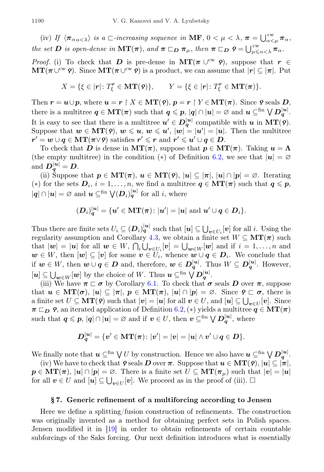(iv) If  $\langle \pi_{\alpha\alpha\langle\lambda\rangle} \rangle$  is a  $\Box$ -increasing sequence in **MF**,  $0 < \mu < \lambda$ ,  $\pi = \bigcup_{\alpha<\mu}^{\text{cw}} \pi_{\alpha}$ , the set **D** is open-dense in  $MT(\pi)$ , and  $\pi \sqsubset_D \pi_\mu$ , then  $\pi \sqsubset_D \varrho = \bigcup_{\mu \leq \alpha < \lambda}^{\text{cw}} \pi_\alpha$ .

*Proof.* (i) To check that D is pre-dense in  $MT(\pi \cup^{\text{cw}} \varphi)$ , suppose that  $r \in$  $\mathbf{MT}(\pi \cup^{\text{cw}} \mathbf{\varrho})$ . Since  $\mathbf{MT}(\pi \cup^{\text{cw}} \mathbf{\varrho})$  is a product, we can assume that  $|\mathbf{r}| \subseteq |\pi|$ . Put

$$
X = \{ \xi \in |r| \colon T_{\xi}^{r} \in \mathbf{MT}(\mathbf{P}) \}, \qquad Y = \{ \xi \in |r| \colon T_{\xi}^{r} \in \mathbf{MT}(\pi) \}.
$$

Then  $r = u \cup p$ , where  $u = r \upharpoonright X \in MT(\varphi)$ ,  $p = r \upharpoonright Y \in MT(\pi)$ . Since  $\varphi$  seals  $D$ , there is a multitree  $q \in \text{MT}(\pi)$  such that  $q \leqslant p, |q| \cap |u| = \varnothing$  and  $u \subseteq^{\text{fin}} \bigvee D_q^{|u|}$ . It is easy to see that there is a multitree  $u' \in D_q^{|u|}$  compatible with  $u$  in  $MT(\rho)$ . Suppose that  $w \in \mathbf{MT}(\mathbf{P}), w \leqslant u, w \leqslant u', |w| = |u'| = |\mathbf{u}|.$  Then the multitree  $\bm{r'} = \bm{w} \cup \bm{q} \in \mathbf{MT}(\bm{\pi} \vee \bm{\varphi}) \text{ satisfies } \bm{r'} \leqslant \bm{r} \text{ and } \bm{r'} \leqslant \bm{u'} \cup \bm{q} \in \bm{D}.$ 

To check that D is dense in  $MT(\pi)$ , suppose that  $p \in MT(\pi)$ . Taking  $u = \Lambda$ (the empty multitree) in the condition (\*) of Definition [6.2,](#page-8-1) we see that  $|u| = \emptyset$ and  $D_q^{|u|} = D$ .

(ii) Suppose that  $p \in \text{MT}(\pi)$ ,  $u \in \text{MT}(9)$ ,  $|u| \subseteq |\pi|$ ,  $|u| \cap |p| = \emptyset$ . Iterating (\*) for the sets  $D_i$ ,  $i = 1, ..., n$ , we find a multitree  $q \in \text{MT}(\pi)$  such that  $q \leq p$ ,  $|q| \cap |u| = \varnothing$  and  $u \subseteq^{\text{fin}} \bigvee (D_i)_{q}^{|u|}$  for all *i*, where

$$
(\boldsymbol{D}_i)^{|\boldsymbol{u}|}_{\boldsymbol{q}} = \{\boldsymbol{u}' \in \mathbf{MT}(\boldsymbol{\pi}) \colon |\boldsymbol{u}'| = |\boldsymbol{u}| \text{ and } \boldsymbol{u}' \cup \boldsymbol{q} \in \boldsymbol{D}_i\}.
$$

Thus there are finite sets  $U_i \subseteq (D_i)^{|\mathbf{u}|}_{\mathbf{q}}$  such that  $[\mathbf{u}] \subseteq \bigcup_{\mathbf{v} \in U_i} [\mathbf{v}]$  for all i. Using the regularity assumption and Corollary [4.3,](#page-6-2) we obtain a finite set  $W \subseteq MT(\pi)$  such that  $|\mathbf{w}| = |\mathbf{u}|$  for all  $\mathbf{w} \in W$ ,  $\bigcap_i \bigcup_{\mathbf{v} \in U_i} [\mathbf{v}] = \bigcup_{\mathbf{w} \in W} [\mathbf{w}]$  and if  $i = 1, \ldots, n$  and  $w \in W$ , then  $[w] \subseteq [v]$  for some  $v \in U_i$ , whence  $w \cup q \in D_i$ . We conclude that if  $w \in W$ , then  $w \cup q \in D$  and, therefore,  $w \in D_q^{|u|}$ . Thus  $W \subseteq D_q^{|u|}$ . However,  $[u] \subseteq \bigcup_{w \in W}[w]$  by the choice of W. Thus  $u \subseteq^{\text{fin}} \bigvee D_q^{|u|}$ .

(iii) We have  $\pi \sqsubset \sigma$  by Corollary [6.1.](#page-8-2) To check that  $\sigma$  seals D over  $\pi$ , suppose that  $u \in \mathbf{MT}(\sigma)$ ,  $|u| \subseteq |\pi|$ ,  $p \in \mathbf{MT}(\pi)$ ,  $|u| \cap |p| = \emptyset$ . Since  $\rho \subset \sigma$ , there is a finite set  $U \subseteq \mathbf{MT(9)}$  such that  $|\mathbf{v}| = |\mathbf{u}|$  for all  $\mathbf{v} \in U$ , and  $[\mathbf{u}] \subseteq \bigcup_{\mathbf{v} \in U} [\mathbf{v}]$ . Since  $\pi \sqsubset_D \varrho$ , an iterated application of Definition [6.2,](#page-8-1) (\*) yields a multitree  $q \in \mathbf{MT}(\pi)$ such that  $q \leqslant p, |q| \cap |u| = \varnothing$  and if  $v \in U$ , then  $v \subseteq^{\text{fin}} \bigvee D_q^{|u|}$ , where

$$
\boldsymbol{D}_{\boldsymbol{q}}^{|\boldsymbol{u}|}=\{ \boldsymbol{v}^{\prime} \in \boldsymbol{\mathrm{MT}}(\boldsymbol{\pi}) \colon |\boldsymbol{v}^{\prime}| = |\boldsymbol{v}| = |\boldsymbol{u}| \wedge \boldsymbol{v}^{\prime} \cup \boldsymbol{q} \in \boldsymbol{D} \}.
$$

We finally note that  $u \subseteq^{\text{fin}} \bigvee U$  by construction. Hence we also have  $u \subseteq^{\text{fin}} \bigvee D_q^{|u|}$ .

(iv) We have to check that  $\varphi$  seals D over  $\pi$ . Suppose that  $u \in \mathbf{MT}(\varphi), |u| \subseteq |\pi|$ ,  $p \in \mathbf{MT}(\pi)$ ,  $|u| \cap |p| = \emptyset$ . There is a finite set  $U \subseteq \mathbf{MT}(\pi_u)$  such that  $|v| = |u|$ for all  $v \in U$  and  $[u] \subseteq \bigcup_{v \in U}[v]$ . We proceed as in the proof of (iii).  $\Box$ 

### § 7. Generic refinement of a multiforcing according to Jensen

<span id="page-9-0"></span>Here we define a splitting/fusion construction of refinements. The construction was originally invented as a method for obtaining perfect sets in Polish spaces. Jensen modified it in [\[19\]](#page-37-10) in order to obtain refinements of certain countable subforcings of the Saks forcing. Our next definition introduces what is essentially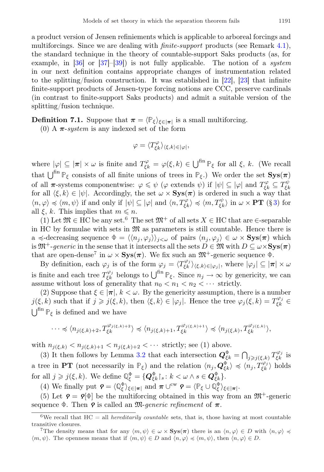finite-support products of Jensen-type forcing notions are CCC, preserve cardinals (in contrast to finite-support Saks products) and admit a suitable version of the splitting/fusion technique.

<span id="page-10-2"></span>**Definition 7.1.** Suppose that  $\pi = \langle \mathbb{P}_{\xi} \rangle_{\xi \in [\pi]}$  is a small multiforcing.

(0) A  $\pi$ -system is any indexed set of the form

$$
\varphi = \langle T_{\xi k}^{\varphi} \rangle_{\langle \xi, k \rangle \in |\varphi|},
$$

where  $|\varphi| \subseteq |\pi| \times \omega$  is finite and  $T_{\xi k}^{\varphi} = \varphi(\xi, k) \in \bigcup^{fin} \mathbb{P}_{\xi}$  for all  $\xi$ , k. (We recall that  $\bigcup^{fin} \mathbb{P}_{\xi}$  consists of all finite unions of trees in  $\mathbb{P}_{\xi}$ .) We order the set  $\text{Sys}(\pi)$ of all  $\pi$ -systems componentwise:  $\varphi \leq \psi$  ( $\varphi$  extends  $\psi$ ) if  $|\psi| \subseteq |\varphi|$  and  $T_{\xi k}^{\varphi} \subseteq T_{\xi k}^{\psi}$ for all  $\langle \xi, k \rangle \in |\psi|$ . Accordingly, the set  $\omega \times \mathbf{Sys}(\pi)$  is ordered in such a way that  $\langle n, \varphi \rangle \preccurlyeq \langle m, \psi \rangle$  if and only if  $|\psi| \subseteq |\varphi|$  and  $\langle n, T_{\xi k}^{\varphi} \rangle \preccurlyeq \langle m, T_{\xi k}^{\psi} \rangle$  in  $\omega \times PT$  (§ [3\)](#page-4-0) for all  $\xi$ , k. This implies that  $m \leq n$ .

(1) Let  $\mathfrak{M} \in \mathrm{HC}$  be any set.<sup>[6](#page-10-0)</sup> The set  $\mathfrak{M}^+$  of all sets  $X \in \mathrm{HC}$  that are  $\in$ -separable in HC by formulae with sets in  $\mathfrak{M}$  as parameters is still countable. Hence there is a  $\prec$ -decreasing sequence  $\Phi = \langle \langle n_j, \varphi_j \rangle \rangle_{i \leq \omega}$  of pairs  $\langle n_j, \varphi_j \rangle \in \omega \times \mathbf{Sys}(\pi)$  which is  $\mathfrak{M}^+$ -generic in the sense that it intersects all the sets  $D \in \mathfrak{M}$  with  $D \subseteq \omega \times \mathbf{Sys}(\pi)$ that are open-dense<sup>[7](#page-10-1)</sup> in  $\omega \times \mathbf{Sys}(\pi)$ . We fix such an  $\mathfrak{M}^+$ -generic sequence  $\Phi$ .

By definition, each  $\varphi_j$  is of the form  $\varphi_j = \langle T_{\xi k}^{\varphi_j} \rangle_{\langle \xi, k \rangle \in |\varphi_j|}$ , where  $|\varphi_j| \subseteq |\pi| \times \omega$ is finite and each tree  $T_{\xi k}^{\varphi_j}$  belongs to  $\bigcup^{\text{fin}} \mathbb{P}_{\xi}$ . Since  $n_j \to \infty$  by genericity, we can assume without loss of generality that  $n_0 < n_1 < n_2 < \cdots$  strictly.

(2) Suppose that  $\xi \in |\pi|, k < \omega$ . By the genericity assumption, there is a number  $j(\xi, k)$  such that if  $j \geq j(\xi, k)$ , then  $\langle \xi, k \rangle \in |\varphi_j|$ . Hence the tree  $\varphi_j(\xi, k) = T_{\xi k}^{\varphi_j} \in$  $\bigcup^{\text{fin}} \mathbb{P}_{\xi}$  is defined and we have

$$
\cdots \preccurlyeq \langle n_{j(\xi,k)+2}, T_{\xi k}^{\varphi_{j(\xi,k)+2}} \rangle \preccurlyeq \langle n_{j(\xi,k)+1}, T_{\xi k}^{\varphi_{j(\xi,k)+1}} \rangle \preccurlyeq \langle n_{j(\xi,k)}, T_{\xi k}^{\varphi_{j(\xi,k)}} \rangle,
$$

with  $n_{i(\xi,k)} < n_{i(\xi,k)+1} < n_{i(\xi,k)+2} < \cdots$  strictly; see (1) above.

(3) It then follows by Lemma [3.2](#page-4-2) that each intersection  $\mathbf{Q}_{\xi k}^{\Phi} = \bigcap_{j \geq j(\xi,k)} T_{\xi k}^{\varphi_j}$  is a tree in PT (not necessarily in  $\mathbb{P}_{\xi}$ ) and the relation  $\langle n_j, \mathbf{Q}_{\xi k}^{\Phi} \rangle \preccurlyeq \langle n_j, T_{\xi k}^{\varphi_j} \rangle$  holds for all  $j \geqslant j(\xi, k)$ . We define  $\mathbb{Q}_{\xi}^{\Phi} = \{ \mathbf{Q}_{\xi k}^{\Phi} | \xi : k \leq \omega \wedge s \in \mathbf{Q}_{\xi k}^{\Phi} \}$ .

(4) We finally put  $\mathbf{Q} = \langle \mathbb{Q}_{\xi}^{\Phi} \rangle_{\xi \in [\pi]}$  and  $\boldsymbol{\pi} \cup^{\text{cw}} \mathbf{Q} = \langle \mathbb{P}_{\xi} \cup \mathbb{Q}_{\xi}^{\Phi} \rangle_{\xi \in [\pi]}$ .

(5) Let  $\varphi = \varphi[\Phi]$  be the multiforcing obtained in this way from an  $\mathfrak{M}^+$ -generic sequence  $\Phi$ . Then  $\varphi$  is called an  $\mathfrak{M}$ -generic refinement of  $\pi$ .

<span id="page-10-3"></span><span id="page-10-0"></span> $6$ We recall that HC = all *hereditarily countable* sets, that is, those having at most countable transitive closures.

<span id="page-10-1"></span>The density means that for any  $\langle m, \psi \rangle \in \omega \times \mathbf{Sys}(\pi)$  there is an  $\langle n, \varphi \rangle \in D$  with  $\langle n, \varphi \rangle \preccurlyeq \varphi$  $\langle m, \psi \rangle$ . The openness means that if  $\langle m, \psi \rangle \in D$  and  $\langle n, \varphi \rangle \preccurlyeq \langle m, \psi \rangle$ , then  $\langle n, \varphi \rangle \in D$ .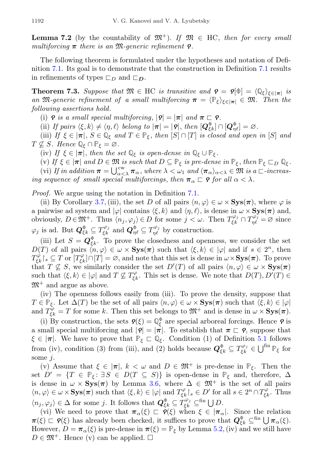**Lemma 7.2** (by the countability of  $\mathfrak{M}^+$ ). If  $\mathfrak{M} \in HC$ , then for every small multiforcing  $\pi$  there is an M-generic refinement **?**.

The following theorem is formulated under the hypotheses and notation of Definition [7.1.](#page-10-2) Its goal is to demonstrate that the construction in Definition [7.1](#page-10-2) results in refinements of types  $\square_D$  and  $\square_D$ .

<span id="page-11-0"></span>**Theorem 7.3.** Suppose that  $\mathfrak{M} \in \mathrm{HC}$  is transitive and  $\mathbf{Q} = \mathbf{Q}[\Phi] = \langle \mathbb{Q}_{\xi} \rangle_{\xi \in |\pi|}$  is an M-generic refinement of a small multiforcing  $\pi = \langle \mathbb{P}_{\xi} \rangle_{\xi \in |\pi|} \in \mathfrak{M}$ . Then the following assertions hold.

(i)  $\rho$  is a small special multiforcing,  $|\rho| = |\pi|$  and  $\pi \subset \rho$ .

(ii) If pairs  $\langle \xi, k \rangle \neq \langle \eta, \ell \rangle$  belong to  $|\pi| = |\mathbf{Q}|$ , then  $[\mathbf{Q}_{\xi k}^{\Phi}] \cap [\mathbf{Q}_{\eta \ell}^{\Phi}] = \varnothing$ .

(iii) If  $\xi \in |\pi|$ ,  $S \in \mathbb{Q}_{\xi}$  and  $T \in \mathbb{P}_{\xi}$ , then  $[S] \cap [T]$  is closed and open in  $[S]$  and  $T \nsubseteq S$ . Hence  $\mathbb{Q}_{\xi} \cap \mathbb{P}_{\xi} = \varnothing$ .

(iv) If  $\xi \in |\pi|$ , then the set  $\mathbb{Q}_{\xi}$  is open-dense in  $\mathbb{Q}_{\xi} \cup \mathbb{P}_{\xi}$ .

(v) If  $\xi \in |\pi|$  and  $D \in \mathfrak{M}$  is such that  $D \subseteq \mathbb{P}_{\xi}$  is pre-dense in  $\mathbb{P}_{\xi}$ , then  $\mathbb{P}_{\xi} \sqsubset_{D} \mathbb{Q}_{\xi}$ . (vi) If in addition  $\pi = \bigcup_{\alpha < \lambda}^{\text{cw}} \pi_\alpha$ , where  $\lambda < \omega_1$  and  $\langle \pi_\alpha \rangle_{\alpha < \lambda} \in \mathfrak{M}$  is a  $\Box$ -increasing sequence of small special multiforcings, then  $\pi_{\alpha} \sqsubset \mathsf{P}$  for all  $\alpha < \lambda$ .

Proof. We argue using the notation in Definition [7.1.](#page-10-2)

(ii) By Corollary [3.7,](#page-5-2) (iii), the set D of all pairs  $\langle n, \varphi \rangle \in \omega \times \mathbf{Sys}(\pi)$ , where  $\varphi$  is a pairwise ad system and  $|\varphi|$  contains  $\langle \xi, k \rangle$  and  $\langle \eta, \ell \rangle$ , is dense in  $\omega \times \mathbf{Sys}(\pi)$  and, obviously,  $D \in \mathfrak{M}^+$ . Thus  $\langle n_j, \varphi_j \rangle \in D$  for some  $j < \omega$ . Then  $T_{\xi k}^{\varphi_j} \cap T_{\eta \ell}^{\varphi_j} = \varnothing$  since  $\varphi_j$  is ad. But  $\mathbf{Q}_{\xi k}^{\Phi} \subseteq T_{\xi k}^{\varphi_j}$  and  $\mathbf{Q}_{\eta \ell}^{\Phi} \subseteq T_{\eta \ell}^{\varphi_j}$  by construction.

(iii) Let  $S = \mathbf{Q}_{\xi k}^{\Phi}$ . To prove the closedness and openness, we consider the set  $D(T)$  of all pairs  $\langle n, \varphi \rangle \in \omega \times \mathbf{Sys}(\pi)$  such that  $\langle \xi, k \rangle \in |\varphi|$  and if  $s \in 2^n$ , then  $T_{\xi k}^{\varphi}$   $\lceil s \rceil$  or  $[T_{\xi k}^{\varphi}] \cap [T] = \varnothing$ , and note that this set is dense in  $\omega \times$  Sys $(\pi)$ . To prove that  $T \nsubseteq S$ , we similarly consider the set  $D'(T)$  of all pairs  $\langle n, \varphi \rangle \in \omega \times \mathbf{Sys}(\pi)$ such that  $\langle \xi, k \rangle \in |\varphi|$  and  $T \not\subseteq T_{\xi k}^{\varphi}$ . This set is dense. We note that  $D(T), D'(T) \in$  $\mathfrak{M}^+$  and argue as above.

(iv) The openness follows easily from (iii). To prove the density, suppose that  $T \in \mathbb{P}_{\xi}$ . Let  $\Delta(T)$  be the set of all pairs  $\langle n, \varphi \rangle \in \omega \times \mathbf{Sys}(\pi)$  such that  $\langle \xi, k \rangle \in |\varphi|$ and  $T_{\xi k}^{\varphi} = T$  for some k. Then this set belongs to  $\mathfrak{M}^+$  and is dense in  $\omega \times \mathbf{Sys}(\pi)$ .

(i) By construction, the sets  $\mathbf{P}(\xi) = \mathbb{Q}_{\xi}^{\Phi}$  are special arboreal forcings. Hence  $\mathbf{P}$  is a small special multiforcing and  $|\mathbf{Q}| = |\mathbf{\pi}|$ . To establish that  $\mathbf{\pi} \subset \mathbf{Q}$ , suppose that  $\xi \in |\pi|$ . We have to prove that  $\mathbb{P}_{\xi} \subset \mathbb{Q}_{\xi}$ . Condition (1) of Definition [5.1](#page-6-0) follows from (iv), condition (3) from (iii), and (2) holds because  $\mathbf{Q}_{\xi k}^{\Phi} \subseteq T_{\xi k}^{\varphi_j} \in \bigcup^{\text{fin}} \mathbb{P}_{\xi}$  for some *j*.

(v) Assume that  $\xi \in |\pi|$ ,  $k < \omega$  and  $D \in \mathfrak{M}^+$  is pre-dense in  $\mathbb{P}_{\xi}$ . Then the set  $D' = \{T \in \mathbb{P}_{\xi} : \exists S \in D(T \subseteq S)\}\$ is open-dense in  $\mathbb{P}_{\xi}$  and, therefore,  $\Delta$ is dense in  $\omega \times \mathbf{Sys}(\pi)$  by Lemma [3.6,](#page-5-0) where  $\Delta \in \mathfrak{M}^+$  is the set of all pairs  $\langle n, \varphi \rangle \in \omega \times \mathbf{Sys}(\pi)$  such that  $\langle \xi, k \rangle \in |\varphi|$  and  $T_{\xi k}^{\varphi} \upharpoonright_s \in D'$  for all  $s \in 2^n \cap T_{\xi k}^{\varphi}$ . Thus  $\langle n_j, \varphi_j \rangle \in \Delta$  for some j. It follows that  $\mathbf{Q}_{\xi k}^{\Phi} \subseteq T_{\xi k}^{\varphi_j} \subseteq^{\text{fin}} \bigcup D$ .

<span id="page-11-1"></span>(vi) We need to prove that  $\pi_{\alpha}(\xi) \subset \varphi(\xi)$  when  $\xi \in |\pi_{\alpha}|$ . Since the relation  $\pi(\xi) \subset \mathcal{P}(\xi)$  has already been checked, it suffices to prove that  $\mathcal{Q}_{\xi k}^{\Phi} \subseteq^{\text{fin}} \bigcup \pi_{\alpha}(\xi)$ . However,  $D = \pi_{\alpha}(\xi)$  is pre-dense in  $\pi(\xi) = \mathbb{P}_{\xi}$  by Lemma [5.2,](#page-7-1) (iv) and we still have  $D \in \mathfrak{M}^+$ . Hence (v) can be applied.  $\square$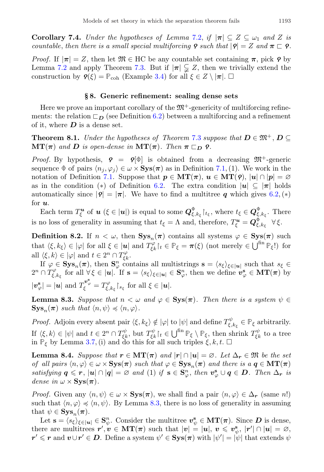**Corollary 7.4.** Under the hypotheses of Lemma [7.2,](#page-10-3) if  $|\pi| \subseteq Z \subseteq \omega_1$  and Z is countable, then there is a small special multiforcing  $\rho$  such that  $|\rho| = Z$  and  $\pi \subset \rho$ .

*Proof.* If  $|\pi| = Z$ , then let  $\mathfrak{M} \in \mathrm{HC}$  be any countable set containing  $\pi$ , pick  $\rho$  by Lemma [7.2](#page-10-3) and apply Theorem [7.3.](#page-11-0) But if  $|\pi| \subsetneq Z$ , then we trivially extend the construction by  $\mathbf{Q}(\xi) = \mathbb{P}_{coh}$  (Example [3.4\)](#page-5-3) for all  $\xi \in Z \setminus |\pi|$ .  $\Box$ 

#### § 8. Generic refinement: sealing dense sets

<span id="page-12-0"></span>Here we prove an important corollary of the  $\mathfrak{M}^+$ -genericity of multiforcing refinements: the relation  $\Box_D$  (see Definition [6.2\)](#page-8-1) between a multiforcing and a refinement of it, where  $D$  is a dense set.

<span id="page-12-3"></span>**Theorem 8.1.** Under the hypotheses of Theorem [7.3](#page-11-0) suppose that  $D \in \mathfrak{M}^+$ ,  $D \subseteq$  $\mathbf{MT}(\boldsymbol{\pi})$  and  $\boldsymbol{D}$  is open-dense in  $\mathbf{MT}(\boldsymbol{\pi})$ . Then  $\boldsymbol{\pi} \sqsubset_{\boldsymbol{D}} \boldsymbol{\varphi}$ .

Proof. By hypothesis,  $\rho = \rho[\Phi]$  is obtained from a decreasing  $\mathfrak{M}^+$ -generic sequence  $\Phi$  of pairs  $\langle n_j, \varphi_j \rangle \in \omega \times \mathbf{Sys}(\pi)$  as in Definition [7.1,](#page-10-2) (1). We work in the notation of Definition [7.1.](#page-10-2) Suppose that  $p \in \mathbf{MT}(\pi)$ ,  $u \in \mathbf{MT}(9)$ ,  $|u| \cap |p| = \emptyset$ as in the condition (\*) of Definition [6.2.](#page-8-1) The extra condition  $|u| \subseteq |\pi|$  holds automatically since  $|\mathbf{q}| = |\pi|$ . We have to find a multitree q which gives [6.2,](#page-8-1) (\*) for  $u$ .

Each term  $T_{\xi}^{\boldsymbol{u}}$  of  $\boldsymbol{u}$  ( $\xi \in |\boldsymbol{u}|$ ) is equal to some  $\boldsymbol{Q}_{\xi,k_{\xi}}^{\Phi}|_{t_{\xi}}$ , where  $t_{\xi} \in \boldsymbol{Q}_{\xi,k_{\xi}}^{\Phi}$ . There is no loss of generality in assuming that  $t_{\xi} = \Lambda$  and, therefore,  $T_{\xi}^{\mathbf{u}} = \mathbf{Q}_{\xi, k_{\xi}}^{\Phi} \quad \forall \xi$ .

<span id="page-12-4"></span>**Definition 8.2.** If  $n < \omega$ , then  $\text{Sys}_n(\pi)$  contains all systems  $\varphi \in \text{Sys}(\pi)$  such that  $\langle \xi, k_{\xi} \rangle \in |\varphi|$  for all  $\xi \in |\mathbf{u}|$  and  $T^{\varphi}_{\xi k}|_{t} \in \mathbb{P}_{\xi} = \pi(\xi)$  (not merely  $\in \bigcup^{\text{fin}} \mathbb{P}_{\xi}$ !) for all  $\langle \xi, k \rangle \in |\varphi|$  and  $t \in 2^n \cap T_{\xi k}^{\varphi}$ .

If  $\varphi \in \mathbf{Sys}_n(\pi)$ , then  $\mathbf{S}_{\varphi}^n$  contains all multistrings  $\mathbf{s} = \langle s_{\xi} \rangle_{\xi \in |\mathbf{u}|}$  such that  $s_{\xi} \in$  $2^n \cap T_{\xi,k_{\xi}}^{\varphi}$  for all  $\forall \xi \in |u|.$  If  $\mathbf{s} = \langle s_{\xi} \rangle_{\xi \in |u|} \in \mathbf{S}_{\varphi}^n$ , then we define  $\mathbf{v}_{\varphi}^{\mathbf{s}} \in \mathbf{MT}(\pi)$  by  $|\boldsymbol{v}_{\varphi}^{\mathbf{s}}| = |\boldsymbol{u}| \text{ and } T_{\xi}^{\boldsymbol{v}_{\varphi}^{\mathbf{s}}} = T_{\xi,k_{\xi}}^{\varphi} \rvert_{s_{\xi}} \text{ for all } \xi \in |\boldsymbol{u}|.$ 

<span id="page-12-1"></span>**Lemma 8.3.** Suppose that  $n < \omega$  and  $\varphi \in \mathbf{Sys}(\pi)$ . Then there is a system  $\psi \in$  $\mathbf{Sys}_n(\boldsymbol{\pi})$  such that  $\langle n, \psi \rangle \preccurlyeq \langle n, \varphi \rangle$ .

Proof. Adjoin every absent pair  $\langle \xi, k_{\xi} \rangle \notin |\varphi|$  to  $|\psi|$  and define  $T^{\psi}_{\xi, k_{\xi}} \in \mathbb{P}_{\xi}$  arbitrarily. If  $\langle \xi, k \rangle \in |\psi|$  and  $t \in 2^n \cap T_{\xi k}^{\psi}$ , but  $T_{\xi k}^{\psi} \rceil_t \in \bigcup^{\text{fin}} \mathbb{P}_{\xi} \setminus \mathbb{P}_{\xi}$ , then shrink  $T_{\xi k}^{\psi}$  to a tree in  $\mathbb{P}_{\xi}$  by Lemma [3.7,](#page-5-2) (i) and do this for all such triples  $\xi, k, t$ .  $\Box$ 

<span id="page-12-2"></span>**Lemma 8.4.** Suppose that  $r \in \mathbf{MT}(\pi)$  and  $|r| \cap |u| = \emptyset$ . Let  $\Delta_r \in \mathfrak{M}$  be the set of all pairs  $\langle n, \varphi \rangle \in \omega \times \mathbf{Sys}(\pi)$  such that  $\varphi \in \mathbf{Sys}_n(\pi)$  and there is a  $q \in \mathbf{MT}(\pi)$ satisfying  $q \leq r$ ,  $|u| \cap |q| = \varnothing$  and (1) if  $s \in S_{\varphi}^n$ , then  $v_{\varphi}^s \cup q \in D$ . Then  $\Delta_r$  is dense in  $\omega \times \mathbf{Sys}(\boldsymbol{\pi})$ .

*Proof.* Given any  $\langle n, \psi \rangle \in \omega \times \mathbf{Sys}(\pi)$ , we shall find a pair  $\langle n, \varphi \rangle \in \Delta_r$  (same n!) such that  $\langle n, \varphi \rangle \preccurlyeq \langle n, \psi \rangle$ . By Lemma [8.3,](#page-12-1) there is no loss of generality in assuming that  $\psi \in \mathbf{Sys}_n(\pi)$ .

Let  $\mathbf{s} = \langle s_{\xi} \rangle_{\xi \in |\mathbf{u}|} \in \mathbf{S}_{\psi}^{n}$ . Consider the multitree  $v_{\psi}^{\mathbf{s}} \in \mathbf{MT}(\boldsymbol{\pi})$ . Since  $D$  is dense, there are multitrees  $r', v \in \mathbf{MT}(\pi)$  such that  $|v| = |u|, v \leqslant v^s_{\psi}, |r'| \cap |u| = \varnothing$ ,  $r' \leqslant r$  and  $v \cup r' \in D$ . Define a system  $\psi' \in \mathbf{Sys}(\pi)$  with  $|\psi'| = |\psi|$  that extends  $\psi$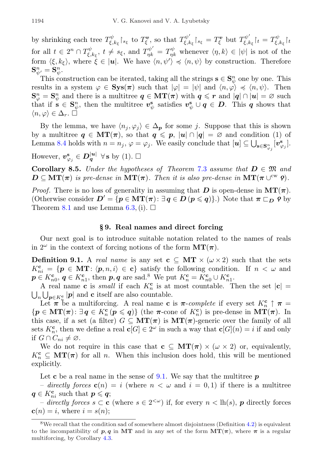by shrinking each tree  $T^{\psi}_{\xi, k_{\xi}}\upharpoonright_{s_{\xi}}$  to  $T^{\mathbf{v}}_{\xi}$ , so that  $T^{\psi'}_{\xi, k}$  $\int_{\xi,k_{\xi}}^{\psi'}\!\!\!\restriction_{s_{\xi}} = T_{\xi}^{\boldsymbol{v}}\ \mathrm{but}\ T_{\xi,k_{\xi}}^{\psi'}$  $\mathcal{F}^{\psi'}_{\xi, k_\xi} \mathcal{F}_t = T^\psi_{\xi, k_\xi} \mathcal{F}_t$ for all  $t \in 2^n \cap T_{\xi,k_{\xi}}^{\psi}$ ,  $t \neq s_{\xi}$ , and  $T_{\eta k}^{\psi'} = T_{\eta k}^{\psi}$  whenever  $\langle \eta, k \rangle \in |\psi|$  is not of the form  $\langle \xi, k_{\xi} \rangle$ , where  $\zeta \in |\mathbf{u}|$ . We have  $\langle n, \psi' \rangle \preccurlyeq \langle n, \psi \rangle$  by construction. Therefore  ${\bf S}_{\psi'}^n={\bf S}_{\psi}^n.$ 

This construction can be iterated, taking all the strings  $\mathbf{s} \in \mathbf{S}_{\psi}^{n}$  one by one. This results in a system  $\varphi \in \mathbf{Sys}(\pi)$  such that  $|\varphi| = |\psi|$  and  $\langle n, \varphi \rangle \preccurlyeq \langle n, \psi \rangle$ . Then  $\mathbf{S}_{\varphi}^n = \mathbf{S}_{\psi}^n$  and there is a multitree  $q \in \mathbf{MT}(\pi)$  with  $q \leqslant r$  and  $|q| \cap |u| = \varnothing$  such that if  $s \in S_{\psi}^n$ , then the multitree  $v_{\psi}^s$  satisfies  $v_{\psi}^s \cup q \in D$ . This q shows that  $\langle n, \varphi \rangle \in \Delta_r$ .

By the lemma, we have  $\langle n_j, \varphi_j \rangle \in \Delta_p$  for some j. Suppose that this is shown by a multitree  $q \in \mathbf{MT}(\pi)$ , so that  $q \leq p$ ,  $|u| \cap |q| = \emptyset$  and condition (1) of Lemma [8.4](#page-12-2) holds with  $n = n_j$ ,  $\varphi = \varphi_j$ . We easily conclude that  $[\boldsymbol{u}] \subseteq \bigcup_{\mathbf{s} \in \mathbf{S}_{\varphi_j}^n} [\boldsymbol{v}_{\varphi_j}^{\mathbf{s}}]$ .

However,  $v_{\varphi_j}^s \in D_q^{|u|}$   $\forall s$  by (1).  $\Box$ 

<span id="page-13-2"></span>Corollary 8.5. Under the hypotheses of Theorem [7.3](#page-11-0) assume that  $D \in \mathfrak{M}$  and  $D \subseteq MT(\pi)$  is pre-dense in  $MT(\pi)$ . Then it is also pre-dense in  $MT(\pi \cup^{\text{cw}} \rho)$ .

*Proof.* There is no loss of generality in assuming that  $D$  is open-dense in  $MT(\pi)$ . (Otherwise consider  $D' = \{p \in \mathbf{MT}(\pi): \exists q \in D \ (p \leqslant q)\}\)$ ) Note that  $\pi \sqsubset_D \varrho$  by Theorem [8.1](#page-12-3) and use Lemma [6.3,](#page-8-3) (i).  $\Box$ 

## § 9. Real names and direct forcing

Our next goal is to introduce suitable notation related to the names of reals in  $2^{\omega}$  in the context of forcing notions of the form  $MT(\pi)$ .

<span id="page-13-1"></span>**Definition 9.1.** A real name is any set  $c \subseteq MT \times (\omega \times 2)$  such that the sets  $K_{ni}^{\mathbf{c}} = \{ \mathbf{p} \in \mathbf{MT} : \langle \mathbf{p}, n, i \rangle \in \mathbf{c} \}$  satisfy the following condition. If  $n < \omega$  and  $p \in K_{n0}^{\mathbf{c}}, q \in K_{n1}^{\mathbf{c}}, \text{ then } p, q \text{ are sad.}^8 \text{ We put } K_n^{\mathbf{c}} = K_{n0}^{\mathbf{c}} \cup K_{n1}^{\mathbf{c}}.$  $p \in K_{n0}^{\mathbf{c}}, q \in K_{n1}^{\mathbf{c}}, \text{ then } p, q \text{ are sad.}^8 \text{ We put } K_n^{\mathbf{c}} = K_{n0}^{\mathbf{c}} \cup K_{n1}^{\mathbf{c}}.$  $p \in K_{n0}^{\mathbf{c}}, q \in K_{n1}^{\mathbf{c}}, \text{ then } p, q \text{ are sad.}^8 \text{ We put } K_n^{\mathbf{c}} = K_{n0}^{\mathbf{c}} \cup K_{n1}^{\mathbf{c}}.$ 

A real name **c** is *small* if each  $K_n^c$  is at most countable. Then the set  $|c| =$  $\bigcup_{n}\bigcup_{p\in K_{n}^{\mathbf{c}}}|\mathbf{p}|\$  and **c** itself are also countable.

Let  $\pi$  be a multiforcing. A real name c is  $\pi$ -complete if every set  $K_n^c \uparrow \pi$  =  $\{p \in \mathbf{MT}(\pi) : \exists q \in K_n^{\mathbf{c}} \left( p \leqslant q \right) \}$  (the  $\pi$ -cone of  $K_n^{\mathbf{c}}$ ) is pre-dense in  $\mathbf{MT}(\pi)$ . In this case, if a set (a filter)  $G \subseteq \mathbf{MT}(\pi)$  is  $\mathbf{MT}(\pi)$ -generic over the family of all sets  $K_n^{\mathbf{c}}$ , then we define a real  $\mathbf{c}[G] \in 2^{\omega}$  in such a way that  $\mathbf{c}[G](n) = i$  if and only if  $G \cap C_{ni} \neq \emptyset$ .

We do not require in this case that  $c \subseteq MT(\pi) \times (\omega \times 2)$  or, equivalently,  $K_n^{\mathbf{c}} \subseteq \mathbf{MT}(\boldsymbol{\pi})$  for all n. When this inclusion does hold, this will be mentioned explicitly.

Let **c** be a real name in the sense of [9.1.](#page-13-1) We say that the multitree  $p$ 

– directly forces  $\mathbf{c}(n) = i$  (where  $n < \omega$  and  $i = 0, 1$ ) if there is a multitree  $q \in K_{ni}^{\mathbf{c}}$  such that  $p \leqslant q$ ;

– directly forces s ⊂ c (where  $s \in 2^{< \omega}$ ) if, for every  $n < \text{lh}(s)$ , p directly forces  $\mathbf{c}(n) = i$ , where  $i = s(n)$ ;

<span id="page-13-0"></span><sup>&</sup>lt;sup>8</sup>We recall that the condition sad of somewhere almost disjointness (Definition [4.2\)](#page-6-4) is equivalent to the incompatibility of p, q in MT and in any set of the form  $MT(\pi)$ , where  $\pi$  is a regular multiforcing, by Corollary [4.3.](#page-6-2)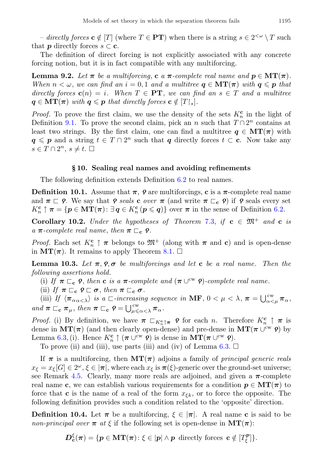– directly forces  $c \notin [T]$  (where  $T \in PT$ ) when there is a string  $s \in 2^{<\omega} \setminus T$  such that **p** directly forces  $s \subset \mathbf{c}$ .

The definition of direct forcing is not explicitly associated with any concrete forcing notion, but it is in fact compatible with any multiforcing.

<span id="page-14-1"></span>**Lemma 9.2.** Let  $\pi$  be a multiforcing, c a  $\pi$ -complete real name and  $p \in \mathbf{MT}(\pi)$ . When  $n < \omega$ , we can find an  $i = 0, 1$  and a multitree  $q \in \mathbf{MT}(\pi)$  with  $q \leqslant p$  that directly forces  $\mathbf{c}(n) = i$ . When  $T \in \mathbf{PT}$ , we can find an  $s \in T$  and a multitree  $q \in \mathbf{MT}(\boldsymbol{\pi})$  with  $q \leqslant p$  that directly forces  $c \notin [T\vert_s].$ 

*Proof.* To prove the first claim, we use the density of the sets  $K_n^{\mathbf{c}}$  in the light of Definition [9.1.](#page-13-1) To prove the second claim, pick an n such that  $T \cap 2^n$  contains at least two strings. By the first claim, one can find a multitree  $q \in \mathbf{MT}(\pi)$  with  $q \leq p$  and a string  $t \in T \cap 2^n$  such that q directly forces  $t \subset \mathbf{c}$ . Now take any  $s \in T \cap 2^n, s \neq t. \ \Box$ 

#### § 10. Sealing real names and avoiding refinements

The following definition extends Definition [6.2](#page-8-1) to real names.

**Definition 10.1.** Assume that  $\pi$ ,  $\rho$  are multiforcings, c is a  $\pi$ -complete real name and  $\pi \sqsubset \varphi$ . We say that  $\varphi$  seals c over  $\pi$  (and write  $\pi \sqsubset_{\mathbf{c}} \varphi$ ) if  $\varphi$  seals every set  $K_n^{\mathbf{c}} \uparrow \pi = \{ \boldsymbol{p} \in \mathbf{MT}(\boldsymbol{\pi}) : \exists \boldsymbol{q} \in K_n^{\mathbf{c}}(\boldsymbol{p} \leqslant \boldsymbol{q}) \}$  over  $\boldsymbol{\pi}$  in the sense of Definition [6.2.](#page-8-1)

Corollary 10.2. Under the hypotheses of Theorem [7.3,](#page-11-0) if  $c \in \mathfrak{M}^+$  and  $c$  is a  $\pi$ -complete real name, then  $\pi \sqsubset_{\mathbf{c}} \mathbf{9}$ .

*Proof.* Each set  $K_n^{\mathbf{c}} \uparrow \pi$  belongs to  $\mathfrak{M}^+$  (along with  $\pi$  and **c**) and is open-dense in  $MT(\pi)$ . It remains to apply Theorem [8.1.](#page-12-3)  $\square$ 

<span id="page-14-2"></span>**Lemma 10.3.** Let  $\pi$ ,  $\rho$ ,  $\sigma$  be multiforcings and let c be a real name. Then the following assertions hold.

(i) If  $\pi \sqsubset_{\mathbf{c}} \mathbf{P}$ , then **c** is a  $\pi$ -complete and  $(\pi \cup^{\text{cw}} \mathbf{P})$ -complete real name.

(ii) If  $\pi \sqsubset_{\mathbf{c}} \mathbf{9} \sqsubset \sigma$ , then  $\pi \sqsubset_{\mathbf{c}} \sigma$ .

(iii) If  $\langle \pi_{\alpha\alpha\langle\lambda\rangle} \rangle$  is a  $\Box$ -increasing sequence in **MF**,  $0 < \mu < \lambda$ ,  $\pi = \bigcup_{\alpha<\mu}^{\text{cw}} \pi_{\alpha}$ , and  $\pi \sqsubset_{\mathbf{c}} \pi_{\mu}$ , then  $\pi \sqsubset_{\mathbf{c}} \mathbf{e} = \bigcup_{\mu \leq \alpha < \lambda}^{\mathbf{cw}} \pi_{\alpha}$ .

*Proof.* (i) By definition, we have  $\pi \subset_{K_n^c \uparrow \pi} \varphi$  for each n. Therefore  $K_n^c \uparrow \pi$  is dense in  $MT(\pi)$  (and then clearly open-dense) and pre-dense in  $MT(\pi \cup^{\text{cw}} \varphi)$  by Lemma [6.3,](#page-8-3) (i). Hence  $K_n^{\mathbf{c}} \uparrow (\pi \cup^{\text{cw}} \varrho)$  is dense in  $\mathbf{MT}(\pi \cup^{\text{cw}} \varrho)$ .

To prove (ii) and (iii), use parts (iii) and (iv) of Lemma  $6.3. \Box$  $6.3. \Box$ 

If  $\pi$  is a multiforcing, then  $MT(\pi)$  adjoins a family of *principal generic reals*  $x_{\xi} = x_{\xi}[G] \in 2^{\omega}, \xi \in |\pi|$ , where each  $x_{\xi}$  is  $\pi(\xi)$ -generic over the ground-set universe; see Remark [4.5.](#page-6-5) Clearly, many more reals are adjoined, and given a  $\pi$ -complete real name c, we can establish various requirements for a condition  $p \in \mathbf{MT}(\pi)$  to force that **c** is the name of a real of the form  $x_{\xi k}$ , or to force the opposite. The following definition provides such a condition related to the 'opposite' direction.

<span id="page-14-0"></span>**Definition 10.4.** Let  $\pi$  be a multiforcing,  $\xi \in |\pi|$ . A real name c is said to be non-principal over  $\pi$  at  $\xi$  if the following set is open-dense in  $MT(\pi)$ :

$$
\boldsymbol{D}_{\mathbf{c}}^{\xi}(\boldsymbol{\pi}) = \{ \boldsymbol{p} \in \mathbf{MT}(\boldsymbol{\pi}) \colon \xi \in |\boldsymbol{p}| \wedge \boldsymbol{p} \text{ directly forces } \mathbf{c} \notin [T_{\xi}^{\boldsymbol{p}}] \}.
$$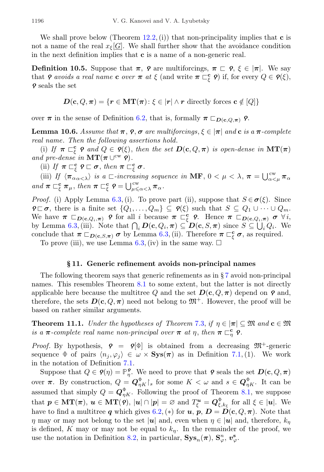We shall prove below (Theorem [12.2,](#page-17-0) (i)) that non-principality implies that  $\bf{c}$  is not a name of the real  $x_{\xi}[G]$ . We shall further show that the avoidance condition in the next definition implies that  $c$  is a name of a non-generic real.

**Definition 10.5.** Suppose that  $\pi$ ,  $\rho$  are multiforcings,  $\pi \subset \rho$ ,  $\xi \in |\pi|$ . We say that  $\rho$  avoids a real name **c** over  $\pi$  at  $\xi$  (and write  $\pi \subset_{\xi}^{\mathbf{c}} \rho$ ) if, for every  $Q \in \rho(\xi)$ ,  $\varphi$  seals the set

$$
D(\mathbf{c}, Q, \pi) = \{r \in \mathbf{MT}(\pi) \colon \xi \in |r| \land r \text{ directly forces } \mathbf{c} \notin [Q]\}
$$

over  $\pi$  in the sense of Definition [6.2,](#page-8-1) that is, formally  $\pi \sqsubset_{D(c,Q,\pi)} Q$ .

<span id="page-15-0"></span>**Lemma 10.6.** Assume that  $\pi$ ,  $\rho$ ,  $\sigma$  are multiforcings,  $\xi \in |\pi|$  and c is a  $\pi$ -complete real name. Then the following assertions hold.

(i) If  $\pi \sqsubset_{\xi}^{\mathbf{c}} \rho$  and  $Q \in \rho(\xi)$ , then the set  $D(\mathbf{c}, Q, \pi)$  is open-dense in  $\mathbf{MT}(\pi)$ and pre-dense in  $\mathbf{MT}(\pi \cup^{\text{cw}} \mathbf{P})$ .

(ii) If  $\pi \sqsubset_{\xi}^{\mathbf{c}} \rho \sqsubset \sigma$ , then  $\pi \sqsubset_{\xi}^{\mathbf{c}} \sigma$ .

(iii) If  $\langle \pi_{\alpha\alpha\langle\lambda\rangle}^{\alpha}$  is a  $\Box$ -increasing sequence in MF,  $0 < \mu < \lambda$ ,  $\pi = \bigcup_{\alpha<\mu}^{\text{cw}} \pi_{\alpha\alpha\langle\lambda\rangle}$ and  $\pi \sqsubset_{\xi}^{\mathbf{c}} \pi_{\mu}$ , then  $\pi \sqsubset_{\xi}^{\mathbf{c}} \varphi = \bigcup_{\mu \leq \alpha < \lambda}^{\text{cw}} \pi_{\alpha}$ .

*Proof.* (i) Apply Lemma [6.3,](#page-8-3) (i). To prove part (ii), suppose that  $S \in \sigma(\xi)$ . Since  $\mathsf{P}\square \sigma$ , there is a finite set  $\{Q_1,\ldots,Q_m\}\subseteq \mathsf{P}(\xi)$  such that  $S\subseteq Q_1\cup\cdots\cup Q_m$ . We have  $\pi \subset_{D(c,Q_i,\pi)} \rho$  for all i because  $\pi \subset_{\xi}^{c} \rho$ . Hence  $\pi \subset_{D(c,Q_i,\pi)} \sigma \ \forall i$ , by Lemma [6.3,](#page-8-3) (iii). Note that  $\bigcap_i D(c, Q_i, \pi) \subseteq D(c, S, \pi)$  since  $S \subseteq \bigcup_i Q_i$ . We conclude that  $\pi \sqsubset_{D(c,S,\pi)} \sigma$  by Lemma [6.3,](#page-8-3) (ii). Therefore  $\pi \sqsubset_{\xi}^{c} \sigma$ , as required.

To prove (iii), we use Lemma  $6.3$ , (iv) in the same way.  $\Box$ 

#### § 11. Generic refinement avoids non-principal names

The following theorem says that generic refinements as in § [7](#page-9-0) avoid non-principal names. This resembles Theorem [8.1](#page-12-3) to some extent, but the latter is not directly applicable here because the multitree Q and the set  $D(c, Q, \pi)$  depend on  $\rho$  and, therefore, the sets  $D(c, Q, \pi)$  need not belong to  $\mathfrak{M}^+$ . However, the proof will be based on rather similar arguments.

<span id="page-15-1"></span>**Theorem 11.1.** Under the hypotheses of Theorem [7.3,](#page-11-0) if  $\eta \in [\pi] \subseteq \mathfrak{M}$  and  $\mathbf{c} \in \mathfrak{M}$ is a  $\pi$ -complete real name non-principal over  $\pi$  at  $\eta$ , then  $\pi \sqsubset_{\eta}^{\mathbf{c}} \mathsf{P}$ .

*Proof.* By hypothesis,  $\rho = \rho[\phi]$  is obtained from a decreasing  $\mathfrak{M}^+$ -generic sequence  $\Phi$  of pairs  $\langle n_j, \varphi_j \rangle \in \omega \times \mathbf{Sys}(\pi)$  as in Definition [7.1,](#page-10-2) (1). We work in the notation of Definition [7.1.](#page-10-2)

Suppose that  $Q \in \mathcal{P}(\eta) = \mathbb{P}_{\eta}^{\mathcal{P}}$ . We need to prove that  $\mathcal{P}$  seals the set  $D(c, Q, \pi)$ over  $\pi$ . By construction,  $Q = \mathbf{Q}_{\eta K}^{\Phi}|_s$  for some  $K < \omega$  and  $s \in \mathbf{Q}_{\eta K}^{\Phi}$ . It can be assumed that simply  $Q = \mathbf{Q}_{\eta K}^{\Phi}$ . Following the proof of Theorem [8.1,](#page-12-3) we suppose that  $p \in \text{MT}(\pi)$ ,  $u \in \text{MT}(9)$ ,  $|u| \cap |p| = \varnothing$  and  $T^{\boldsymbol{u}}_{\xi} = Q^{\Phi}_{\xi, k_{\xi}}$  for all  $\xi \in |u|$ . We have to find a multitree q which gives [6.2,](#page-8-1) (\*) for  $u, p, D = D(c, Q, \pi)$ . Note that  $\eta$  may or may not belong to the set  $|u|$  and, even when  $\eta \in |u|$  and, therefore,  $k_n$ is defined, K may or may not be equal to  $k<sub>n</sub>$ . In the remainder of the proof, we use the notation in Definition [8.2,](#page-12-4) in particular,  $\text{Sys}_n(\pi)$ ,  $\text{S}_{\varphi}^n$ ,  $v_{\varphi}^s$ .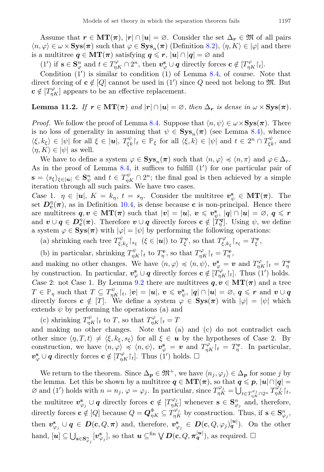Assume that  $r \in \mathbf{MT}(\pi)$ ,  $|r| \cap |u| = \emptyset$ . Consider the set  $\Delta_r \in \mathfrak{M}$  of all pairs  $\langle n, \varphi \rangle \in \omega \times \mathbf{Sys}(\boldsymbol{\pi})$  such that  $\varphi \in \mathbf{Sys}_n(\boldsymbol{\pi})$  (Definition [8.2\)](#page-12-4),  $\langle \eta, K \rangle \in |\varphi|$  and there is a multitree  $q \in \mathbf{MT}(\pi)$  satisfying  $q \leq r$ ,  $|u| \cap |q| = \varnothing$  and

(1') if  $\mathbf{s} \in \mathbf{S}_{\varphi}^n$  and  $t \in T_{\eta K}^{\varphi} \cap 2^n$ , then  $\mathbf{v}_{\varphi}^{\mathbf{s}} \cup \mathbf{q}$  directly forces  $\mathbf{c} \notin [T_{\eta K}^{\varphi} \setminus t]$ .

Condition  $(1')$  is similar to condition  $(1)$  of Lemma [8.4,](#page-12-2) of course. Note that direct forcing of  $c \notin [Q]$  cannot be used in (1') since Q need not belong to  $\mathfrak{M}$ . But  $\mathbf{c} \notin [T_{\eta K}^{\varphi}]$  appears to be an effective replacement.

## **Lemma 11.2.** If  $r \in \text{MT}(\pi)$  and  $|r| \cap |u| = \emptyset$ , then  $\Delta_r$  is dense in  $\omega \times \text{Sys}(\pi)$ .

*Proof.* We follow the proof of Lemma [8.4.](#page-12-2) Suppose that  $\langle n, \psi \rangle \in \omega \times \mathbf{Sys}(\pi)$ . There is no loss of generality in assuming that  $\psi \in \mathbf{Sys}_n(\pi)$  (see Lemma [8.4\)](#page-12-2), whence  $\langle \xi, k_{\xi} \rangle \in |\psi|$  for all  $\xi \in |\mathbf{u}|$ ,  $T_{\xi k}^{\psi} \dagger_i \in \mathbb{P}_{\xi}$  for all  $\langle \xi, k \rangle \in |\psi|$  and  $t \in 2^{n} \cap T_{\xi k}^{\psi}$ , and  $\langle \eta, K \rangle \in |\psi|$  as well.

We have to define a system  $\varphi \in \mathbf{Sys}_n(\pi)$  such that  $\langle n, \varphi \rangle \preccurlyeq \langle n, \pi \rangle$  and  $\varphi \in \Delta_r$ . As in the proof of Lemma [8.4,](#page-12-2) it suffices to fulfill  $(1')$  for one particular pair of  $\mathbf{s} = \langle s_{\xi} \rangle_{\xi \in |\mathbf{u}|} \in \mathbf{S}_{\psi}^{n}$  and  $t \in T_{\eta K}^{\psi} \cap 2^{n}$ ; the final goal is then achieved by a simple iteration through all such pairs. We have two cases.

Case 1.  $\eta \in |\mathbf{u}|$ ,  $K = k_{\eta}$ ,  $t = s_{\eta}$ . Consider the multitree  $\mathbf{v}_{\psi}^{\mathbf{s}} \in \mathbf{MT}(\pi)$ . The set  $D_{\mathbf{c}}^{\eta}(\pi)$ , as in Definition [10.4,](#page-14-0) is dense because c is non-principal. Hence there are multitrees  $q, v \in \mathbf{MT}(\pi)$  such that  $|v| = |\boldsymbol{u}|, v \leqslant v_{\psi}^{\mathbf{s}}, |\boldsymbol{q}| \cap |\boldsymbol{u}| = \varnothing, q \leqslant r$ and  $v \cup q \in D_{\mathbf{c}}^{\eta}(\pi)$ . Therefore  $v \cup q$  directly forces  $\mathbf{c} \notin [\tilde{T}_{\eta}^{\mathbf{q}}]$ . Using  $\psi$ , we define a system  $\varphi \in \mathbf{Sys}(\pi)$  with  $|\varphi| = |\psi|$  by performing the following operations:

(a) shrinking each tree  $T^{\psi}_{\xi, k_{\xi}}\upharpoonright_{s_{\xi}} (\xi \in |u|)$  to  $T^{\mathbf{v}}_{\xi}$ , so that  $T^{\varphi}_{\xi, k_{\xi}}\upharpoonright_{s_{\xi}} = T^{\mathbf{v}}_{\xi}$ ,

(b) in particular, shrinking  $T_{\eta K}^{\psi}$  to  $T_{\eta}^{\mathbf{v}}$ , so that  $T_{\eta K}^{\varphi}$  t<sub>i</sub> =  $T_{\eta}^{\mathbf{v}}$ ,

and making no other changes. We have  $\langle n, \varphi \rangle \preccurlyeq \langle n, \psi \rangle$ ,  $\mathbf{v}_{\varphi}^{\mathbf{s}} = \mathbf{v}$  and  $T_{\eta K}^{\varphi} \vert_t = T_{\eta}^{\mathbf{v}}$ by construction. In particular,  $v^s_{\varphi} \cup q$  directly forces  $c \notin [T^{\varphi}_{\eta K}|_{t}]$ . Thus  $(1')$  holds. Case 2: not Case 1. By Lemma [9.2](#page-14-1) there are multitrees  $q, v \in \mathbf{MT}(\pi)$  and a tree  $T\in{\mathbb P}_\eta \,\,\text{such that}\,\, T\subseteq T^\psi_{\eta K}{\restriction} _t,\, |{\boldsymbol v}|=|{\boldsymbol u}|,\, {\boldsymbol v}\leqslant{\boldsymbol v}^{\mathbf{s}}_\psi,\, |{\boldsymbol q}|\cap |{\boldsymbol u}|=\varnothing,\, {\boldsymbol q}\leqslant r\,\, \text{and}\,\, {\boldsymbol v}\cup{\boldsymbol q}$ directly forces  $\mathbf{c} \notin [T]$ . We define a system  $\varphi \in \mathbf{Sys}(\pi)$  with  $|\varphi| = |\psi|$  which extends  $\psi$  by performing the operations (a) and

(c) shrinking  $T_{\eta K}^{\psi}$  to T, so that  $T_{\eta K}^{\varphi}$  t<sub>t</sub> = T

and making no other changes. Note that (a) and (c) do not contradict each other since  $\langle \eta, T, t \rangle \neq \langle \xi, k_{\xi}, s_{\xi} \rangle$  for all  $\xi \in \mathbf{u}$  by the hypotheses of Case 2. By construction, we have  $\langle n, \varphi \rangle \preccurlyeq \langle n, \psi \rangle$ ,  $\mathbf{v}_{\varphi}^{\mathbf{s}} = \mathbf{v}$  and  $T_{\eta K}^{\varphi} \rvert_t = T_{\eta}^{\mathbf{v}}$ . In particular,  $v^s_{\varphi} \cup q$  directly forces  $\mathbf{c} \notin [T^{\varphi}_{\eta K}\mathbf{r}_t]$ . Thus  $(1')$  holds.  $\square$ 

We return to the theorem. Since  $\Delta_p \in \mathfrak{M}^+$ , we have  $\langle n_j, \varphi_j \rangle \in \Delta_p$  for some j by the lemma. Let this be shown by a multitree  $q \in \text{MT}(\pi)$ , so that  $q \leq p$ ,  $|u| \cap |q|$  $\varnothing$  and (1') holds with  $n = n_j$ ,  $\varphi = \varphi_j$ . In particular, since  $T_{\eta K}^{\varphi_j} = \bigcup_{t \in T_{\eta K}^{\varphi_j} \cap 2^n} T_{\eta K}^{(\varphi_j)}[t, t]$ the multitree  $v_{\varphi_j}^s \cup q$  directly forces  $c \notin [T_{\eta K}^{\varphi_j}]$  whenever  $s \in S_{\varphi_j}^n$  and, therefore, directly forces  $\mathbf{c} \notin [Q]$  because  $Q = \mathbf{Q}_{\eta K}^{\Phi} \subseteq T_{\eta K}^{\varphi_j}$  by construction. Thus, if  $\mathbf{s} \in \mathbf{S}_{\varphi_j}^n$ , then  $v^s_{\varphi_j} \cup q \in D(c, Q, \pi)$  and, therefore,  $v^s_{\varphi_j} \in D(c, Q, \varphi_j)_q^{|u|}$ ). On the other hand,  $[\boldsymbol{u}] \subseteq \bigcup_{\mathbf{s} \in \mathbf{S}_{\varphi_j}^n} [\boldsymbol{v}_{\varphi_j}^{\mathbf{s}}],$  so that  $\boldsymbol{u} \subseteq^{\text{fin}} \bigvee \boldsymbol{D}(\mathbf{c}, Q, \boldsymbol{\pi}_{\boldsymbol{q}}^{|\boldsymbol{u}|}),$  as required.  $\Box$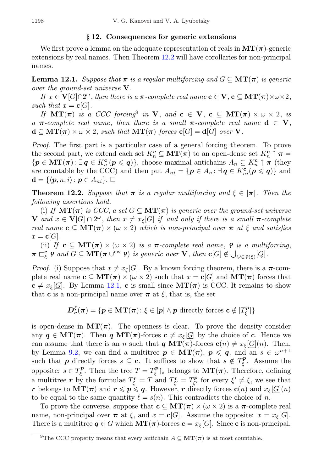### § 12. Consequences for generic extensions

We first prove a lemma on the adequate representation of reals in  $MT(\pi)$ -generic extensions by real names. Then Theorem [12.2](#page-17-0) will have corollaries for non-principal names.

<span id="page-17-2"></span>**Lemma 12.1.** Suppose that  $\pi$  is a regular multiforcing and  $G \subseteq \mathbf{MT}(\pi)$  is generic over the ground-set universe V.

If  $x \in V[G] \cap 2^{\omega}$ , then there is a  $\pi$ -complete real name  $c \in V$ ,  $c \subseteq MT(\pi) \times \omega \times 2$ , such that  $x = c[G]$ .

If  $MT(\pi)$  is a CCC forcing<sup>[9](#page-17-1)</sup> in V, and  $c \in V$ ,  $c \subseteq MT(\pi) \times \omega \times 2$ , is a  $\pi$ -complete real name, then there is a small  $\pi$ -complete real name  $d \in V$ ,  $d \subseteq MT(\pi) \times \omega \times 2$ , such that  $MT(\pi)$  forces  $c[G] = d[G]$  over V.

Proof. The first part is a particular case of a general forcing theorem. To prove the second part, we extend each set  $K_n^{\mathbf{c}} \subseteq \mathbf{MT}(\boldsymbol{\pi})$  to an open-dense set  $K_n^{\mathbf{c}} \uparrow \boldsymbol{\pi} =$  $\{p \in \mathbf{MT}(\pi) : \exists q \in K_n^{\mathbf{c}} \, (p \leqslant q)\},\$ choose maximal antichains  $A_n \subseteq K_n^{\mathbf{c}} \uparrow \pi$  (they are countable by the CCC) and then put  $A_{ni} = \{p \in A_n : \exists q \in K_{ni}^c(p \leqslant q)\}\$ and  $\mathbf{d} = \{ \langle \boldsymbol{p}, n, i \rangle \colon \boldsymbol{p} \in A_{ni} \}. \ \Box$ 

<span id="page-17-0"></span>**Theorem 12.2.** Suppose that  $\pi$  is a regular multiforcing and  $\xi \in |\pi|$ . Then the following assertions hold.

(i) If  $MT(\pi)$  is CCC, a set  $G \subseteq MT(\pi)$  is generic over the ground-set universe **V** and  $x \in V[G] \cap 2^{\omega}$ , then  $x \neq x_{\xi}[G]$  if and only if there is a small  $\pi$ -complete real name  $c \subseteq MT(\pi) \times (\omega \times 2)$  which is non-principal over  $\pi$  at  $\xi$  and satisfies  $x = \mathbf{c}[G].$ 

(ii) If  $c \subseteq MT(\pi) \times (\omega \times 2)$  is a  $\pi$ -complete real name,  $\rho$  is a multiforcing,  $\pi \subset_{\xi}^{\mathbf{c}} \varrho$  and  $G \subseteq \mathbf{MT}(\pi \cup^{\text{cw}} \varrho)$  is generic over  $\mathbf{V}$ , then  $\mathbf{c}[G] \notin \bigcup_{Q \in \varrho(\xi)}[Q]$ .

*Proof.* (i) Suppose that  $x \neq x_{\xi}[G]$ . By a known forcing theorem, there is a  $\pi$ -complete real name  $c \subseteq MT(\pi) \times (\omega \times 2)$  such that  $x = c[G]$  and  $MT(\pi)$  forces that  $c \neq x_{\xi}[\underline{G}]$ . By Lemma [12.1,](#page-17-2) c is small since  $MT(\pi)$  is CCC. It remains to show that **c** is a non-principal name over  $\pi$  at  $\xi$ , that is, the set

$$
\boldsymbol{D}_{\mathbf{c}}^{\xi}(\boldsymbol{\pi}) = \{ \boldsymbol{p} \in \mathbf{MT}(\boldsymbol{\pi}) \colon \xi \in |\boldsymbol{p}| \wedge \boldsymbol{p} \text{ directly forces } \mathbf{c} \notin [T_{\xi}^{\boldsymbol{p}}] \}
$$

is open-dense in  $MT(\pi)$ . The openness is clear. To prove the density consider any  $q \in \text{MT}(\pi)$ . Then q  $\text{MT}(\pi)$ -forces  $c \neq x_{\xi}[G]$  by the choice of c. Hence we can assume that there is an n such that  $q \text{MT}(\pi)$ -forces  $c(n) \neq x_{\xi}[G](n)$ . Then, by Lemma [9.2,](#page-14-1) we can find a multitree  $p \in \text{MT}(\pi)$ ,  $p \leqslant q$ , and an  $s \in \omega^{n+1}$ such that p directly forces  $s \subseteq \mathbf{c}$ . It suffices to show that  $s \notin T_{\xi}^{\mathbf{p}}$ . Assume the opposite:  $s \in T_{\xi}^{\mathbf{p}}$ . Then the tree  $T = T_{\xi}^{\mathbf{p}} \rvert_s$  belongs to  $\mathbf{MT}(\pi)$ . Therefore, defining a multitree r by the formulae  $T_{\xi}^r = T$  and  $T_{\xi'}^r = T_{\xi'}^p$  for every  $\xi' \neq \xi$ , we see that r belongs to  $\mathbf{MT}(\pi)$  and  $r \leqslant p \leqslant q$ . However, r directly forces  $\mathbf{c}(n)$  and  $x_{\xi}[G](n)$ to be equal to the same quantity  $\ell = s(n)$ . This contradicts the choice of n.

To prove the converse, suppose that  $c \subseteq MT(\pi) \times (\omega \times 2)$  is a  $\pi$ -complete real name, non-principal over  $\pi$  at  $\xi$ , and  $x = \mathbf{c}[G]$ . Assume the opposite:  $x = x_{\xi}[G]$ . There is a multitree  $q \in G$  which  $MT(\pi)$ -forces  $c = x_{\xi}[G]$ . Since c is non-principal,

<span id="page-17-1"></span><sup>&</sup>lt;sup>9</sup>The CCC property means that every antichain  $A \subseteq \mathbf{MT}(\pi)$  is at most countable.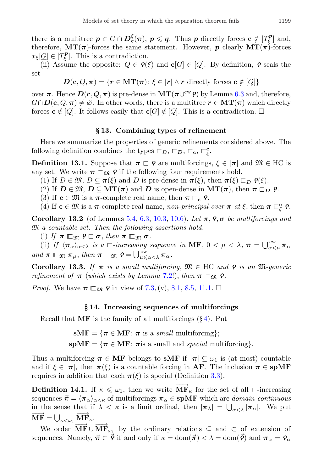there is a multitree  $p \in G \cap D_{\mathbf{c}}^{\xi}(\pi)$ ,  $p \leqslant q$ . Thus p directly forces  $\mathbf{c} \notin [T_{\xi}^p]$  and, therefore,  $MT(\pi)$ -forces the same statement. However, p clearly  $MT(\pi)$ -forces  $x_{\xi}[\underline{G}] \in [T_{\xi}^{\mathbf{p}}]$ . This is a contradiction.

(ii) Assume the opposite:  $Q \in \mathcal{P}(\xi)$  and  $\mathbf{c}[G] \in [Q]$ . By definition,  $\varphi$  seals the set

$$
\mathbf{D}(\mathbf{c}, Q, \boldsymbol{\pi}) = \{ \mathbf{r} \in \mathbf{MT}(\boldsymbol{\pi}) \colon \xi \in |\mathbf{r}| \land \mathbf{r} \text{ directly forces } \mathbf{c} \notin [Q] \}
$$

over  $\pi$ . Hence  $D(c, Q, \pi)$  is pre-dense in  $\mathbf{MT}(\pi \cup^{\mathrm{cw}} \mathbf{P})$  by Lemma [6.3](#page-8-3) and, therefore,  $G \cap D(c, Q, \pi) \neq \emptyset$ . In other words, there is a multitree  $r \in \mathbf{MT}(\pi)$  which directly forces  $\mathbf{c} \notin [Q]$ . It follows easily that  $\mathbf{c}[G] \notin [Q]$ . This is a contradiction.  $\Box$ 

### § 13. Combining types of refinement

<span id="page-18-0"></span>Here we summarize the properties of generic refinements considered above. The following definition combines the types  $\Box_D$ ,  $\Box_D$ ,  $\Box_c$ ,  $\Box^c_{\xi}$ .

<span id="page-18-4"></span>**Definition 13.1.** Suppose that  $\pi \subset \gamma$  are multiforcings,  $\xi \in |\pi|$  and  $\mathfrak{M} \in \mathrm{HC}$  is any set. We write  $\pi \rvert_{\mathfrak{m}} \rho$  if the following four requirements hold.

(1) If  $D \in \mathfrak{M}, D \subseteq \pi(\xi)$  and D is pre-dense in  $\pi(\xi)$ , then  $\pi(\xi) \sqsubset_D \varphi(\xi)$ .

(2) If  $D \in \mathfrak{M}, D \subseteq \mathbf{MT}(\pi)$  and D is open-dense in  $\mathbf{MT}(\pi)$ , then  $\pi \sqsubset_D \varrho$ .

(3) If  $c \in \mathfrak{M}$  is a  $\pi$ -complete real name, then  $\pi \sqsubset_{c} \rho$ .

(4) If  $c \in \mathfrak{M}$  is a  $\pi$ -complete real name, non-principal over  $\pi$  at  $\xi$ , then  $\pi \sqsubset_{\xi}^c \rho$ .

<span id="page-18-3"></span>Corollary 13.2 (of Lemmas [5.4,](#page-7-3) [6.3,](#page-8-3) [10.3,](#page-14-2) [10.6\)](#page-15-0). Let  $\pi$ ,  $\rho$ ,  $\sigma$  be multiforcings and M a countable set. Then the following assertions hold.

(i) If  $\pi \sqsubseteq_{\mathfrak{M}} \varphi \sqsubset \sigma$ , then  $\pi \sqsubseteq_{\mathfrak{M}} \sigma$ .

(ii) If  $\langle \pi_{\alpha} \rangle_{\alpha < \lambda}$  is a  $\Box$ -increasing sequence in MF,  $0 < \mu < \lambda$ ,  $\pi = \bigcup_{\alpha < \mu}^{\text{cw}} \pi_{\alpha}$ and  $\pi \sqsubset_{\mathfrak{M}} \pi_{\mu}$ , then  $\pi \sqsubset_{\mathfrak{M}} \varrho = \bigcup_{\mu \leq \alpha < \lambda}^{\text{cw}} \pi_{\alpha}$ .

<span id="page-18-2"></span>Corollary 13.3. If  $\pi$  is a small multiforcing,  $\mathfrak{M} \in \mathrm{HC}$  and  $\varphi$  is an  $\mathfrak{M}$ -generic refinement of  $\pi$  (which exists by Lemma [7.2!](#page-10-3)), then  $\pi \mathbb{F}_{\mathfrak{M}}$  **?**.

*Proof.* We have  $\pi \sqsubseteq_{\mathfrak{M}} \mathfrak{e}$  in view of [7.3,](#page-11-0) (v), [8.1,](#page-12-3) [8.5,](#page-13-2) [11.1.](#page-15-1)  $\Box$ 

## § 14. Increasing sequences of multiforcings

<span id="page-18-1"></span>Recall that  $\mathbf{MF}$  is the family of all multiforcings  $(\S 4)$  $(\S 4)$ . Put

 $sMF = \{\pi \in MF : \pi \text{ is a small multiform}\}\;$ 

 $s$ **pMF** = { $\pi \in$  **MF**:  $\pi$  is a small and *special* multiforcing}.

Thus a multiforcing  $\pi \in \mathbf{MF}$  belongs to sMF if  $|\pi| \subseteq \omega_1$  is (at most) countable and if  $\xi \in |\pi|$ , then  $\pi(\xi)$  is a countable forcing in AF. The inclusion  $\pi \in \text{spMF}$ requires in addition that each  $\pi(\xi)$  is special (Definition [3.3\)](#page-4-3).

**Definition 14.1.** If  $\kappa \leq \omega_1$ , then we write  $\overline{MF}_{\kappa}$  for the set of all ⊏-increasing sequences  $\vec{\pi} = \langle \pi_{\alpha} \rangle_{\alpha \leq \kappa}$  of multiforcings  $\pi_{\alpha} \in \text{spMF}$  which are *domain-continuous* in the sense that if  $\lambda < \kappa$  is a limit ordinal, then  $|\pi_{\lambda}| = \bigcup_{\alpha < \lambda} |\pi_{\alpha}|$ . We put  $\overrightarrow{\textbf{MF}} = \bigcup_{\kappa < \omega_1} \overrightarrow{\textbf{MF}}_{\kappa}.$ 

We order  $\overrightarrow{MF} \cup \overrightarrow{MF}_{\omega_1}$  by the ordinary relations  $\subseteq$  and  $\subset$  of extension of sequences. Namely,  $\vec{\pi} \subset \vec{\rho}$  if and only if  $\kappa = \text{dom}(\vec{\pi}) < \lambda = \text{dom}(\vec{\rho})$  and  $\pi_{\alpha} = \gamma_{\alpha}$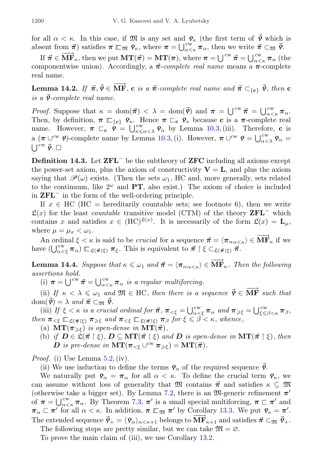for all  $\alpha < \kappa$ . In this case, if M is any set and  $\varphi_{\kappa}$  (the first term of  $\vec{\varphi}$  which is absent from  $\vec{\pi}$ ) satisfies  $\pi \rvert_{\mathfrak{M}} \rho_{\kappa}$ , where  $\pi = \bigcup_{\alpha < \kappa}^{\mathfrak{cw}} \pi_{\alpha}$ , then we write  $\vec{\pi} \subset_{\mathfrak{M}} \vec{\rho}$ .

If  $\vec{\pi} \in \overrightarrow{MF}_{\kappa}$ , then we put  $\overrightarrow{MT(\vec{\pi})} = \overrightarrow{MT(\pi)}$ , where  $\pi = \bigcup^{cw} \vec{\pi} = \bigcup^{cw}_{\alpha \leq \kappa} \pi_{\alpha}$  (the componentwise union). Accordingly, a  $\vec{\pi}$ -complete real name means a  $\pi$ -complete real name.

<span id="page-19-2"></span>Lemma 14.2. If  $\vec{\pi}, \vec{\gamma} \in \overrightarrow{MF}$ , c is a  $\vec{\pi}$ -complete real name and  $\vec{\pi} \subset_{\{c\}} \vec{\gamma}$ , then c is a  $\vec{\mathsf{P}}$ -complete real name.

*Proof.* Suppose that  $\kappa = \text{dom}(\vec{\pi}) < \lambda = \text{dom}(\vec{\rho})$  and  $\pi = \bigcup_{\alpha \leq \kappa}^{\text{cw}} \vec{\pi} = \bigcup_{\alpha \leq \kappa}^{\text{cw}} \pi_{\alpha}$ . Then, by definition,  $\pi \rvert_{c} \qquad \gamma_{\kappa}$ . Hence  $\pi \rvert_{c} \qquad \gamma_{\kappa}$  because c is a  $\pi$ -complete real name. However,  $\pi \subset_{c} \rho = \bigcup_{\kappa \leq \alpha < \lambda}^{\text{cw}} \rho_{\alpha}$  by Lemma [10.3,](#page-14-2) (iii). Therefore, c is a  $(\pi \cup^{\text{cw}} \rho)$ -complete name by Lemma [10.3,](#page-14-2) (i). However,  $\pi \cup^{\text{cw}} \rho = \bigcup_{\alpha < \lambda}^{\text{cw}} \rho_\alpha =$  $\left[\right]^{cw} \vec{\rho}$ .  $\Box$ 

<span id="page-19-0"></span>Definition 14.3. Let ZFL<sup>−</sup> be the subtheory of ZFC including all axioms except the power-set axiom, plus the axiom of constructivity  $V = L$ , and plus the axiom saying that  $\mathcal{P}(\omega)$  exists. (Then the sets  $\omega_1$ , HC and, more generally, sets related to the continuum, like  $2^{\omega}$  and **PT**, also exist.) The axiom of choice is included in ZFL<sup>−</sup> in the form of the well-ordering principle.

If  $x \in \text{HC}$  (HC = hereditarily countable sets; see footnote 6), then we write  $\mathfrak{L}(x)$  for the least *countable* transitive model (CTM) of the theory **ZFL**<sup>−</sup> which contains x and satisfies  $x \in (HC)^{\mathfrak{L}(x)}$ . It is necessarily of the form  $\mathfrak{L}(x) = L_{\mu}$ , where  $\mu = \mu_x < \omega_1$ .

An ordinal  $\xi < \kappa$  is said to be *crucial* for a sequence  $\vec{\pi} = \langle \pi_{\alpha \alpha < \kappa} \rangle \in \mathbf{MF}_{\kappa}$  if we have  $(\bigcup_{\alpha<\xi}^{\text{cw}} \pi_\alpha) \sqsubset_{\mathfrak{L}(\vec{\pi}|\xi)} \pi_\xi$ . This is equivalent to  $\vec{\pi} \restriction \xi \subset_{\mathfrak{L}(\vec{\pi}|\xi)} \vec{\pi}$ .

<span id="page-19-1"></span>**Lemma 14.4.** Suppose that  $\kappa \leq \omega_1$  and  $\vec{\pi} = \langle \pi_{\alpha \alpha \leq \kappa} \rangle \in \overrightarrow{MF}_{\kappa}$ . Then the following assertions hold.

(i)  $\pi = \bigcup^{\text{cw}} \vec{\pi} = \bigcup^{\text{cw}}_{\alpha < \kappa} \pi_{\alpha}$  is a regular multiforcing.

(ii) If  $\kappa < \lambda \leq \omega_1$  and  $\mathfrak{M} \in \text{HC}$ , then there is a sequence  $\vec{\mathsf{P}} \in \overrightarrow{\text{MF}}$  such that  $dom(\vec{\varphi}) = \lambda \text{ and } \vec{\pi} \subset_{\mathfrak{M}} \vec{\varphi}.$ 

(iii) If  $\xi < \kappa$  is a crucial ordinal for  $\vec{\pi}$ ,  $\pi_{\leq \xi} = \bigcup_{\alpha < \xi}^{\text{cw}} \pi_\alpha$  and  $\pi_{\geq \xi} = \bigcup_{\xi \leq \beta < \kappa}^{\text{cw}} \pi_\beta$ , then  $\pi_{\leq \xi} \sqsubseteq_{\mathfrak{L}(\vec{\pi} \restriction \xi)} \pi_{\geq \xi}$  and  $\pi_{\leq \xi} \sqsubseteq_{\mathfrak{L}(\vec{\pi} \restriction \xi)} \pi_{\beta}$  for  $\xi \leq \beta \leq \kappa$ , whence,

- (a)  $MT(\pi_{\geq \xi})$  is open-dense in  $MT(\vec{\pi}),$
- (b) if  $D \in \mathfrak{L}(\vec{\pi} \restriction \xi), D \subseteq \text{MT}(\vec{\pi} \restriction \xi)$  and D is open-dense in  $\text{MT}(\vec{\pi} \restriction \xi)$ , then **D** is pre-dense in  $\mathbf{MT}(\pi_{<\xi} \cup^{\text{cw}} \pi_{\geq \xi}) = \mathbf{MT}(\vec{\pi}).$

*Proof.* (i) Use Lemma  $5.2$ , (iv).

(ii) We use induction to define the terms  $\rho_{\alpha}$  of the required sequence  $\vec{\rho}$ .

We naturally put  $\varphi_{\alpha} = \pi_{\alpha}$  for all  $\alpha < \kappa$ . To define the crucial term  $\varphi_{\kappa}$ , we can assume without loss of generality that M contains  $\vec{\pi}$  and satisfies  $\kappa \subseteq \mathfrak{M}$ (otherwise take a bigger set). By Lemma [7.2,](#page-10-3) there is an  $\mathfrak{M}$ -generic refinement  $\pi'$ of  $\pi = \bigcup_{\alpha < \kappa}^{\text{cw}} \pi_{\alpha}$ . By Theorem [7.3,](#page-11-0)  $\pi'$  is a small special multiforcing,  $\pi \sqsubset \pi'$  and  $\pi_{\alpha} \sqsubset \pi'$  for all  $\alpha < \kappa$ . In addition,  $\pi \sqsubset_{\mathfrak{M}} \pi'$  by Corollary [13.3.](#page-18-2) We put  $\varphi_{\kappa} = \pi'$ . The extended sequence  $\vec{\mathsf{p}}_{+} = \langle \mathsf{p}_{\alpha} \rangle_{\alpha < \kappa+1}$  belongs to  $\vec{\textbf{M}} \vec{\textbf{F}}_{\kappa+1}$  and satisfies  $\vec{\pi} \subset_{\mathfrak{M}} \vec{\mathsf{p}}_{+}$ .

The following steps are pretty similar, but we can take  $\mathfrak{M} = \varnothing$ .

To prove the main claim of (iii), we use Corollary [13.2.](#page-18-3)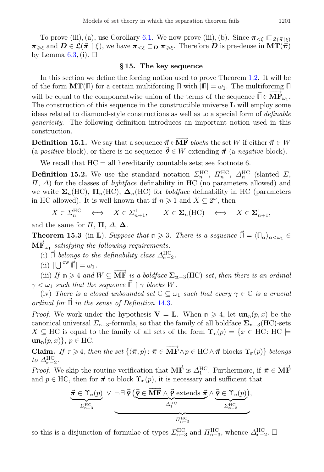To prove (iii), (a), use Corollary [6.1.](#page-8-2) We now prove (iii), (b). Since  $\pi_{\leq \xi} \mathbb{E}_{\xi(\vec{\pi} \restriction \xi)}$  $\pi_{\geq \xi}$  and  $D \in \mathfrak{L}(\vec{\pi} \restriction \xi)$ , we have  $\pi_{\leq \xi} \sqsubset_D \pi_{\geq \xi}$ . Therefore D is pre-dense in  $\mathrm{MT}(\vec{\pi})$ by Lemma  $6.3$ , (i).  $\square$ 

#### § 15. The key sequence

In this section we define the forcing notion used to prove Theorem [1.2.](#page-2-0) It will be of the form  $MT(\mathbb{I})$  for a certain multiforcing  $\mathbb{I}$  with  $|\mathbb{I}| = \omega_1$ . The multiforcing  $\mathbb{I}$ will be equal to the componentwise union of the terms of the sequence  $\vec{\Pi} \in \overrightarrow{MF}_{\omega_1}$ . The construction of this sequence in the constructible universe L will employ some ideas related to diamond-style constructions as well as to a special form of definable genericity. The following definition introduces an important notion used in this construction.

**Definition 15.1.** We say that a sequence  $\vec{\pi} \in \overrightarrow{MF}$  blocks the set W if either  $\vec{\pi} \in W$ (a positive block), or there is no sequence  $\vec{\phi} \in W$  extending  $\vec{\pi}$  (a negative block).

We recall that  $HC = all hereditary countable sets; see footnote 6.$ 

**Definition 15.2.** We use the standard notation  $\Sigma_n^{\text{HC}}, \Pi_n^{\text{HC}}, \Delta_n^{\text{HC}}$  (slanted  $\Sigma$ ,  $\Pi$ ,  $\Delta$ ) for the classes of *lightface* definability in HC (no parameters allowed) and we write  $\Sigma_n(HC)$ ,  $\Pi_n(HC)$ ,  $\Delta_n(HC)$  for *boldface* definability in HC (parameters in HC allowed). It is well known that if  $n \geq 1$  and  $X \subseteq 2^{\omega}$ , then

$$
X \in \Sigma_n^{\text{HC}} \iff X \in \Sigma_{n+1}^1, \qquad X \in \Sigma_n(\text{HC}) \iff X \in \Sigma_{n+1}^1,
$$

and the same for  $\Pi$ ,  $\Pi$ ,  $\Delta$ ,  $\Delta$ .

<span id="page-20-0"></span>**Theorem 15.3** (in **L**). Suppose that  $n \geq 3$ . There is a sequence  $\vec{\Pi} = \langle \Pi_{\alpha} \rangle_{\alpha < \omega_1} \in$  $\overrightarrow{\text{MF}}_{\omega_1}$  satisfying the following requirements.

- (i)  $\vec{\mathbb{I}}$  belongs to the definability class  $\Delta_{\mathbb{m}-2}^{\text{HC}}$ .
- $(iii) |U^{cw} \vec{\mathbb{I}}| = \omega_1.$

(ii) If  $\mathbb{R} \geq 4$  and  $W \subseteq \overrightarrow{MF}$  is a boldface  $\Sigma_{n-3}(\mathrm{HC})$ -set, then there is an ordinal  $\gamma < \omega_1$  such that the sequence  $\vec{\Pi} \restriction \gamma$  blocks W.

(iv) There is a closed unbounded set  $\mathbb{C} \subseteq \omega_1$  such that every  $\gamma \in \mathbb{C}$  is a crucial ordinal for **Π**⃗ in the sense of Definition [14.3.](#page-19-0)

*Proof.* We work under the hypothesis  $V = L$ . When  $n \geq 4$ , let  $un_n(p, x)$  be the canonical universal  $\Sigma_{n-3}$ -formula, so that the family of all boldface  $\Sigma_{n-3}(\mathrm{HC})$ -sets  $X \subseteq \text{HC}$  is equal to the family of all sets of the form  $\Upsilon_{\mathfrak{n}}(p) = \{x \in \text{HC} : \text{HC} \models$  $\textbf{un}_{\text{m}}(p, x)$ ,  $p \in \text{HC}$ .

**Claim.** If  $n \geq 4$ , then the set  $\{\langle \vec{\pi}, p \rangle : \vec{\pi} \in \overrightarrow{MF} \land p \in HC \land \vec{\pi}$  blocks  $\Upsilon_n(p)\}$  belongs to  $\Delta_{n-2}^{\text{HC}}$ .

Proof. We skip the routine verification that  $\overrightarrow{MF}$  is  $\Delta_1^{\text{HC}}$ . Furthermore, if  $\vec{\pi} \in \overrightarrow{MF}$ and  $p \in \text{HC}$ , then for  $\vec{\pi}$  to block  $\Upsilon_{\mathfrak{n}}(p)$ , it is necessary and sufficient that

$$
\underbrace{\vec{\pi} \in \Upsilon_{\mathsf{n}}(p)}_{\varSigma^{\mathrm{HC}}_{\mathsf{n}-3}} \vee \neg \exists \ \vec{\varphi} \left( \underbrace{\vec{\varphi} \in \overrightarrow{\mathrm{MF}} \wedge \vec{\varphi} \textrm{ extends } \vec{\pi}}_{\varDelta^{\mathrm{HC}}_1} \wedge \underbrace{\vec{\varphi} \in \Upsilon_{\mathsf{n}}(p)}_{\varSigma^{\mathrm{HC}}_{\mathsf{n}-3}} \right),
$$

so this is a disjunction of formulae of types  $\sum_{n=3}^{HC}$  and  $\prod_{n=3}^{HC}$ , whence  $\Delta_{n-2}^{HC}$ .  $\Box$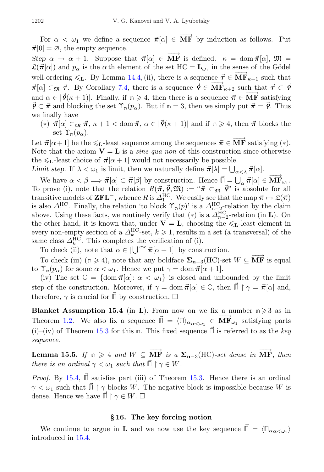For  $\alpha < \omega_1$  we define a sequence  $\vec{\pi}[\alpha] \in \overrightarrow{\textbf{MF}}$  by induction as follows. Put  $\vec{\pi}[0] = \emptyset$ , the empty sequence.

Step  $\alpha \to \alpha + 1$ . Suppose that  $\vec{\pi}[\alpha] \in \overrightarrow{MF}$  is defined.  $\kappa = \text{dom } \vec{\pi}[\alpha], \mathfrak{M} =$  $\mathfrak{L}(\vec{\pi}[\alpha])$  and  $p_{\alpha}$  is the  $\alpha$  th element of the set  $HC = \mathbf{L}_{\omega_1}$  in the sense of the Gödel well-ordering  $\leq_L$ . By Lemma [14.4,](#page-19-1) (ii), there is a sequence  $\vec{\tau} \in \overline{\mathbf{MF}}_{\kappa+1}$  such that  $\vec{\pi}[\alpha] \subset_{\mathfrak{M}} \vec{\tau}$ . By Corollary [7.4,](#page-11-1) there is a sequence  $\vec{\varphi} \in \overline{\text{MF}}_{\kappa+2}$  such that  $\vec{\tau} \subset \vec{\varphi}$ and  $\alpha \in [\vec{\mathcal{P}}(\kappa+1)]$ . Finally, if  $n \geq 4$ , then there is a sequence  $\vec{\pi} \in \overline{\textbf{MF}}$  satisfying  $\vec{\mathcal{P}} \subset \vec{\pi}$  and blocking the set  $\Upsilon_{\mathsf{n}}(p_{\alpha})$ . But if  $\mathsf{n} = 3$ , then we simply put  $\vec{\pi} = \vec{\mathcal{P}}$ . Thus we finally have

(\*)  $\vec{\pi}[\alpha] \subset \mathfrak{m}$   $\vec{\pi}, \kappa + 1 < \text{dom } \vec{\pi}, \alpha \in [\vec{\phi}(\kappa + 1)]$  and if  $\mathfrak{m} \geq 4$ , then  $\vec{\pi}$  blocks the set  $\Upsilon_n(p_\alpha)$ .

Let  $\vec{\pi}[\alpha+1]$  be the  $\leq_L$ -least sequence among the sequences  $\vec{\pi} \in \overrightarrow{MF}$  satisfying  $(*)$ . Note that the axiom  $V = L$  is a *sine qua non* of this construction since otherwise the  $\leq L$ -least choice of  $\vec{\pi}[\alpha+1]$  would not necessarily be possible.

Limit step. If  $\lambda < \omega_1$  is limit, then we naturally define  $\vec{\pi}[\lambda] = \bigcup_{\alpha < \lambda} \vec{\pi}[\alpha].$ 

We have  $\alpha < \beta \Longrightarrow \vec{\pi}[\alpha] \subset \vec{\pi}[\beta]$  by construction. Hence  $\vec{\Pi} = \bigcup_{\alpha} \vec{\pi}[\alpha] \in \overrightarrow{\mathbf{MF}}_{\omega_1}$ . To prove (i), note that the relation  $R(\vec{\pi}, \vec{\varrho}, \mathfrak{M}) := \pi \vec{\pi} \subset_{\mathfrak{M}} \vec{\varrho}$  is absolute for all transitive models of **ZFL**<sup>-</sup>, whence R is  $\Delta_1^{\text{HC}}$ . We easily see that the map  $\vec{\pi} \mapsto \mathfrak{L}(\vec{\pi})$ is also  $\Delta_1^{\text{HC}}$ . Finally, the relation 'to block  $\Upsilon_{\text{m}}(p)$ ' is a  $\Delta_{\text{m-2}}^{\text{HC}}$ -relation by the claim above. Using these facts, we routinely verify that  $(*)$  is a  $\Delta_{n-2}^{HC}$ -relation (in **L**). On the other hand, it is known that, under  $V = L$ , choosing the  $\leq L$ -least element in every non-empty section of a  $\Delta_k^{\text{HC}}$ -set,  $k \geq 1$ , results in a set (a transversal) of the same class  $\Delta_k^{\text{HC}}$ . This completes the verification of (i).

To check (ii), note that  $\alpha \in |\bigcup^{\text{cw}} \vec{\pi}[\alpha + 1]|$  by construction.

To check (iii)  $(n \geq 4)$ , note that any boldface  $\Sigma_{n-3}(\text{HC})$ -set  $W \subseteq \overrightarrow{\text{MF}}$  is equal to  $\Upsilon_{\mathsf{n}}(p_{\alpha})$  for some  $\alpha < \omega_1$ . Hence we put  $\gamma = \text{dom } \vec{\pi}[\alpha + 1]$ .

(iv) The set  $\mathbb{C} = {\text{dom }} \vec{\pi} | \alpha | : \alpha < \omega_1$  is closed and unbounded by the limit step of the construction. Moreover, if  $\gamma = \text{dom } \vec{\pi}[\alpha] \in \mathbb{C}$ , then  $\mathbb{I} \restriction \gamma = \vec{\pi}[\alpha]$  and, therefore,  $\gamma$  is crucial for  $\vec{\parallel}$  by construction.  $\square$ 

<span id="page-21-1"></span>**Blanket Assumption 15.4** (in **L**). From now on we fix a number  $n \ge 3$  as in Theorem [1.2.](#page-2-0) We also fix a sequence  $\vec{\Pi} = \langle \Pi \rangle_{\alpha_{\alpha} < \omega_1} \in \overline{\mathbf{MF}}_{\omega_1}$  satisfying parts (i)–(iv) of Theorem [15.3](#page-20-0) for this  $\mathbf{n}$ . This fixed sequence  $\vec{\mathbf{n}}$  is referred to as the key sequence.

<span id="page-21-2"></span>Lemma 15.5. If  $n \geq 4$  and  $W \subseteq \overrightarrow{MF}$  is a  $\Sigma_{n-3}(\text{HC})$ -set dense in  $\overrightarrow{MF}$ , then there is an ordinal  $\gamma < \omega_1$  such that  $\vec{\Pi} \restriction \gamma \in W$ .

Proof. By [15.4,](#page-21-1)  $\vec{\mathbb{I}}$  satisfies part (iii) of Theorem [15.3.](#page-20-0) Hence there is an ordinal  $\gamma < \omega_1$  such that  $\vec{\Pi} \restriction \gamma$  blocks W. The negative block is impossible because W is dense. Hence we have  $\mathbb{I} \restriction \gamma \in W$ .  $\square$ 

#### § 16. The key forcing notion

<span id="page-21-0"></span>We continue to argue in **L** and we now use the key sequence  $\vec{\Pi} = \langle \Pi_{\alpha \alpha \langle \omega_1} \rangle$ introduced in [15.4.](#page-21-1)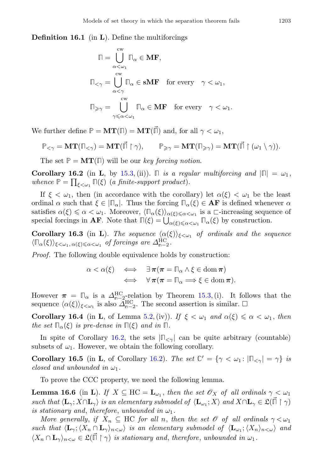**Definition 16.1** (in  $\bf{L}$ ). Define the multiforcings

$$
\begin{aligned}\n\mathbb{\Pi} &= \bigcup_{\alpha < \omega_1}^{\text{cw}} \mathbb{\Pi}_{\alpha} \in \mathbf{MF}, \\
\mathbb{\Pi}_{<\gamma} &= \bigcup_{\alpha < \gamma}^{\text{cw}} \mathbb{\Pi}_{\alpha} \in \mathbf{sMF} \quad \text{for every} \quad \gamma < \omega_1, \\
\mathbb{\Pi}_{\geq \gamma} &= \bigcup_{\gamma \leqslant \alpha < \omega_1}^{\text{cw}} \mathbb{\Pi}_{\alpha} \in \mathbf{MF} \quad \text{for every} \quad \gamma < \omega_1.\n\end{aligned}
$$

We further define  $\mathbb{P} = \mathbf{MT}(\mathbb{I}) = \mathbf{MT}(\mathbb{I})$  and, for all  $\gamma < \omega_1$ ,

$$
\mathbb{P}_{<\gamma} = \mathbf{MT}(\mathbb{F}_{<\gamma}) = \mathbf{MT}(\vec{\mathbb{F}} \restriction \gamma), \qquad \mathbb{P}_{\geqslant \gamma} = \mathbf{MT}(\mathbb{F}_{\geqslant \gamma}) = \mathbf{MT}(\vec{\mathbb{F}} \restriction (\omega_1 \setminus \gamma)).
$$

The set  $P = MT(\Pi)$  will be our key forcing notion.

<span id="page-22-0"></span>Corollary 16.2 (in L, by [15.3,](#page-20-0) (ii)).  $\Box$  is a regular multiforcing and  $|\Box| = \omega_1$ , whence  $\mathbb{P} = \prod_{\xi < \omega_1} \mathbb{P}(\xi)$  (a finite-support product).

If  $\xi < \omega_1$ , then (in accordance with the corollary) let  $\alpha(\xi) < \omega_1$  be the least ordinal  $\alpha$  such that  $\xi \in |\mathbb{T}_{\alpha}|$ . Thus the forcing  $\mathbb{T}_{\alpha}(\xi) \in \mathbf{AF}$  is defined whenever  $\alpha$ satisfies  $\alpha(\xi) \leq \alpha < \omega_1$ . Moreover,  $\langle \mathbb{T}_{\alpha}(\xi) \rangle_{\alpha(\xi) \leq \alpha < \omega_1}$  is a ⊏-increasing sequence of special forcings in **AF**. Note that  $\Pi(\xi) = \bigcup_{\alpha(\xi) \leq \alpha < \omega_1} \Pi_{\alpha}(\xi)$  by construction.

<span id="page-22-2"></span>Corollary 16.3 (in L). The sequence  $\langle \alpha(\xi) \rangle_{\xi \langle \omega_1}$  of ordinals and the sequence  $\langle \mathbb{T}_{\alpha}(\xi) \rangle_{\xi < \omega_1, \alpha(\xi) \leq \alpha < \omega_1}$  of forcings are  $\Delta_{\mathbb{R}-2}^{\text{HC}}$ .

Proof. The following double equivalence holds by construction:

$$
\alpha < \alpha(\xi) \quad \Longleftrightarrow \quad \exists \pi(\pi = \Pi_{\alpha} \land \xi \in \text{dom}\,\pi) \\
 \iff \quad \forall \pi(\pi = \Pi_{\alpha} \Longrightarrow \xi \in \text{dom}\,\pi).
$$

However  $\pi = \mathbb{I}_{\alpha}$  is a  $\Delta_{\mathbb{I}_{-2}}^{\text{HC}}$ -relation by Theorem [15.3,](#page-20-0) (i). It follows that the sequence  $\langle \alpha(\xi) \rangle_{\xi < \omega_1}$  is also  $\tilde{\Delta}_{n-2}^{\text{HC}}$ . The second assertion is similar.  $\Box$ 

Corollary 16.4 (in L, of Lemma [5.2,](#page-7-1) (iv)). If  $\xi < \omega_1$  and  $\alpha(\xi) \leq \alpha < \omega_1$ , then the set  $\Pi_{\alpha}(\xi)$  is pre-dense in  $\Pi(\xi)$  and in  $\Pi$ .

In spite of Corollary [16.2,](#page-22-0) the sets  $|\mathbb{R}_{\leq \gamma}|$  can be quite arbitrary (countable) subsets of  $\omega_1$ . However, we obtain the following corollary.

**Corollary 16.5** (in **L**, of Corollary [16.2\)](#page-22-0). The set  $\mathbb{C}' = {\gamma < \omega_1 : |\mathbb{F}_{\leq \gamma}| = \gamma}$  is closed and unbounded in  $\omega_1$ .

To prove the CCC property, we need the following lemma.

<span id="page-22-1"></span>**Lemma 16.6** (in **L**). If  $X \subseteq \text{HC} = \mathbf{L}_{\omega_1}$ , then the set  $\mathscr{O}_X$  of all ordinals  $\gamma < \omega_1$ such that  $\langle L_{\gamma}; X \cap L_{\gamma} \rangle$  is an elementary submodel of  $\langle L_{\omega_1}; X \rangle$  and  $X \cap L_{\gamma} \in \mathfrak{L}(\vec{\mathbb{H}} \restriction \gamma)$ is stationary and, therefore, unbounded in  $\omega_1$ .

More generally, if  $X_n \subseteq \text{HC}$  for all n, then the set  $\mathscr O$  of all ordinals  $\gamma < \omega_1$ such that  $\langle L_\gamma; \langle X_n \cap L_\gamma \rangle_{n \langle \omega} \rangle$  is an elementary submodel of  $\langle L_{\omega_1}; \langle X_n \rangle_{n \langle \omega} \rangle$  and  $\langle X_n \cap \mathbf{L}_{\gamma} \rangle_{n < \omega} \in \mathfrak{L}(\vec{\mathbb{I}} \restriction \gamma)$  is stationary and, therefore, unbounded in  $\omega_1$ .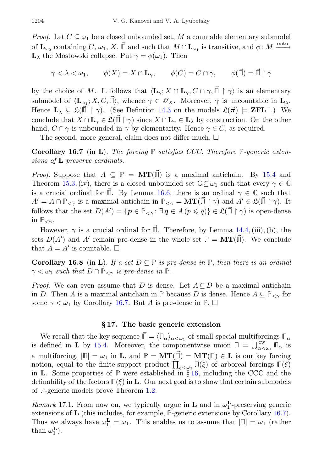*Proof.* Let  $C \subseteq \omega_1$  be a closed unbounded set, M a countable elementary submodel of  $\mathbf{L}_{\omega_2}$  containing C,  $\omega_1$ , X,  $\vec{\mathbb{I}}$  and such that  $M \cap \mathbf{L}_{\omega_1}$  is transitive, and  $\phi: M \xrightarrow{\text{onto}}$  $\mathbf{L}_{\lambda}$  the Mostowski collapse. Put  $\gamma = \phi(\omega_1)$ . Then

$$
\gamma < \lambda < \omega_1, \qquad \phi(X) = X \cap \mathbf{L}_{\gamma}, \qquad \phi(C) = C \cap \gamma, \qquad \phi(\vec{\mathbb{I}}) = \vec{\mathbb{I}} \upharpoonright \gamma
$$

by the choice of M. It follows that  $\langle \mathbf{L}_{\gamma}; X \cap \mathbf{L}_{\gamma}, C \cap \gamma, \vec{\mathbb{I}} \restriction \gamma \rangle$  is an elementary submodel of  $\langle \mathbf{L}_{\omega_1}; X, C, \vec{\mathbb{I}} \rangle$ , whence  $\gamma \in \mathscr{O}_X$ . Moreover,  $\gamma$  is uncountable in  $\mathbf{L}_{\lambda}$ . Hence  $L_{\lambda} \subseteq \mathfrak{L}(\mathbb{I} \restriction \gamma)$ . (See Defintion [14.3](#page-19-0) on the models  $\mathfrak{L}(\vec{\pi}) \models \mathbf{ZFL}^{-}$ .) We conclude that  $X \cap \mathbf{L}_{\gamma} \in \mathfrak{L}(\mathbb{I} \restriction \gamma)$  since  $X \cap \mathbf{L}_{\gamma} \in \mathbf{L}_{\lambda}$  by construction. On the other hand,  $C \cap \gamma$  is unbounded in  $\gamma$  by elementarity. Hence  $\gamma \in C$ , as required.

The second, more general, claim does not differ much.  $\square$ 

<span id="page-23-1"></span>Corollary 16.7 (in L). The forcing **P** satisfies CCC. Therefore **P**-generic extensions of **L** preserve cardinals.

*Proof.* Suppose that  $A \subseteq \mathbb{P} = \mathbf{MT}(\mathbb{F})$  is a maximal antichain. By [15.4](#page-21-1) and Theorem [15.3,](#page-20-0) (iv), there is a closed unbounded set  $\mathbb{C} \subseteq \omega_1$  such that every  $\gamma \in \mathbb{C}$ is a crucial ordinal for  $\vec{\mathbb{II}}$ . By Lemma [16.6,](#page-22-1) there is an ordinal  $\gamma \in \mathbb{C}$  such that  $A' = A \cap \mathbb{P}_{\leq \gamma}$  is a maximal antichain in  $\mathbb{P}_{\leq \gamma} = \mathbf{MT}(\vec{\mathbb{P}} \restriction \gamma)$  and  $A' \in \mathfrak{L}(\vec{\mathbb{P}} \restriction \gamma)$ . It follows that the set  $D(A') = \{p \in \mathbb{P}_{\leq \gamma} : \exists q \in A \ (p \leqslant q)\} \in \mathfrak{L}(\vec{\Pi} \restriction \gamma)$  is open-dense in  $\mathbb{P}_{\leq \gamma}$ .

However,  $\gamma$  is a crucial ordinal for  $\vec{\mathbb{II}}$ . Therefore, by Lemma [14.4,](#page-19-1) (iii), (b), the sets  $D(A')$  and A' remain pre-dense in the whole set  $\mathbb{P} = \mathbf{MT}(\vec{\mathbb{I}})$ . We conclude that  $A = A'$  is countable.  $\square$ 

<span id="page-23-3"></span>**Corollary 16.8** (in **L**). If a set  $D \subseteq \mathbb{P}$  is pre-dense in  $\mathbb{P}$ , then there is an ordinal  $\gamma < \omega_1$  such that  $D \cap \mathbb{P}_{\leq \gamma}$  is pre-dense in  $\mathbb{P}$ .

*Proof.* We can even assume that D is dense. Let  $A \subseteq D$  be a maximal antichain in D. Then A is a maximal antichain in  $\mathbb{P}$  because D is dense. Hence  $A \subseteq \mathbb{P}_{\leq \gamma}$  for some  $\gamma < \omega_1$  by Corollary [16.7.](#page-23-1) But A is pre-dense in  $\mathbb{P}$ .  $\Box$ 

## § 17. The basic generic extension

<span id="page-23-0"></span>We recall that the key sequence  $\vec{\Pi} = \langle \Pi_{\alpha} \rangle_{\alpha \leq \omega_1}$  of small special multiforcings  $\Pi_{\alpha}$ is defined in **L** by [15.4.](#page-21-1) Moreover, the componentwise union  $\mathbb{\Pi} = \bigcup_{\alpha < \omega_1}^{\text{cw}} \mathbb{\Pi}_{\alpha}$  is a multiforcing,  $|\mathbb{I}| = \omega_1$  in **L**, and  $\mathbb{P} = \mathbf{MT}(\mathbb{I}) = \mathbf{MT}(\mathbb{I}) \in \mathbf{L}$  is our key forcing notion, equal to the finite-support product  $\prod_{\xi \leq \omega_1} \Pi(\xi)$  of arboreal forcings  $\Pi(\xi)$ in L. Some properties of **P** were established in § [16,](#page-21-0) including the CCC and the definability of the factors  $\mathbb{I}(\xi)$  in **L**. Our next goal is to show that certain submodels of **P**-generic models prove Theorem [1.2.](#page-2-0)

<span id="page-23-2"></span>*Remark* 17.1. From now on, we typically argue in **L** and in  $\omega_1^{\mathbf{L}}$ -preserving generic extensions of L (this includes, for example, **P**-generic extensions by Corollary [16.7\)](#page-23-1). Thus we always have  $\omega_1^{\mathbf{L}} = \omega_1$ . This enables us to assume that  $|\mathbb{\Pi}| = \omega_1$  (rather than  $\omega_1^{\mathbf{L}}$ ).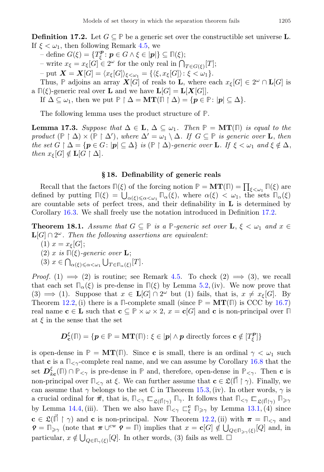**Definition 17.2.** Let  $G \subseteq \mathbb{P}$  be a generic set over the constructible set universe **L**. If  $\xi < \omega_1$ , then following Remark [4.5,](#page-6-5) we

- $-\text{ define } G(\xi) = \{T_{\xi}^{\mathbf{p}} : \mathbf{p} \in G \wedge \xi \in |\mathbf{p}|\} \subseteq \mathbb{P}(\xi);$
- write  $x_{\xi} = x_{\xi}[G] \in 2^{\omega}$  for the only real in  $\bigcap_{T \in G(\xi)}[T]$ ;
- put  $\mathbf{X} = \mathbf{X}[G] = \langle x_{\xi}[G] \rangle_{\xi < \omega_1} = \{ \langle \xi, x_{\xi}[G] \rangle : \xi < \omega_1 \}.$

Thus,  $\mathbb P$  adjoins an array  $\mathbf X[G]$  of reals to **L**, where each  $x_{\xi}[G] \in 2^{\omega} \cap \mathbf L[G]$  is a  $\Pi(\xi)$ -generic real over **L** and we have  $\mathbf{L}[G] = \mathbf{L}[X[G]]$ .

If  $\Delta \subseteq \omega_1$ , then we put  $\mathbb{P} \upharpoonright \Delta = \mathbf{MT}(\mathbb{F} \upharpoonright \Delta) = \{p \in \mathbb{P} : |p| \subseteq \Delta\}.$ 

The following lemma uses the product structure of **P**.

<span id="page-24-1"></span>Lemma 17.3. Suppose that  $\Delta \in \mathbf{L}, \Delta \subseteq \omega_1$ . Then **P** = **MT**(**Π**) is equal to the product  $(\mathbb{P} \restriction \Delta) \times (\mathbb{P} \restriction \Delta')$ , where  $\Delta' = \omega_1 \setminus \Delta$ . If  $G \subseteq \mathbb{P}$  is generic over **L**, then the set  $G \restriction \Delta = \{p \in G : |p| \subseteq \Delta\}$  is  $(\mathbb{P} \restriction \Delta)$ -generic over **L**. If  $\xi < \omega_1$  and  $\xi \notin \Delta$ , then  $x_{\xi}[G] \notin {\bf L}[G \restriction \Delta].$ 

#### § 18. Definability of generic reals

Recall that the factors  $\mathbb{F}(\xi)$  of the forcing notion  $\mathbb{P} = \mathbf{MT}(\mathbb{F}) = \prod_{\xi < \omega_1} \mathbb{F}(\xi)$  are defined by putting  $\Pi(\xi) = \bigcup_{\alpha(\xi) \leq \alpha < \omega_1} \Pi_\alpha(\xi)$ , where  $\alpha(\xi) < \omega_1$ , the sets  $\Pi_\alpha(\xi)$ are countable sets of perfect trees, and their definability in  $L$  is determined by Corollary [16.3.](#page-22-2) We shall freely use the notation introduced in Definition [17.2.](#page-23-2)

**Theorem 18.1.** Assume that  $G \subseteq \mathbb{P}$  is a  $\mathbb{P}$ -generic set over  $\mathbf{L}, \xi < \omega_1$  and  $x \in$  $\mathbf{L}[G] \cap 2^\omega$ . Then the following assertions are equivalent:

- (1)  $x = x_{\xi}[G];$
- $(2)$  x is  $\P(\xi)$ -generic over **L**;
- (3)  $x \in \bigcap_{\alpha(\xi)\leqslant\alpha<\omega_1} \bigcup_{T\in\mathbb{R}} \bigcup_{\alpha(\xi)} [T].$

*Proof.* (1)  $\implies$  (2) is routine; see Remark [4.5.](#page-6-5) To check (2)  $\implies$  (3), we recall that each set  $\mathbb{I}_{\alpha}(\xi)$  is pre-dense in  $\mathbb{I}(\xi)$  by Lemma [5.2,](#page-7-1) (iv). We now prove that (3)  $\implies$  (1). Suppose that  $x \in L[G] \cap 2^{\omega}$  but (1) fails, that is,  $x \neq x_{\xi}[G]$ . By Theorem [12.2,](#page-17-0) (i) there is a  $\mathbb{I}$ -complete small (since  $\mathbb{P} = \mathbf{MT}(\mathbb{I})$  is CCC by [16.7\)](#page-23-1) real name  $c \in L$  such that  $c \subseteq P \times \omega \times 2$ ,  $x = c[G]$  and c is non-principal over  $\Box$ at  $\xi$  in the sense that the set

$$
\boldsymbol{D}_{\boldsymbol{c}}^{\xi}(\mathbb{T}) = \{ \boldsymbol{p} \in \mathbb{P} = \boldsymbol{\mathrm{MT}}(\mathbb{T}) \colon \xi \in |\boldsymbol{p}| \wedge \boldsymbol{p} \text{ directly forces } \boldsymbol{c} \notin [T_{\xi}^{\boldsymbol{p}}] \}
$$

<span id="page-24-0"></span>is open-dense in  $\mathbb{P} = \mathbf{MT}(\mathbb{I})$ . Since **c** is small, there is an ordinal  $\gamma < \omega_1$  such that **c** is a  $\mathbb{R}_{\leq \gamma}$ -complete real name, and we can assume by Corollary [16.8](#page-23-3) that the set  $\mathcal{D}_{kc}^{\xi}(\mathbb{I}) \cap \mathbb{P}_{\leq \gamma}$  is pre-dense in  $\mathbb{P}$  and, therefore, open-dense in  $\mathbb{P}_{\leq \gamma}$ . Then **c** is non-principal over  $\mathbb{R}_{\leq \gamma}$  at  $\xi$ . We can further assume that  $\mathbf{c} \in \mathfrak{L}(\mathbb{R} \restriction \gamma)$ . Finally, we can assume that  $\gamma$  belongs to the set  $\mathbb C$  in Theorem [15.3,](#page-20-0) (iv). In other words,  $\gamma$  is a crucial ordinal for  $\vec{\pi}$ , that is,  $\mathbb{\Pi}_{\leq \gamma} \mathbb{E}_{\mathfrak{L}(\vec{\Pi}|\gamma)} \mathbb{E}_{\gamma}$ . It follows that  $\mathbb{\Pi}_{\leq \gamma} \mathbb{E}_{\mathfrak{L}(\vec{\Pi}|\gamma)} \mathbb{E}_{\geq \gamma}$ by Lemma [14.4,](#page-19-1) (iii). Then we also have  $\mathbb{T}_{\leq \gamma} \subset_{\xi}^{\mathbf{c}} \mathbb{T}_{\geq \gamma}$  by Lemma [13.1,](#page-18-4) (4) since  $c \in \mathfrak{L}(\mathbb{I} \restriction \gamma)$  and c is non-principal. Now Theorem [12.2,](#page-17-0) (ii) with  $\pi = \mathbb{I}_{\leq \gamma}$  and  $\mathbf{P} = \mathbb{F}_{\geq \gamma}$  (note that  $\pi \cup^{\text{cw}} \mathbf{P} = \mathbb{F}$ ) implies that  $x = \mathbf{c}[G] \notin \bigcup_{Q \in \mathbb{F}_{\geq \gamma}(\xi)}[Q]$  and, in particular,  $x \notin \bigcup_{Q \in \Pi_{\gamma}(\xi)} [Q]$ . In other words, (3) fails as well.  $\square$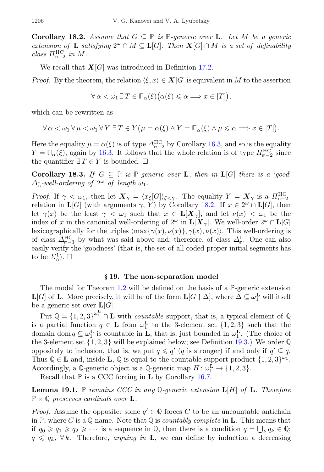**Corollary 18.2.** Assume that  $G \subseteq \mathbb{P}$  is  $\mathbb{P}$ -generic over **L**. Let M be a generic extension of **L** satisfying  $2^{\omega} \cap M \subseteq L[G]$ . Then  $X[G] \cap M$  is a set of definability class  $\Pi_{n-2}^{\text{HC}}$  in M.

We recall that  $X[G]$  was introduced in Definition [17.2.](#page-23-2)

*Proof.* By the theorem, the relation  $\langle \xi, x \rangle \in \mathbf{X}[G]$  is equivalent in M to the assertion

$$
\forall \alpha < \omega_1 \, \exists \, T \in \mathbb{T}_{\alpha}(\xi) \big( \alpha(\xi) \leq \alpha \Longrightarrow x \in [T] \big),
$$

which can be rewritten as

$$
\forall \alpha < \omega_1 \forall \mu < \omega_1 \forall Y \ \exists T \in Y (\mu = \alpha(\xi) \land Y = \Pi_\alpha(\xi) \land \mu \leq \alpha \Longrightarrow x \in [T]).
$$

Here the equality  $\mu = \alpha(\xi)$  is of type  $\Delta_{n-2}^{HC}$  by Corollary [16.3,](#page-22-2) and so is the equality  $Y = \mathbb{D}_{\alpha}(\xi)$ , again by [16.3.](#page-22-2) It follows that the whole relation is of type  $\prod_{n=2}^{HC}$  since the quantifier  $\exists T \in Y$  is bounded.  $\square$ 

<span id="page-25-2"></span>**Corollary 18.3.** If  $G \subseteq \mathbb{P}$  is **P**-generic over **L**, then in **L**[G] there is a 'good'  $\Delta_{\mathfrak{n}}^1$ -well-ordering of  $2^{\omega}$  of length  $\omega_1$ .

Proof. If  $\gamma < \omega_1$ , then let  $\mathbf{X}_{\gamma} = \langle x_{\xi}[G] \rangle_{\xi < \gamma}$ . The equality  $Y = \mathbf{X}_{\gamma}$  is a  $\Pi_{n=2}^{\text{HC}}$ relation in  $\mathbf{L}[G]$  (with arguments  $\gamma$ , Y) by Corollary [18.2.](#page-24-0) If  $x \in 2^{\omega} \cap \mathbf{L}[G]$ , then let  $\gamma(x)$  be the least  $\gamma < \omega_1$  such that  $x \in L[X_\gamma]$ , and let  $\nu(x) < \omega_1$  be the index of x in the canonical well-ordering of  $2^{\omega}$  in  $\mathbf{L}[\mathbf{X}_{\gamma}]$ . We well-order  $2^{\omega} \cap \mathbf{L}[G]$ lexicographically for the triples  $\langle \max{\{\gamma(x), \nu(x)\}}, \gamma(x), \nu(x) \rangle$ . This well-ordering is of class  $\Delta_{n-1}^{\text{HC}}$  by what was said above and, therefore, of class  $\Delta_n^1$ . One can also easily verify the 'goodness' (that is, the set of all coded proper initial segments has to be  $\Sigma^1_{\mathbb{D}}$ ).  $\square$ 

### § 19. The non-separation model

<span id="page-25-0"></span>The model for Theorem [1.2](#page-2-0) will be defined on the basis of a **P**-generic extension  $\mathbf{L}[G]$  of  $\mathbf{L}$ . More precisely, it will be of the form  $\mathbf{L}[G \restriction \Delta]$ , where  $\Delta \subseteq \omega_1^{\mathbf{L}}$  will itself be a generic set over  $\mathbf{L}[G]$ .

Put  $\mathbb{Q} = \{1, 2, 3\}^{\omega_1^L} \cap \mathbf{L}$  with *countable* support, that is, a typical element of  $\mathbb{Q}$ is a partial function  $q \in \mathbf{L}$  from  $\omega_1^{\mathbf{L}}$  to the 3-element set  $\{1, 2, 3\}$  such that the domain dom  $q \subseteq \omega_1^{\mathbf{L}}$  is countable in **L**, that is, just bounded in  $\omega_1^{\mathbf{L}}$ . (The choice of the 3-element set {1, 2, 3} will be explained below; see Definition [19.3.](#page-26-1)) We order **Q** oppositely to inclusion, that is, we put  $q \leq q'$  (q is stronger) if and only if  $q' \subseteq q$ . Thus  $\mathbb{Q} \in \mathbf{L}$  and, inside **L**,  $\mathbb{Q}$  is equal to the countable-support product  $\{1, 2, 3\}^{\omega_1}$ . Accordingly, a  $\mathbb{Q}$ -generic object is a  $\mathbb{Q}$ -generic map  $H: \omega_1^{\mathbf{L}} \to \{1, 2, 3\}.$ 

Recall that **P** is a CCC forcing in L by Corollary [16.7.](#page-23-1)

<span id="page-25-1"></span>**Lemma 19.1.** P remains CCC in any Q-generic extension  $\mathbf{L}[H]$  of  $\mathbf{L}$ . Therefore  $\mathbb{P} \times \mathbb{Q}$  preserves cardinals over **L**.

*Proof.* Assume the opposite: some  $q' \in \mathbb{Q}$  forces C to be an uncountable antichain in  $\mathbb{P}$ , where C is a Q-name. Note that  $\mathbb{Q}$  is *countably complete* in **L**. This means that if  $q_0 \geq q_1 \geq q_2 \geq \cdots$  is a sequence in  $\mathbb{Q}$ , then there is a condition  $q = \bigcup_k q_k \in \mathbb{Q}$ ;  $q \leq q_k$ ,  $\forall k$ . Therefore, arguing in **L**, we can define by induction a decreasing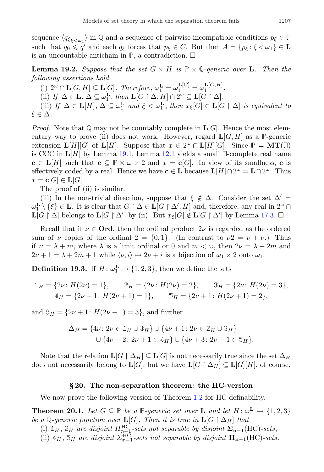sequence  $\langle q_{\xi_{\xi\langle\omega_1\rangle}}\rangle$  in  $\mathbb Q$  and a sequence of pairwise-incompatible conditions  $p_{\xi} \in \mathbb P$ such that  $q_0 \leq q'$  and each  $q_\xi$  forces that  $p_\xi \in C$ . But then  $A = \{p_\xi : \xi < \omega_1\} \in \mathbf{L}$ is an uncountable antichain in  $\mathbb{P}$ , a contradiction.  $\Box$ 

<span id="page-26-3"></span>**Lemma 19.2.** Suppose that the set  $G \times H$  is  $\mathbb{P} \times \mathbb{Q}$ -generic over **L**. Then the following assertions hold.

(i)  $2^{\omega} \cap \mathbf{L}[G, H] \subseteq \mathbf{L}[G]$ . Therefore,  $\omega_1^{\mathbf{L}} = \omega_1^{\mathbf{L}[G]} = \omega_1^{\mathbf{L}[G, H]}$ . (ii) If  $\Delta \in \mathbf{L}, \Delta \subseteq \omega_1^{\mathbf{L}},$  then  $\mathbf{L}[G \restriction \Delta, H] \cap 2^{\omega} \subseteq \mathbf{L}[G \restriction \Delta].$ (iii) If  $\Delta \in \mathbf{L}[H], \Delta \subseteq \omega_1^{\mathbf{L}}$  and  $\xi < \omega_1^{\mathbf{L}}$ , then  $x_{\xi}[G] \in \mathbf{L}[G \restriction \Delta]$  is equivalent to  $\xi \in \Delta$ .

*Proof.* Note that  $\mathbb{Q}$  may not be countably complete in  $\mathbf{L}[G]$ . Hence the most elementary way to prove (ii) does not work. However, regard  $\mathbf{L}[G, H]$  as a P-generic extension  $\mathbf{L}[H][G]$  of  $\mathbf{L}[H]$ . Suppose that  $x \in 2^{\omega} \cap \mathbf{L}[H][G]$ . Since  $\mathbb{P} = \mathbf{MT}(\mathbb{I})$ is CCC in L[H] by Lemma [19.1,](#page-25-1) Lemma [12.1](#page-17-2) yields a small **Π**-complete real name  $c \in L[H]$  such that  $c \subseteq P \times \omega \times 2$  and  $x = c[G]$ . In view of its smallness, c is effectively coded by a real. Hence we have  $\mathbf{c} \in \mathbf{L}$  because  $\mathbf{L}[H] \cap 2^{\omega} = \mathbf{L} \cap 2^{\omega}$ . Thus  $x = \mathbf{c}[G] \in \mathbf{L}[G].$ 

The proof of (ii) is similar.

(iii) In the non-trivial direction, suppose that  $\xi \notin \Delta$ . Consider the set  $\Delta' =$  $\omega_1^{\mathbf{L}} \setminus {\{\xi\}} \in \mathbf{L}$ . It is clear that  $G \restriction \Delta \in \mathbf{L}[G \restriction \Delta', H]$  and, therefore, any real in  $2^{\omega} \cap$  $\mathbf{L}[G \restriction \Delta]$  belongs to  $\mathbf{L}[G \restriction \Delta']$  by (ii). But  $x_{\xi}[G] \notin \mathbf{L}[G \restriction \Delta']$  by Lemma [17.3.](#page-24-1)  $\square$ 

Recall that if  $\nu \in \mathbf{Ord}$ , then the ordinal product  $2\nu$  is regarded as the ordered sum of  $\nu$  copies of the ordinal  $2 = \{0, 1\}$ . (In contrast to  $\nu 2 = \nu + \nu$ .) Thus if  $\nu = \lambda + m$ , where  $\lambda$  is a limit ordinal or 0 and  $m < \omega$ , then  $2\nu = \lambda + 2m$  and  $2\nu + 1 = \lambda + 2m + 1$  while  $\langle \nu, i \rangle \mapsto 2\nu + i$  is a bijection of  $\omega_1 \times 2$  onto  $\omega_1$ .

<span id="page-26-1"></span>**Definition 19.3.** If  $H: \omega_1^{\mathbf{L}} \to \{1, 2, 3\}$ , then we define the sets

$$
\mathbb{1}_H = \{2\nu: H(2\nu) = 1\}, \qquad 2_H = \{2\nu: H(2\nu) = 2\}, \qquad 3_H = \{2\nu: H(2\nu) = 3\},
$$
  

$$
4_H = \{2\nu + 1: H(2\nu + 1) = 1\}, \qquad 5_H = \{2\nu + 1: H(2\nu + 1) = 2\},
$$

and  $\mathbb{6}_H = \{2\nu + 1: H(2\nu + 1) = 3\}$ , and further

$$
\Delta_H = \{ 4\nu : 2\nu \in 1_H \cup 3_H \} \cup \{ 4\nu + 1 : 2\nu \in 2_H \cup 3_H \}
$$
  

$$
\cup \{ 4\nu + 2 : 2\nu + 1 \in 4_H \} \cup \{ 4\nu + 3 : 2\nu + 1 \in 5_H \}.
$$

Note that the relation  $\mathbf{L}[G \restriction \Delta_H] \subseteq \mathbf{L}[G]$  is not necessarily true since the set  $\Delta_H$ does not necessarily belong to  $\mathbf{L}[G]$ , but we have  $\mathbf{L}[G \restriction \Delta_H] \subseteq \mathbf{L}[G][H]$ , of course.

#### § 20. The non-separation theorem: the HC-version

<span id="page-26-0"></span>We now prove the following version of Theorem [1.2](#page-2-0) for HC-definability.

<span id="page-26-2"></span>**Theorem 20.1.** Let  $G \subseteq \mathbb{P}$  be a  $\mathbb{P}$ -generic set over **L** and let  $H: \omega_1^{\mathbf{L}} \to \{1, 2, 3\}$ be a Q-generic function over  $\mathbf{L}[G]$ . Then it is true in  $\mathbf{L}[G \restriction \Delta_H]$  that

(i)  $\mathbb{1}_H$ ,  $\mathbb{2}_H$  are disjoint  $\Pi_{n-1}^{\text{HC}}$ -sets not separable by disjoint  $\Sigma_{n-1}(\text{HC})$ -sets;

(ii)  $4_H$ ,  $5_H$  are disjoint  $\Sigma_{n-1}^{\text{HC}}$ -sets not separable by disjoint  $\Pi_{n-1}(\text{HC})$ -sets.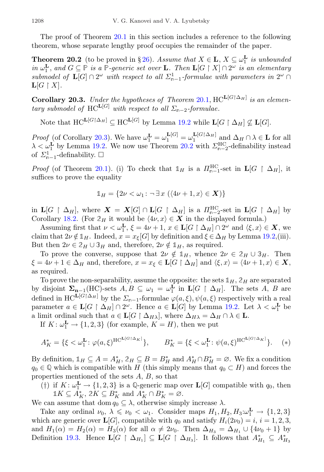The proof of Theorem [20.1](#page-26-2) in this section includes a reference to the following theorem, whose separate lengthy proof occupies the remainder of the paper.

<span id="page-27-1"></span>**Theorem 20.2** (to be proved in §[26\)](#page-34-0). Assume that  $X \in L$ ,  $X \subseteq \omega_1^L$  is unbounded in  $\omega_{1}^{\mathbf{L}}$ , and  $G \subseteq \mathbb{P}$  is a  $\mathbb{P}$ -generic set over **L**. Then  $\mathbf{L}[G \upharpoonright X] \cap 2^{\omega}$  is an elementary submodel of  $\mathbf{L}[G] \cap 2^{\omega}$  with respect to all  $\Sigma_{n-1}^1$ -formulae with parameters in  $2^{\omega} \cap$  $\mathbf{L}[G \restriction X].$ 

<span id="page-27-0"></span>**Corollary 20.3.** Under the hypotheses of Theorem [20.1,](#page-26-2)  $HC^{L[G|\Delta_H]}$  is an elementary submodel of HC<sup>L[G]</sup> with respect to all  $\Sigma_{n-2}$ -formulae.

Note that  $HC^{\mathbf{L}[G|\Delta_H]} \subseteq \mathrm{HC}^{\mathbf{L}[G]}$  by Lemma [19.2](#page-26-3) while  $\mathbf{L}[G \restriction \Delta_H] \nsubseteq \mathbf{L}[G]$ .

Proof (of Corollary [20.3\)](#page-27-0). We have  $\omega_1^{\mathbf{L}} = \omega_1^{\mathbf{L}[G]} = \omega_1^{\mathbf{L}[G]\Delta_H}$  and  $\Delta_H \cap \lambda \in \mathbf{L}$  for all  $\lambda < \omega_1^{\mathbf{L}}$  by Lemma [19.2.](#page-26-3) We now use Theorem [20.2](#page-27-1) with  $\Sigma_{n-2}^{\text{HC}}$ -definability instead of  $\Sigma_{n-1}^1$ -definability.  $\square$ 

*Proof* (of Theorem [20.1\)](#page-26-2). (i) To check that  $\mathbb{1}_H$  is a  $\Pi_{n-1}^{\text{HC}}$ -set in  $\mathbf{L}[G \restriction \Delta_H]$ , it suffices to prove the equality

$$
\mathbb{1}_H = \{2\nu < \omega_1 \colon \neg \exists x \ (\langle 4\nu + 1, x \rangle \in \mathbf{X})\}
$$

in  $\mathbf{L}[G \upharpoonright \Delta_H]$ , where  $\mathbf{X} = \mathbf{X}[G] \cap \mathbf{L}[G \upharpoonright \Delta_H]$  is a  $\Pi_{\mathfrak{m}-2}^{\text{HC}}$ -set in  $\mathbf{L}[G \upharpoonright \Delta_H]$  by Corollary [18.2.](#page-24-0) (For  $2_H$  it would be  $\langle 4\nu, x \rangle \in X$  in the displayed formula.)

Assuming first that  $\nu < \omega_1^{\mathbf{L}}, \xi = 4\nu + 1, x \in \mathbf{L}[G \restriction \Delta_H] \cap 2^{\omega}$  and  $\langle \xi, x \rangle \in \mathbf{X}$ , we claim that  $2\nu \notin \mathbb{1}_H$ . Indeed,  $x = x_{\xi}[G]$  by definition and  $\xi \in \Delta_H$  by Lemma [19.2,](#page-26-3)(iii). But then  $2\nu \in 2_H \cup 3_H$  and, therefore,  $2\nu \notin 1_H$ , as required.

To prove the converse, suppose that  $2\nu \notin 1$ <sub>H</sub>, whence  $2\nu \in 2_H \cup 3_H$ . Then  $\xi = 4\nu + 1 \in \Delta_H$  and, therefore,  $x = x_{\xi} \in L[G \restriction \Delta_H]$  and  $\langle \xi, x \rangle = \langle 4\nu + 1, x \rangle \in \mathbf{X}$ , as required.

To prove the non-separability, assume the opposite: the sets  $\mathbb{1}_H$ ,  $\mathbb{2}_H$  are separated by disjoint  $\Sigma_{n-1}(HC)$ -sets  $A, B \subseteq \omega_1 = \omega_1^L$  in  $L[G \restriction \Delta_H]$ . The sets  $A, B$  are defined in  $HC^{\mathbf{L}[G[\Delta_H]}$  by the  $\Sigma_{\mathfrak{n}-1}$ -formulae  $\varphi(a,\xi), \psi(a,\xi)$  respectively with a real parameter  $a \in \mathbf{L}[G \restriction \Delta_H] \cap 2^\omega$ . Hence  $a \in \mathbf{L}[G]$  by Lemma [19.2.](#page-26-3) Let  $\lambda < \omega_1^{\mathbf{L}}$  be a limit ordinal such that  $a \in L[G \restriction \Delta_{H\lambda}]$ , where  $\Delta_{H\lambda} = \Delta_H \cap \lambda \in L$ .

If  $K: \omega_1^{\mathbf{L}} \to \{1, 2, 3\}$  (for example,  $K = H$ ), then we put

$$
A_K^* = \{ \xi < \omega_1^{\mathbf{L}} : \varphi(a, \xi)^{\text{HC}^{\mathbf{L}[G \restriction \Delta_K]}} \}, \qquad B_K^* = \{ \xi < \omega_1^{\mathbf{L}} : \psi(a, \xi)^{\text{HC}^{\mathbf{L}[G \restriction \Delta_K]}} \}.
$$
 (\*)

By definition,  $\mathbb{1}_H \subseteq A = A_H^*$ ,  $\mathbb{2}_H \subseteq B = B_H^*$  and  $A_H^* \cap B_H^* = \emptyset$ . We fix a condition  $q_0 \in \mathbb{Q}$  which is compatible with H (this simply means that  $q_0 \subset H$ ) and forces the properties mentioned of the sets A, B, so that

(†) if  $K: \omega_1^{\mathbf{L}} \to \{1,2,3\}$  is a Q-generic map over  $\mathbf{L}[G]$  compatible with  $q_0$ , then  $1K \subseteq A_K^*$ ,  $2K \subseteq B_K^*$  and  $A_K^* \cap B_K^* = \emptyset$ .

We can assume that dom  $q_0 \subseteq \lambda$ , otherwise simply increase  $\lambda$ .

Take any ordinal  $\nu_0, \ \lambda \leq \nu_0 < \omega_1$ . Consider maps  $H_1, H_2, H_3: \omega_1^{\mathbf{L}} \to \{1, 2, 3\}$ which are generic over  $\mathbf{L}[G]$ , compatible with  $q_0$  and satisfy  $H_i(2\nu_0) = i$ ,  $i = 1, 2, 3$ , and  $H_1(\alpha) = H_2(\alpha) = H_3(\alpha)$  for all  $\alpha \neq 2\nu_0$ . Then  $\Delta_{H_3} = \Delta_{H_1} \cup \{4\nu_0 + 1\}$  by Definition [19.3.](#page-26-1) Hence  $\mathbf{L}[G \restriction \Delta_{H_1}] \subseteq \mathbf{L}[G \restriction \Delta_{H_3}]$ . It follows that  $A_{H_1}^* \subseteq A_{H_3}^*$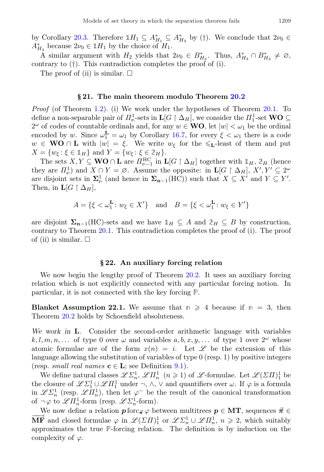by Corollary [20.3.](#page-27-0) Therefore  $1H_1 \subseteq A_{H_1}^* \subseteq A_{H_3}^*$  by (†). We conclude that  $2\nu_0 \in$  $A_{H_3}^*$  because  $2\nu_0 \in \mathbb{1}H_1$  by the choice of  $H_1$ .

A similar argument with  $H_2$  yields that  $2\nu_0 \in B_{H_3}^*$ . Thus,  $A_{H_3}^* \cap B_{H_3}^* \neq \emptyset$ , contrary to (†). This contradiction completes the proof of (i).

The proof of (ii) is similar.  $\square$ 

#### § 21. The main theorem modulo Theorem [20.2](#page-27-1)

Proof (of Theorem [1.2\)](#page-2-0). (i) We work under the hypotheses of Theorem [20.1.](#page-26-2) To define a non-separable pair of  $\prod_{n=1}^{1}$ -sets in  $\mathbf{L}[G \restriction \Delta_H]$ , we consider the  $\prod_{1}^{1}$ -set  $\mathbf{WO} \subseteq$  $2^{\omega}$  of codes of countable ordinals and, for any  $w \in WO$ , let  $|w| < \omega_1$  be the ordinal encoded by w. Since  $\omega_1^{\mathbf{L}} = \omega_1$  by Corollary [16.7,](#page-23-1) for every  $\xi < \omega_1$  there is a code  $w \in \mathbf{WO} \cap \mathbf{L}$  with  $|w| = \xi$ . We write  $w_{\xi}$  for the  $\leq \xi$ -least of them and put  $X = \{w_{\xi} : \xi \in \mathbb{1}_H\}$  and  $Y = \{w_{\xi} : \xi \in \mathbb{2}_H\}.$ 

The sets  $X, Y \subseteq \mathbf{WO} \cap \mathbf{L}$  are  $\Pi_{n-1}^{\text{HC}}$  in  $\mathbf{L}[G \restriction \Delta_H]$  together with  $\mathbb{1}_H$ ,  $\mathbb{2}_H$  (hence they are  $\Pi_n^1$  and  $X \cap Y = \emptyset$ . Assume the opposite: in  $\mathbf{L}[G \restriction \Delta_H], X', Y' \subseteq 2^\omega$ are disjoint sets in  $\Sigma^1_{\mathfrak{n}}$  (and hence in  $\Sigma_{\mathbf{n}-1}(\mathrm{HC})$ ) such that  $X \subseteq X'$  and  $Y \subseteq Y'$ . Then, in  $\mathbf{L}[G \restriction \Delta_H],$ 

$$
A = \{ \xi < \omega_1^{\mathbf{L}} \colon w_{\xi} \in X' \} \quad \text{and} \quad B = \{ \xi < \omega_1^{\mathbf{L}} \colon w_{\xi} \in Y' \}
$$

are disjoint  $\Sigma_{n-1}(HC)$ -sets and we have  $\mathbb{1}_H \subseteq A$  and  $\mathbb{2}_H \subseteq B$  by construction, contrary to Theorem  $20.1$ . This contradiction completes the proof of (i). The proof of (ii) is similar.  $\square$ 

### § 22. An auxiliary forcing relation

<span id="page-28-0"></span>We now begin the lengthy proof of Theorem [20.2.](#page-27-1) It uses an auxiliary forcing relation which is not explicitly connected with any particular forcing notion. In particular, it is not connected with the key forcing **P**.

<span id="page-28-1"></span>**Blanket Assumption 22.1.** We assume that  $n \geq 4$  because if  $n = 3$ , then Theorem [20.2](#page-27-1) holds by Schoenfield absoluteness.

We work in **L**. Consider the second-order arithmetic language with variables  $k, l, m, n, \ldots$  of type 0 over  $\omega$  and variables  $a, b, x, y, \ldots$  of type 1 over  $2^{\omega}$  whose atomic formulae are of the form  $x(n) = i$ . Let  $\mathscr L$  be the extension of this language allowing the substitution of variables of type 0 (resp. 1) by positive integers (resp. *small real names*  $\mathbf{c} \in \mathbf{L}$ ; see Definition [9.1\)](#page-13-1).

We define natural classes  $\mathscr{L}\Sigma^1_n$ ,  $\mathscr{L}\Pi^1_n$   $(n \geq 1)$  of  $\mathscr{L}$ -formulae. Let  $\mathscr{L}(\Sigma\Pi)^1_1$  be the closure of  $\mathscr{L}\Sigma_1^1\cup\mathscr{L}\Pi_1^1$  under  $\neg$ ,  $\wedge$ ,  $\vee$  and quantifiers over  $\omega$ . If  $\varphi$  is a formula in  $\mathscr{L}\Sigma^1_n$  (resp.  $\mathscr{L}\Pi^1_n$ ), then let  $\varphi^-$  be the result of the canonical transformation of  $\neg \varphi$  to  $\mathscr{L}\Pi_n^1$ -form (resp.  $\mathscr{L}\Sigma_n^1$ -form).

We now define a relation  $p$  forc $\vec{\pi} \varphi$  between multitrees  $p \in \mathbf{MT}$ , sequences  $\vec{\pi} \in$  $\overrightarrow{MF}$  and closed formulae  $\varphi$  in  $\mathscr{L}(\Sigma H)^1_1$  or  $\mathscr{L}\Sigma^1_n \cup \mathscr{L}H^1_n$ ,  $n \geq 2$ , which suitably approximates the true **P**-forcing relation. The definition is by induction on the complexity of  $\varphi$ .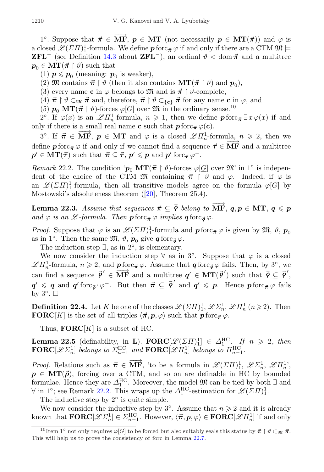1<sup>o</sup>. Suppose that  $\vec{\pi} \in \overrightarrow{MF}$ ,  $p \in MT$  (not necessarily  $p \in MT(\vec{\pi})$ ) and  $\varphi$  is a closed  $\mathscr{L}(\varSigma \varPi)^1_1$ -formula. We define  $\bm{p}$  forc $_{\vec{\boldsymbol{\pi}}}\varphi$  if and only if there are a CTM  $\mathfrak{M}\models$ **ZFL<sup>-</sup>** (see Definition [14.3](#page-19-0) about **ZFL<sup>-</sup>)**, an ordinal  $\vartheta$  < dom  $\vec{\pi}$  and a multitree  $p_0 \in \mathbf{MT}(\vec{\pi} \restriction \vartheta)$  such that

- (1)  $p \leqslant p_0$  (meaning:  $p_0$  is weaker),
- (2) M contains  $\vec{\pi} \restriction \vartheta$  (then it also contains  $MT(\vec{\pi} \restriction \vartheta)$  and  $p_0$ ),
- (3) every name **c** in  $\varphi$  belongs to  $\mathfrak{M}$  and is  $\vec{\pi} \restriction \vartheta$ -complete,
- (4)  $\vec{\pi} \restriction \vartheta \subset_{\mathfrak{M}} \vec{\pi}$  and, therefore,  $\vec{\pi} \restriction \vartheta \subset_{\{\mathbf{c}\}} \vec{\pi}$  for any name c in  $\varphi$ , and
- (5)  $p_0 \,\mathrm{MT}(\vec{\pi} \restriction \vartheta)$ -forces  $\varphi[\underline{G}]$  over  $\mathfrak{M}$  in the ordinary sense.<sup>[10](#page-29-0)</sup>

2°. If  $\varphi(x)$  is an  $\mathscr{L}\Pi_n^1$ -formula,  $n \geq 1$ , then we define  $p$  forc $\vec{\pi} \exists x \varphi(x)$  if and only if there is a small real name **c** such that  $p$  forc $_{\vec{\pi}} \varphi(\mathbf{c})$ .

3°. If  $\vec{\pi} \in \overline{\textbf{MF}}$ ,  $p \in \textbf{MT}$  and  $\varphi$  is a closed  $\mathscr{L}\Pi_n^1$ -formula,  $n \geq 2$ , then we define  $p$  forc $\vec{\pi} \varphi$  if and only if we cannot find a sequence  $\vec{\tau} \in \overline{\mathbf{MF}}$  and a multitree  $p' \in \text{MT}(\vec{\tau})$  such that  $\vec{\pi} \subseteq \vec{\tau}, p' \leqslant p$  and  $p'$  forc $_{\vec{\tau}} \varphi^{-}$ .

<span id="page-29-1"></span>Remark 22.2. The condition ' $p_0 \,\mathrm{MT}(\vec{\pi} \restriction \vartheta)$ -forces  $\varphi[\underline{G}]$  over  $\mathfrak{M}'$  in 1° is independent of the choice of the CTM M containing  $\vec{\pi} \restriction \vartheta$  and  $\varphi$ . Indeed, if  $\varphi$  is an  $\mathscr{L}(\Sigma \Pi)$ <sub>1</sub>-formula, then all transitive models agree on the formula  $\varphi[G]$  by Mostowski's absoluteness theorem ([\[20\]](#page-37-11), Theorem 25.4).

<span id="page-29-2"></span>**Lemma 22.3.** Assume that sequences  $\vec{\pi} \subseteq \vec{p}$  belong to  $\overrightarrow{MF}$ ,  $q, p \in MT$ ,  $q \leq p$ and  $\varphi$  is an  $\mathscr{L}$ -formula. Then  $\mathbf{p}$  forc $\vec{\mathbf{r}} \varphi$  implies  $\mathbf{q}$  forc $\vec{\mathbf{q}} \varphi$ .

*Proof.* Suppose that  $\varphi$  is an  $\mathscr{L}(\Sigma \Pi)$ <sup>1</sup>-formula and  $\mathbf{p}$  forc<sub> $\vec{\pi}$ </sub>  $\varphi$  is given by  $\mathfrak{M}$ ,  $\vartheta$ ,  $\mathbf{p}_0$ as in 1<sup>o</sup>. Then the same  $\mathfrak{M}, \vartheta, p_0$  give  $q$  forc $_{\vec{\varphi}} \varphi$ .

The induction step  $\exists$ , as in  $2^{\circ}$ , is elementary.

We now consider the induction step  $\forall$  as in 3°. Suppose that  $\varphi$  is a closed  $\mathscr{L}\Pi_n^1$ -formula,  $n \geq 2$ , and  $p$  forc<sub> $\vec{\tau} \varphi$ </sub>. Assume that  $q$  forc $\vec{\phi} \varphi$  fails. Then, by 3<sup>°</sup>, we can find a sequence  $\vec{\rho}' \in \overline{\mathbf{MF}}$  and a multitree  $q' \in \mathbf{MT}(\vec{\rho}')$  such that  $\vec{\rho} \subseteq \vec{\rho}',$  $q' \leqslant q$  and  $q'$  forc $\bar{\varphi} \circ \varphi^-$ . But then  $\bar{\pi} \subseteq \bar{\varphi}'$  and  $q' \leqslant p$ . Hence  $p$  forc $\bar{\pi} \varphi$  fails by  $3^\circ$ .  $\square$ 

**Definition 22.4.** Let K be one of the classes  $\mathscr{L}(\Sigma \Pi)^1_1$ ,  $\mathscr{L} \Sigma^1_n$ ,  $\mathscr{L} \Pi^1_n$   $(n \geq 2)$ . Then **FORC**[K] is the set of all triples  $\langle \vec{\pi}, p, \varphi \rangle$  such that  $p$  forc $\vec{\pi} \varphi$ .

Thus,  $\textbf{FORC}[K]$  is a subset of HC.

<span id="page-29-3"></span>**Lemma 22.5** (definability, in **L**). **FORC** $[\mathscr{L}(\Sigma \Pi)]_1^1 \in \Delta_1^{\text{HC}}$ . If  $n \geq 2$ , then  $\mathbf{FORC}[\mathscr{L} \varSigma_n^1]$  belongs to  $\varSigma_{n-1}^{\mathrm{HC}}$  and  $\mathbf{FORC}[\mathscr{L} \varPi_n^1]$  belongs to  $\varPi_{n-1}^{\mathrm{HC}}$ .

*Proof.* Relations such as  $\vec{\pi} \in \overrightarrow{MF}$ , 'to be a formula in  $\mathscr{L}(\Sigma H)_{1}^{1}$ ,  $\mathscr{L}\Sigma_{n}^{1}$ ,  $\mathscr{L}H_{n}^{1}$ '  $p \in \text{MT}(\vec{\rho})$ , forcing over a CTM, and so on are definable in HC by bounded formulae. Hence they are  $\Delta_1^{\text{HC}}$ . Moreover, the model  $\mathfrak{M}$  can be tied by both  $\exists$  and  $\forall$  in 1<sup>o</sup>; see Remark [22.2.](#page-29-1) This wraps up the  $\Delta_1^{\text{HC}}$ -estimation for  $\mathscr{L}(\Sigma \Pi)^1$ .

The inductive step by  $2^{\circ}$  is quite simple.

We now consider the inductive step by  $3^{\circ}$ . Assume that  $n \geq 2$  and it is already known that  $\textbf{FORC}[\mathscr{L} \Sigma_n^1] \in \Sigma_{n-1}^{\text{HC}}$ . However,  $\langle \vec{\pi}, p, \varphi \rangle \in \textbf{FORC}[\mathscr{L} \Pi_n^1]$  if and only

<span id="page-29-0"></span><sup>&</sup>lt;sup>10</sup>Item 1<sup>o</sup> not only requires  $\varphi[\underline{G}]$  to be forced but also suitably seals this status by  $\vec{\pi} \restriction \vartheta \subset_{\mathfrak{M}} \vec{\pi}$ . This will help us to prove the consistency of forc in Lemma [22.7.](#page-30-0)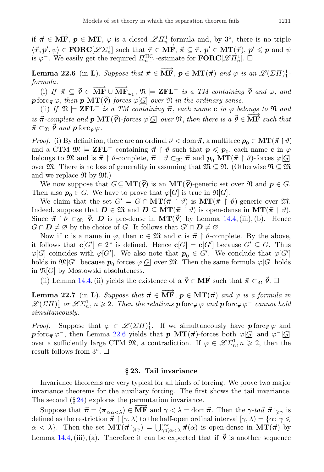if  $\vec{\pi} \in \overrightarrow{MF}$ ,  $p \in MT$ ,  $\varphi$  is a closed  $\mathscr{L} \Pi_n^1$ -formula and, by 3°, there is no triple  $\langle \vec{\tau}, p', \psi \rangle \in \textbf{FORC}[\mathscr{L} \Sigma_n^1]$  such that  $\vec{\tau} \in \overline{\textbf{MF}}, \ \vec{\pi} \subseteq \vec{\tau}, p' \in \textbf{MT}(\vec{\tau}), p' \leq p$  and  $\psi$ is  $\varphi^-$ . We easily get the required  $\Pi_{n-1}^{\text{HC}}$ -estimate for  $\textbf{FORC}[\mathscr{L}\Pi_n^1]$ .  $\Box$ 

<span id="page-30-1"></span>**Lemma 22.6** (in **L**). Suppose that  $\vec{\pi} \in \overrightarrow{MF}$ ,  $p \in MT(\vec{\pi})$  and  $\varphi$  is an  $\mathscr{L}(\Sigma H)^1$ . formula.

(i) If  $\vec{\pi} \subseteq \vec{\rho} \in \overrightarrow{\text{MF}} \cup \overrightarrow{\text{MF}}_{\omega_1}$ ,  $\mathfrak{N} \models \textbf{ZFL}^-$  is a TM containing  $\vec{\rho}$  and  $\varphi$ , and **p** forc<sub> $\vec{\pi} \varphi$ , then **p** MT( $\vec{\varphi}$ )-forces  $\varphi$ [ $G$ ] over  $\mathfrak{N}$  in the ordinary sense.</sub>

(ii) If  $\mathfrak{N} \models \mathbf{ZFL}^-$  is a TM containing  $\vec{\pi}$ , each name c in  $\varphi$  belongs to  $\mathfrak{N}$  and is  $\vec{\pi}$ -complete and  $p$  MT( $\vec{\rho}$ )-forces  $\varphi[\underline{G}]$  over  $\Re$ , then there is  $a \vec{\rho} \in \overline{\text{MF}}$  such that  $\vec{\pi} \subset_{\mathfrak{N}} \vec{\varphi}$  and  $p$  forc<sub> $\vec{\varphi}$ </sub>.

*Proof.* (i) By definition, there are an ordinal  $\vartheta < \text{dom } \vec{\pi}$ , a multitree  $p_0 \in \text{MT}(\vec{\pi} \restriction \vartheta)$ and a CTM  $\mathfrak{M} \models$  **ZFL**<sup>-</sup> containing  $\vec{\pi} \restriction \vartheta$  such that  $p \leqslant p_0$ , each name **c** in  $\varphi$ belongs to M and is  $\vec{\pi} \restriction \vartheta$ -complete,  $\vec{\pi} \restriction \vartheta \subset_{\mathfrak{M}} \vec{\pi}$  and  $p_0 \mathbf{MT}(\vec{\pi} \restriction \vartheta)$ -forces  $\varphi[\underline{G}]$ over  $\mathfrak{M}$ . There is no loss of generality in assuming that  $\mathfrak{M} \subseteq \mathfrak{N}$ . (Otherwise  $\mathfrak{N} \subseteq \mathfrak{M}$ and we replace  $\mathfrak{N}$  by  $\mathfrak{M}$ .)

We now suppose that  $G \subseteq \mathbf{MT}(\vec{\rho})$  is an  $\mathbf{MT}(\vec{\rho})$ -generic set over  $\mathfrak{N}$  and  $p \in G$ . Then also  $p_0 \in G$ . We have to prove that  $\varphi[G]$  is true in  $\mathfrak{N}[G]$ .

We claim that the set  $G' = G \cap \mathbf{MT}(\vec{\pi} \restriction \vartheta)$  is  $\mathbf{MT}(\vec{\pi} \restriction \vartheta)$ -generic over  $\mathfrak{M}$ . Indeed, suppose that  $D \in \mathfrak{M}$  and  $D \subseteq \mathbf{MT}(\vec{\pi} \restriction \vartheta)$  is open-dense in  $\mathbf{MT}(\vec{\pi} \restriction \vartheta)$ . Since  $\vec{\pi} \restriction \vartheta \subset_{\mathfrak{M}} \vec{\varrho}, \, D$  is pre-dense in  $\text{MT}(\vec{\varrho})$  by Lemma [14.4,](#page-19-1) (iii), (b). Hence  $G \cap D \neq \emptyset$  by the choice of G. It follows that  $G' \cap D \neq \emptyset$ .

Now if **c** is a name in  $\varphi$ , then **c**  $\in \mathfrak{M}$  and **c** is  $\vec{\pi} \restriction \vartheta$ -complete. By the above, it follows that  $\mathbf{c}[G'] \in 2^{\omega}$  is defined. Hence  $\mathbf{c}[G] = \mathbf{c}[G']$  because  $G' \subseteq G$ . Thus  $\varphi[G]$  coincides with  $\varphi[G']$ . We also note that  $p_0 \in G'$ . We conclude that  $\varphi[G']$ holds in  $\mathfrak{M}[G']$  because  $p_0$  forces  $\varphi[\underline{G}]$  over  $\mathfrak{M}$ . Then the same formula  $\varphi[G]$  holds in  $\mathfrak{N}[G]$  by Mostowski absoluteness.

(ii) Lemma [14.4,](#page-19-1) (ii) yields the existence of a  $\vec{\gamma} \in \overrightarrow{MF}$  such that  $\vec{\pi} \subset_{\mathfrak{N}} \vec{\gamma}$ .

<span id="page-30-0"></span>**Lemma 22.7** (in L). Suppose that  $\vec{\pi} \in \overrightarrow{MF}$ ,  $p \in MT(\vec{\pi})$  and  $\varphi$  is a formula in  $\mathscr{L}(\Sigma\Pi)^1_1$  or  $\mathscr{L}\Sigma^1_n$ ,  $n\geqslant 2$ . Then the relations  $\boldsymbol{p}$  forc<sub> $\vec{\pi} \varphi$ </sub> and  $\boldsymbol{p}$  forc<sub> $\vec{\pi} \varphi^-$ </sub> cannot hold simultaneously.

*Proof.* Suppose that  $\varphi \in \mathscr{L}(\Sigma \Pi)^1_1$ . If we simultaneously have  $\mathbf{p}$  forc<sub> $\vec{\pi} \varphi$ </sub> and  $p\,\mathrm{forc}_{\vec{\pi}}\,\varphi^-$ , then Lemma [22.6](#page-30-1) yields that  $p\,$  MT( $\vec{\pi}$ )-forces both  $\varphi[\underline{G}]$  and  $\varphi^-[\underline{G}]$ over a sufficiently large CTM  $\mathfrak{M}$ , a contradiction. If  $\varphi \in \mathscr{L}\Sigma_n^1, n \geq 2$ , then the result follows from  $3^{\circ}$ .  $\square$ 

### § 23. Tail invariance

Invariance theorems are very typical for all kinds of forcing. We prove two major invariance theorems for the auxiliary forcing. The first shows the tail invariance. The second  $(\S 24)$  $(\S 24)$  explores the permutation invariance.

Suppose that  $\vec{\pi} = \langle \pi_{\alpha_{\alpha} < \lambda} \rangle \in \overrightarrow{MF}$  and  $\gamma < \lambda = \text{dom } \vec{\pi}$ . Then the  $\gamma$ -tail  $\vec{\pi} \restriction_{\geq \gamma}$  is defined as the restriction  $\vec{\pi} \restriction [\gamma, \lambda)$  to the half-open ordinal interval  $[\gamma, \lambda) = {\alpha : \gamma \leq \pi}$  $\alpha < \lambda$ . Then the set  $\mathbf{MT}(\vec{\pi}\vert_{\geqslant \gamma}) = \bigcup_{\gamma \leqslant \alpha < \lambda}^{\mathsf{cw}} \vec{\pi}(\alpha)$  is open-dense in  $\mathbf{MT}(\vec{\pi})$  by Lemma [14.4,](#page-19-1) (iii), (a). Therefore it can be expected that if  $\vec{\gamma}$  is another sequence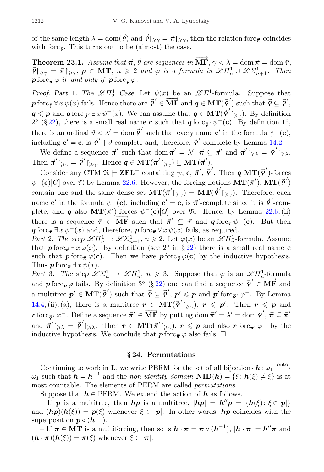of the same length  $\lambda = \text{dom}(\vec{\rho})$  and  $\vec{\rho}|_{\geq \gamma} = \vec{\pi}|_{\geq \gamma}$ , then the relation forc<sub> $\vec{\pi}$ </sub> coincides with forc $_{\vec{\mathsf{p}}}$ . This turns out to be (almost) the case.

<span id="page-31-1"></span>Theorem 23.1. Assume that  $\vec{\pi}, \vec{\rho}$  are sequences in  $\overrightarrow{MF}, \gamma < \lambda = \text{dom } \vec{\pi} = \text{dom } \vec{\rho}$ ,  $\vec{\varphi}|_{\geq \gamma} = \vec{\pi}|_{\geq \gamma}, \ p \in \text{MT}, \ n \geq 2 \ \text{and } \varphi \text{ is a formula in } \mathscr{L}\Pi_n^1 \cup \mathscr{L}\Sigma_{n+1}^1.$  Then  $\mathbf{p}$  forc $\vec{\pi} \varphi$  if and only if  $\mathbf{p}$  forc $\vec{\sigma} \varphi$ .

*Proof.* Part 1. The  $\mathscr{L}\Pi_2^1$  Case. Let  $\psi(x)$  be an  $\mathscr{L}\Sigma_1^1$ -formula. Suppose that p forc<sub> $\bar{\varphi}$ </sub>  $\forall x \psi(x)$  fails. Hence there are  $\bar{\varphi}' \in \overline{\mathbf{MF}}$  and  $q \in \mathbf{MT}(\bar{\varphi}')$  such that  $\bar{\varphi} \subseteq \bar{\varphi}'$ ,  $q \leqslant p$  and  $q$  forc $\bar{\varphi}$   $\exists x \psi^-(x)$ . We can assume that  $q \in \mathbf{MT}(\bar{\varphi}')_{\geqslant \gamma}$ ). By definition  $2^{\circ}$  (§ [22\)](#page-28-0), there is a small real name **c** such that **q** forc<sub>**o**'</sub>  $\psi$ <sup>-</sup>(**c**). By definition 1<sup>°</sup>, there is an ordinal  $\vartheta < \lambda' = \text{dom } \vec{\phi}'$  such that every name  $c'$  in the formula  $\psi^-(c)$ , including  $\mathbf{c}' = \mathbf{c}$ , is  $\vec{\phi}' \restriction \vartheta$ -complete and, therefore,  $\vec{\phi}'$ -complete by Lemma [14.2.](#page-19-2)

We define a sequence  $\vec{\pi}'$  such that dom  $\vec{\pi}' = \lambda'$ ,  $\vec{\pi} \subseteq \vec{\pi}'$  and  $\vec{\pi}'|_{\geq \lambda} = \vec{\phi}'|_{\geq \lambda}$ . Then  $\vec{\pi}'|_{\geqslant \gamma} = \vec{\varphi}'|_{\geqslant \gamma}$ . Hence  $q \in \text{MT}(\vec{\pi}') \geqslant \text{MT}(\vec{\pi}')$ .

Consider any CTM  $\mathfrak{N} \models \mathbf{ZFL}^-$  containing  $\psi$ , c,  $\vec{\pi}'$ ,  $\vec{\varrho}'$ . Then  $q \, \text{MT}(\vec{\varrho}')$ -forces  $\psi^-(\mathbf{c})[\underline{G}]$  over  $\mathfrak N$  by Lemma [22.6.](#page-30-1) However, the forcing notions  $\mathbf{MT}(\vec{\pi}')$ ,  $\mathbf{MT}(\vec{\phi}')$ contain one and the same dense set  $\mathbf{MT}(\vec{\pi}')_{\geq \gamma} = \mathbf{MT}(\vec{\phi}')_{\geq \gamma}$ . Therefore, each name **c**' in the formula  $\psi^-(c)$ , including **c**' = **c**, is  $\vec{\pi}'$ -complete since it is  $\vec{\phi}'$ -complete, and q also  $MT(\vec{\pi}')$ -forces  $\psi^{-}(c)[\underline{G}]$  over  $\mathfrak{N}$ . Hence, by Lemma [22.6,](#page-30-1) (ii) there is a sequence  $\vec{\tau} \in \overline{\mathbf{MF}}$  such that  $\vec{\pi}' \subseteq \vec{\tau}$  and  $q$  forc $\vec{\tau} \psi^-(c)$ . But then  $q \text{ for } c_{\vec{\tau}} \exists x \psi^-(x) \text{ and, therefore, } p \text{ for } c_{\vec{\tau}} \forall x \psi(x) \text{ fails, as required.}$ 

Part 2. The step  $\mathscr{L}\Pi_n^1 \to \mathscr{L}\Sigma_{n+1}^1$ ,  $n \geq 2$ . Let  $\varphi(x)$  be an  $\mathscr{L}\Pi_n^1$ -formula. Assume that  $p$  forc $\vec{\pi} \exists x \varphi(x)$ . By definition (see 2<sup>°</sup> in § [22\)](#page-28-0) there is a small real name c such that  $p$  forc $\pi \varphi(c)$ . Then we have  $p$  forc $\bar{\varphi}(c)$  by the inductive hypothesis. Thus  $p \operatorname{forc}_{\vec{o}} \exists x \psi(x)$ .

Part 3. The step  $\mathscr{L} \Sigma_n^1 \to \mathscr{L} \Pi_n^1$ ,  $n \geq 3$ . Suppose that  $\varphi$  is an  $\mathscr{L} \Pi_n^1$ -formula and  $p$  forc<sub> $\vec{\phi}$ </sub>  $\varphi$  fails. By definition  $3^{\circ}$  (§ [22\)](#page-28-0) one can find a sequence  $\vec{\phi}' \in \overline{\mathbf{MF}}$  and a multitree  $p' \in \mathbf{MT}(\vec{\rho}')$  such that  $\vec{\rho} \subseteq \vec{\rho}', p' \leqslant p$  and  $p'$  forc $_{\vec{\rho}} \circ \varphi^-$ . By Lemma [14.4,](#page-19-1) (ii), (a), there is a multitree  $r \in \mathbf{MT}(\vec{\mathcal{P}}'|_{\geq \gamma})$ ,  $r \leq p'$ . Then  $r \leq p$  and r forc  $\vec{\rho}'$ ,  $\vec{\rho}$  - Define a sequence  $\vec{\pi}' \in \overline{\mathbf{MF}}$  by putting dom  $\vec{\pi}' = \lambda' = \text{dom } \vec{\rho}', \vec{\pi} \subseteq \vec{\pi}'$ and  $\vec{\pi}'|_{\geqslant \lambda} = \vec{\varphi}'|_{\geqslant \lambda}$ . Then  $r \in \mathrm{MT}(\vec{\pi}'|_{\geqslant \gamma})$ ,  $r \leqslant p$  and also  $r$  forc $_{\vec{\pi}'} \varphi^-$  by the inductive hypothesis. We conclude that  $p$  forc $_{\vec{\pi}} \varphi$  also fails.  $\square$ 

### § 24. Permutations

<span id="page-31-0"></span>Continuing to work in **L**, we write PERM for the set of all bijections  $h: \omega_1 \longrightarrow^{\text{onto}}$  $\omega_1$  such that  $h = h^{-1}$  and the non-identity domain  $\text{NID}(h) = \{\xi : h(\xi) \neq \xi\}$  is at most countable. The elements of PERM are called permutations.

Suppose that  $h \in PERM$ . We extend the action of  $h$  as follows.

- If p is a multitree, then hp is a multitree,  $|h p| = h'' p = \{h(\xi) : \xi \in |p|\}$ and  $(hp)(h(\xi)) = p(\xi)$  whenever  $\xi \in |p|$ . In other words, hp coincides with the superposition  $p \circ (h^{-1})$ .

– If  $\pi \in \mathbf{MT}$  is a multiforcing, then so is  $\mathbf{h} \cdot \pi = \pi \circ (\mathbf{h}^{-1})$ ,  $|\mathbf{h} \cdot \pi| = \mathbf{h}'' \pi$  and  $(h \cdot \pi)(h(\xi)) = \pi(\xi)$  whenever  $\xi \in |\pi|$ .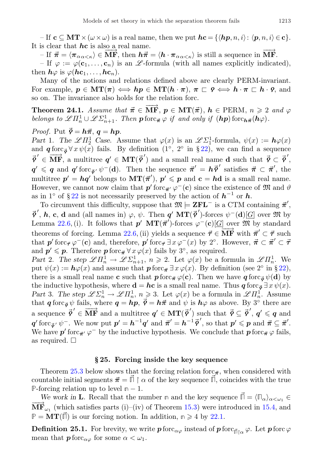– If  $\mathbf{c} \subseteq \mathbf{MT} \times (\omega \times \omega)$  is a real name, then we put  $\mathbf{hc} = \{ \langle \mathbf{hp}, n, i \rangle : \langle \mathbf{p}, n, i \rangle \in \mathbf{c} \}.$ It is clear that  $h$ c is also a real name.

– If  $\vec{\pi} = \langle \pi_{\alpha \alpha \langle \kappa \rangle} \in \overrightarrow{MF}$ , then  $h\vec{\pi} = \langle h \cdot \pi_{\alpha \alpha \langle \kappa \rangle} \rangle$  is still a sequence in  $\overrightarrow{MF}$ .

– If  $\varphi := \varphi(c_1, \ldots, c_n)$  is an  $\mathscr{L}$ -formula (with all names explicitly indicated), then  $h\varphi$  is  $\varphi(h\mathbf{c}_1,\ldots,h\mathbf{c}_n)$ .

Many of the notions and relations defined above are clearly PERM-invariant. For example,  $p \in \mathbf{MT}(\pi) \iff hp \in \mathbf{MT}(h \cdot \pi)$ ,  $\pi \sqsubset \varphi \iff h \cdot \pi \sqsubset h \cdot \varphi$ , and so on. The invariance also holds for the relation forc.

<span id="page-32-1"></span>**Theorem 24.1.** Assume that  $\vec{\pi} \in \overrightarrow{MF}$ ,  $p \in MT(\vec{\pi})$ ,  $h \in PERM$ ,  $n \geq 2$  and  $\varphi$ belongs to  $\mathscr{L}\Pi_n^1 \cup \mathscr{L}\Sigma_{n+1}^1$ . Then  $p$  forc $\vec{\pi} \varphi$  if and only if  $(hp)$  forc $h\vec{\pi}(h\varphi)$ .

*Proof.* Put 
$$
\vec{\rho} = h\vec{\pi}, q = hp
$$
.

Part 1. The  $\mathscr{L}\Pi_2^1$  Case. Assume that  $\varphi(x)$  is an  $\mathscr{L}\Sigma_1^1$ -formula,  $\psi(x) := h\varphi(x)$ and  $\boldsymbol{q}$  forc<sub> $\phi$ </sub>  $\forall x \psi(x)$  fails. By definition  $(1^{\circ}, 2^{\circ}$  in § [22\)](#page-28-0), we can find a sequence  $\vec{\rho}' \in \overline{\mathbf{MF}}$ , a multitree  $\mathbf{q}' \in \mathbf{MT}(\vec{\rho}')$  and a small real name **d** such that  $\vec{\rho} \subset \vec{\rho}',$  $q' \leq q$  and  $q'$  forc<sub> $\vec{\sigma}'$ </sub>  $\psi^{-}(d)$ . Then the sequence  $\vec{\pi}' = h \vec{\rho}'$  satisfies  $\vec{\pi} \subset \vec{\pi}'$ , the multitree  $p' = hq'$  belongs to  $MT(\vec{\pi}')$ ,  $p' \leqslant p$  and  $c = hd$  is a small real name. However, we cannot now claim that  $p'$  forc $_{\vec{\pi}'} \varphi^-(c)$  since the existence of  $\mathfrak{M}$  and  $\vartheta$ as in 1<sup>°</sup> of § [22](#page-28-0) is not necessarily preserved by the action of  $h^{-1}$  or h.

To circumvent this difficulty, suppose that  $\mathfrak{M} \models \mathbf{ZFL}^-$  is a CTM containing  $\vec{\pi}'$ ,  $\vec{\rho}', h, c, d$  and (all names in)  $\varphi, \psi$ . Then  $q'$   $MT(\vec{\rho}')$ -forces  $\psi^{-}(d)[\underline{G}]$  over  $\mathfrak{M}$  by Lemma [22.6,](#page-30-1) (i). It follows that  $p'$   $MT(\vec{\pi}')$ -forces  $\varphi^{-}(c)[\underline{G}]$  over  $\widehat{M}$  by standard theorems of forcing. Lemma [22.6,](#page-30-1) (ii) yields a sequence  $\vec{\tau} \in \overrightarrow{MF}$  with  $\vec{\pi}' \subset \vec{\tau}$  such theorems that  $p'$  forc $\vec{\tau} \varphi^-(c)$  and, therefore,  $p'$  forc $\vec{\tau} \exists x \varphi^-(x)$  by 2°. However,  $\vec{\pi} \subset \vec{\pi}' \subset \vec{\tau}$ and  $p' \leqslant p$ . Therefore  $p$  forc<sub> $\vec{\pi} \forall x \varphi(x)$  fails by  $3^{\circ}$ , as required.</sub>

Part 2. The step  $\mathscr{L}\Pi_n^1 \to \mathscr{L}\Sigma_{n+1}^1$ ,  $n \geqslant 2$ . Let  $\varphi(x)$  be a formula in  $\mathscr{L}\Pi_n^1$ . We put  $\psi(x) := \mathbf{h}\varphi(x)$  and assume that  $\mathbf{p}$  forc $\vec{\pi} \exists x \varphi(x)$ . By definition (see 2° in § [22\)](#page-28-0), there is a small real name c such that  $p$  forc $_{\vec{\tau}} \varphi(c)$ . Then we have  $q$  forc<sub> $\vec{\sigma} \psi(d)$ </sub> by the inductive hypothesis, where  $\mathbf{d} = \mathbf{h}\mathbf{c}$  is a small real name. Thus  $\mathbf{q}$  forc<sub> $\vec{\phi}} \exists x \psi(x)$ .</sub> Part 3. The step  $\mathscr{L}\Sigma_n^1 \to \mathscr{L}\Pi_n^1$ ,  $n \geq 3$ . Let  $\varphi(x)$  be a formula in  $\mathscr{L}\Pi_n^1$ . Assume that  $q \text{ for } c_{\vec{\phi}} \psi$  fails, where  $q = h p$ ,  $\vec{\phi} = h \vec{\pi}$  and  $\psi$  is  $h \varphi$  as above. By 3<sup>°</sup> there are a sequence  $\vec{\phi}' \in \overline{\text{MF}}$  and a multitree  $q' \in \text{MT}(\vec{\phi}')$  such that  $\vec{\phi} \subseteq \vec{\phi}', q' \leq q$  and  $\boldsymbol{q}'$  forc $\vec{\mathfrak{q}}$ ,  $\psi^-$ . We now put  $\boldsymbol{p}' = \boldsymbol{h}^{-1}\boldsymbol{q}'$  and  $\vec{\pi}' = \boldsymbol{h}^{-1}\vec{\mathfrak{p}}'$ , so that  $\boldsymbol{p}' \leqslant \boldsymbol{p}$  and  $\vec{\pi} \subseteq \vec{\pi}'$ . We have  $p'$  forc<sub> $\vec{\pi}'$ </sub>  $\varphi^-$  by the inductive hypothesis. We conclude that  $p$  forc $\vec{\pi} \varphi$  fails, as required. □

#### § 25. Forcing inside the key sequence

Theorem [25.3](#page-33-0) below shows that the forcing relation forc $\vec{\pi}$ , when considered with countable initial segments  $\vec{\pi} = \vec{\Pi} \restriction \alpha$  of the key sequence  $\vec{\Pi}$ , coincides with the true **P**-forcing relation up to level **n** − 1.

We work in **L**. Recall that the number **n** and the key sequence  $\vec{\Pi} = \langle \Pi_{\alpha} \rangle_{\alpha \leq \omega_1} \in$  $\overrightarrow{MF}_{\omega_1}$  (which satisfies parts (i)–(iv) of Theorem [15.3\)](#page-20-0) were introduced in [15.4,](#page-21-1) and  $\mathbb{P} = \mathbf{MT}(\vec{\mathbb{p}})$  is our forcing notion. In addition,  $\mathbb{p} \geq 4$  by [22.1.](#page-28-1)

<span id="page-32-0"></span>**Definition 25.1.** For brevity, we write  $p$  forc $_{\alpha\varphi}$  instead of  $p$  forc $_{\vec{\Pi}|_{\alpha}} \varphi$ . Let  $p$  forc  $\varphi$ mean that  $\mathbf{p}$  forc $_{\alpha\varphi}$  for some  $\alpha < \omega_1$ .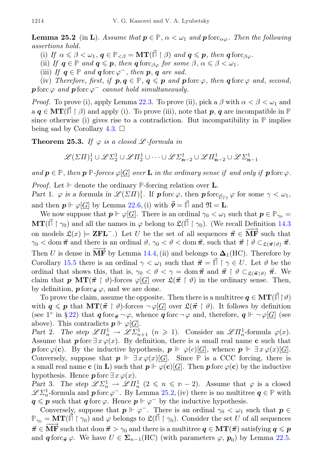**Lemma 25.2** (in L). Assume that  $p \in \mathbb{P}$ ,  $\alpha < \omega_1$  and p forc<sub> $\alpha\varphi$ </sub>. Then the following assertions hold.

(i) If  $\alpha \leq \beta < \omega_1, q \in \mathbb{P}_{\leq \beta} = \mathbf{MT}(\vec{\mathbb{p}} \restriction \beta)$  and  $q \leq p$ , then  $q \text{ for } c_{\beta \varphi}$ .

(ii) If  $q \in \mathbb{P}$  and  $q \leq p$ , then  $q$  forc<sub>βω</sub> for some  $\beta$ ,  $\alpha \leq \beta \leq \omega_1$ .

(iii) If  $q \in \mathbb{P}$  and  $q$  forc  $\varphi^-$ , then p, q are sad.

(iv) Therefore, first, if  $p, q \in \mathbb{P}$ ,  $q \leq p$  and  $p$  forc  $\varphi$ , then  $q$  forc  $\varphi$  and, second,  $\boldsymbol{p}$  forc  $\varphi$  and  $\boldsymbol{p}$  forc  $\varphi^-$  cannot hold simultaneously.

*Proof.* To prove (i), apply Lemma [22.3.](#page-29-2) To prove (ii), pick a  $\beta$  with  $\alpha < \beta < \omega_1$  and  $a \boldsymbol{q} \in \mathbf{MT}(\mathbb{I} \restriction \beta)$  and apply (i). To prove (iii), note that **p**, **q** are incompatible in  $\mathbb{P}$ since otherwise (i) gives rise to a contradiction. But incompatibility in  $\mathbb{P}$  implies being sad by Corollary [4.3.](#page-6-2)  $\Box$ 

<span id="page-33-0"></span>**Theorem 25.3.** If  $\varphi$  is a closed  $\mathscr{L}$ -formula in

$$
\mathscr{L}(\varSigma \varPi)^1_1 \cup \mathscr{L} \varSigma^1_2 \cup \mathscr{L} \varPi^1_2 \cup \cdots \cup \mathscr{L} \varSigma^1_{\mathbf{n}-2} \cup \mathscr{L} \varPi^1_{\mathbf{n}-2} \cup \mathscr{L} \varSigma^1_{\mathbf{n}-1}
$$

and  $p \in \mathbb{P}$ , then  $p \in \text{Process } \varphi[G]$  over **L** in the ordinary sense if and only if  $p$  forc  $\varphi$ .

Proof. Let ⊩ denote the ordinary **P**-forcing relation over L.

Part 1.  $\varphi$  is a formula in  $\mathscr{L}(\Sigma \Pi)^1$ . If **p** forc  $\varphi$ , then **p** forc  $\overline{\mathfrak{g}}_{\vert \gamma}$   $\varphi$  for some  $\gamma < \omega_1$ , and then  $p \Vdash \varphi[G]$  by Lemma [22.6,](#page-30-1) (i) with  $\vec{\varphi} = \vec{\Gamma}$  and  $\mathfrak{N} = \mathbf{L}$ .

We now suppose that  $p \Vdash \varphi[\underline{G}]$ . There is an ordinal  $\gamma_0 < \omega_1$  such that  $p \in \mathbb{P}_{\gamma_0}$  $\mathbf{MT}(\vec{\mathbb{F}} \restriction \gamma_0)$  and all the names in  $\varphi$  belong to  $\mathfrak{L}(\vec{\mathbb{F}} \restriction \gamma_0)$ . (We recall Definition [14.3](#page-19-0)) on models  $\mathfrak{L}(x) \models \mathbf{ZFL}^{-}$ .) Let U be the set of all sequences  $\vec{\pi} \in \overline{\mathbf{MF}}$  such that  $\gamma_0 < \text{dom } \vec{\pi}$  and there is an ordinal  $\vartheta, \gamma_0 < \vartheta < \text{dom } \vec{\pi}$ , such that  $\vec{\pi} \restriction \vartheta \subset_{\mathfrak{L}(\vec{\pi} \restriction \vartheta)} \vec{\pi}$ . Then U is dense in  $\overrightarrow{MF}$  by Lemma [14.4,](#page-19-1) (ii) and belongs to  $\Delta_1(HC)$ . Therefore by Corollary [15.5](#page-21-2) there is an ordinal  $\gamma < \omega_1$  such that  $\vec{\pi} = \vec{\Pi} \restriction \gamma \in U$ . Let  $\vartheta$  be the ordinal that shows this, that is,  $\gamma_0 < \vartheta < \gamma = \text{dom } \vec{\pi}$  and  $\vec{\pi} \restriction \vartheta \subset_{\mathfrak{L}(\vec{\pi} \restriction \vartheta)} \vec{\pi}$ . We claim that **p** MT( $\vec{\pi}$   $\upharpoonright \vartheta$ )-forces  $\varphi$ [*G*] over  $\mathfrak{L}(\vec{\pi} \upharpoonright \vartheta)$  in the ordinary sense. Then, by definition,  $\mathbf{p}$  forc $\neq \varphi$ , and we are done.

To prove the claim, assume the opposite. Then there is a multitree  $q \in \mathbf{MT}(\mathbb{F} \upharpoonright \vartheta)$ with  $q \leqslant p$  that  $MT(\vec{\pi} \restriction \vartheta)$ -forces  $\neg \varphi[G]$  over  $\mathfrak{L}(\vec{\pi} \restriction \vartheta)$ . It follows by definition (see 1<sup>o</sup> in §[22\)](#page-28-0) that  $q \text{ for } c_{\vec{\pi}} \neg \varphi$ , whence  $q \text{ for } \neg \varphi$  and, therefore,  $q \Vdash \neg \varphi[G]$  (see above). This contradicts  $p \Vdash \varphi[G]$ .

Part 2. The step  $\mathscr{L}\Pi_n^1 \to \mathscr{L}\Sigma_{n+1}^1$   $(n \geq 1)$ . Consider an  $\mathscr{L}\Pi_n^1$ -formula  $\varphi(x)$ . Assume that  $p$  forc  $\exists x \varphi(x)$ . By definition, there is a small real name c such that **p** forc  $\varphi(\mathbf{c})$ . By the inductive hypothesis,  $p \Vdash \varphi(c)[\underline{G}]$ , whence  $p \Vdash \exists x \varphi(x)[\underline{G}]$ . Conversely, suppose that  $p \Vdash \exists x \varphi(x)[\underline{G}]$ . Since  $\mathbb P$  is a CCC forcing, there is a small real name c (in L) such that  $p \Vdash \varphi(c)[G]$ . Then p forc  $\varphi(c)$  by the inductive hypothesis. Hence  $\mathbf{p}$  forc  $\exists x \varphi(x)$ .

Part 3. The step  $\mathscr{L} \Sigma_n^1 \to \mathscr{L} \Pi_n^1$   $(2 \leq n \leq n-2)$ . Assume that  $\varphi$  is a closed  $\mathscr{L}\Sigma_n^1$ -formula and  $p$  forc  $\varphi^-$ . By Lemma [25.2,](#page-32-0) (iv) there is no multitree  $q \in \mathbb{P}$  with  $q \leqslant p$  such that  $q$  forc  $\varphi$ . Hence  $p \Vdash \varphi^-$  by the inductive hypothesis.

Conversely, suppose that  $p \Vdash \varphi^-$ . There is an ordinal  $\gamma_0 < \omega_1$  such that  $p \in$  $\mathbb{P}_{\gamma_0} = \mathbf{MT}(\vec{\mathbb{I}} \restriction \gamma_0)$  and  $\varphi$  belongs to  $\mathfrak{L}(\vec{\mathbb{I}} \restriction \gamma_0)$ . Consider the set U of all sequences  $\vec{\pi} \in \overline{\text{MF}}$  such that dom  $\vec{\pi} > \gamma_0$  and there is a multitree  $q \in \text{MT}(\vec{\pi})$  satisfying  $q \leq p$ and  $q \text{ for } c_{\vec{\pi}} \varphi$ . We have  $U \in \Sigma_{n-1}(\text{HC})$  (with parameters  $\varphi, p_0$ ) by Lemma [22.5.](#page-29-3)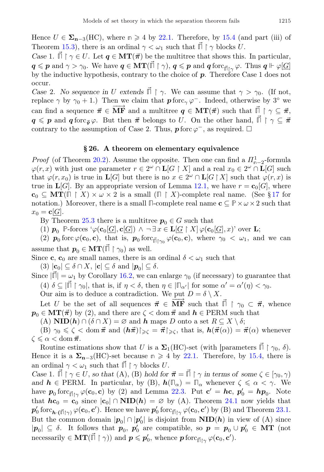Hence  $U \in \Sigma_{n-3}(\text{HC})$ , where  $n \geq 4$  by [22.1.](#page-28-1) Therefore, by [15.4](#page-21-1) (and part (iii) of Theorem [15.3\)](#page-20-0), there is an ordinal  $\gamma < \omega_1$  such that  $\vec{\Pi} \restriction \gamma$  blocks U.

Case 1.  $\vec{\Pi} \restriction \gamma \in U$ . Let  $q \in \mathbf{MT}(\vec{\pi})$  be the multitree that shows this. In particular,  $q \leqslant p$  and  $\gamma > \gamma_0$ . We have  $q \in \text{MT}(\vec{\mathbb{H}} \restriction \gamma)$ ,  $q \leqslant p$  and  $q$  forc $\mathbb{F}_{\vec{\mathbb{H}} \restriction \gamma}$   $\varphi$ . Thus  $q \Vdash \varphi[\underline{G}]$ by the inductive hypothesis, contrary to the choice of  $p$ . Therefore Case 1 does not occur.

Case 2. No sequence in U extends  $\overrightarrow{II} \upharpoonright \gamma$ . We can assume that  $\gamma > \gamma_0$ . (If not, replace  $\gamma$  by  $\gamma_0 + 1$ .) Then we claim that  $\mathbf{p}$  forc<sub> $\gamma$ </sub>  $\varphi^-$ . Indeed, otherwise by 3<sup>°</sup> we can find a sequence  $\vec{\pi} \in \overline{\textbf{MF}}$  and a multitree  $q \in \textbf{MT}(\vec{\pi})$  such that  $\vec{\Pi} \restriction \gamma \subseteq \vec{\pi}$ ,  $q \leqslant p$  and  $q$  forc<sub> $\vec{\sigma} \varphi$ . But then  $\vec{\pi}$  belongs to U. On the other hand,  $\vec{\Pi} \restriction \gamma \subseteq \vec{\pi}$ </sub> contrary to the assumption of Case 2. Thus,  $p$  forc  $\varphi^-$ , as required.  $\Box$ 

## § 26. A theorem on elementary equivalence

<span id="page-34-0"></span>*Proof* (of Theorem [20.2\)](#page-27-1). Assume the opposite. Then one can find a  $\Pi_{n-2}^1$ -formula  $\varphi(r,x)$  with just one parameter  $r \in 2^{\omega} \cap L[G \restriction X]$  and a real  $x_0 \in 2^{\omega} \cap L[G]$  such that  $\varphi(r, x_0)$  is true in  $\mathbf{L}[G]$  but there is no  $x \in 2^{\omega} \cap \mathbf{L}[G \upharpoonright X]$  such that  $\varphi(r, x)$  is true in  $\mathbf{L}[G]$ . By an appropriate version of Lemma [12.1,](#page-17-2) we have  $r = \mathbf{c}_0[G]$ , where  $c_0 \subseteq MT(\Pi \upharpoonright X) \times \omega \times 2$  is a small  $(\Pi \upharpoonright X)$ -complete real name. (See §[17](#page-23-0) for notation.) Moreover, there is a small  $\mathbb{\Pi}$ -complete real name  $\mathbf{c} \subseteq \mathbb{P} \times \omega \times 2$  such that  $x_0 = \mathbf{c} | \mathcal{G} |$ .

By Theorem [25.3](#page-33-0) there is a multitree  $p_0 \in G$  such that

(1)  $p_0$  **P**-forces ' $\varphi(\mathbf{c}_0[\underline{G}], \mathbf{c}[\underline{G}]) \wedge \neg \exists x \in \mathbf{L}[\underline{G} \restriction X] \varphi(\mathbf{c}_0[\underline{G}], x)$ ' over **L**;

(2)  $p_0$  forc  $\varphi(\mathbf{c}_0, \mathbf{c})$ , that is,  $p_0$  forc  $\overline{\mathbb{F}}_{\vert \gamma_0}$   $\varphi(\mathbf{c}_0, \mathbf{c})$ , where  $\gamma_0 < \omega_1$ , and we can assume that  $p_0 \in \mathbf{MT}(\overrightarrow{\Pi} \restriction \gamma_0)$  as well.

Since c, c<sub>0</sub> are small names, there is an ordinal  $\delta < \omega_1$  such that

(3)  $|\mathbf{c}_0| \subseteq \delta \cap X$ ,  $|\mathbf{c}| \subseteq \delta$  and  $|\mathbf{p}_0| \subseteq \delta$ .

Since  $|\vec{\mathbb{I}}| = \omega_1$  by Corollary [16.2,](#page-22-0) we can enlarge  $\gamma_0$  (if necessary) to guarantee that (4)  $\delta \subseteq |\vec{\Pi}| \gamma_0$ , that is, if  $\eta < \delta$ , then  $\eta \in |\Pi_{\alpha'}|$  for some  $\alpha' = \alpha'(\eta) < \gamma_0$ .

Our aim is to deduce a contradiction. We put  $D = \delta \setminus X$ .

Let U be the set of all sequences  $\vec{\pi} \in \overline{\mathbf{MF}}$  such that  $\vec{\Pi} \restriction \gamma_0 \subset \vec{\pi}$ , whence  $p_0 \in \mathbf{MT}(\vec{\pi})$  by (2), and there are  $\zeta < \text{dom } \vec{\pi}$  and  $h \in \text{PERM}$  such that

(A)  $\textbf{NID}(\textbf{h}) \cap (\delta \cap X) = \varnothing$  and  $\textbf{h}$  maps D onto a set  $R \subseteq X \setminus \delta$ ;

(B)  $\gamma_0 \leq \zeta < \text{dom } \vec{\pi}$  and  $(\hbar \vec{\pi})|_{\geq \zeta} = \vec{\pi}|_{\geq \zeta}$ , that is,  $h(\vec{\pi}(\alpha)) = \vec{\pi}(\alpha)$  whenever  $\zeta \leqslant \alpha < \operatorname{dom} \vec{\pi}$ .

Routine estimations show that U is a  $\Sigma_1(HC)$ -set (with [parameters  $\vec{\Pi} \restriction \gamma_0, \delta$ ). Hence it is a  $\Sigma_{n-3}$ (HC)-set because  $n \geq 4$  by [22.1.](#page-28-1) Therefore, by [15.4,](#page-21-1) there is an ordinal  $\gamma < \omega_1$  such that  $\mathbb{I} \restriction \gamma$  blocks U.

Case 1.  $\mathbb{I} \restriction \gamma \in U$ , so that  $(A)$ ,  $(B)$  hold for  $\vec{\pi} = \mathbb{I} \restriction \gamma$  in terms of some  $\zeta \in [\gamma_0, \gamma)$ and  $h \in \text{PERM}$ . In particular, by (B),  $h(\Pi_{\alpha}) = \Pi_{\alpha}$  whenever  $\zeta \leq \alpha < \gamma$ . We have  $p_0$  forc<sub> $\vec{\theta}$ [ $\gamma \varphi(\mathbf{c}_0, \mathbf{c})$  by (2) and Lemma [22.3.](#page-29-2) Put  $\mathbf{c}' = h\mathbf{c}$ ,  $p'_0 = h p_0$ . Note</sub> that  $h\mathbf{c}_0 = \mathbf{c}_0$  since  $|\mathbf{c}_0| \cap \textbf{NID}(h) = \emptyset$  by (A). Theorem [24.1](#page-32-1) now yields that  $p'_0$  forc<sub>h·( $\vec{\mathfrak{m}}_{\restriction \gamma}$ )  $\varphi(\mathbf{c}_0, \mathbf{c}')$ . Hence we have  $p'_0$  forc<sub> $\vec{\mathfrak{m}}_{\restriction \gamma}$ </sub>  $\varphi(\mathbf{c}_0, \mathbf{c}')$  by (B) and Theorem [23.1.](#page-31-1)</sub> But the common domain  $|p_0| \cap |p'_0|$  is disjoint from  $NID(h)$  in view of (A) since  $|p_0| \subseteq \delta$ . It follows that  $p_0, p'_0$  are compatible, so  $p = p_0 \cup p'_0 \in \mathbf{MT}$  (not  $\text{lecessarily} \in \mathbf{MT}(\vec{\mathbb{H}} \restriction \gamma) \text{) and } \mathbf{p} \leqslant \mathbf{p}'_0, \text{ whence } \mathbf{p} \text{ for } c_{\vec{\mathbb{H}} \restriction \gamma} \varphi(\mathbf{c}_0, \mathbf{c}')$ .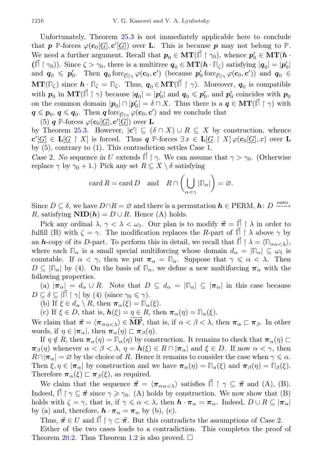Unfortunately, Theorem [25.3](#page-33-0) is not immediately applicable here to conclude that **p P**-forces  $\varphi(c_0[\underline{G}], c'[\underline{G}])$  over **L**. This is because **p** may not belong to **P**. We need a further argument. Recall that  $p_0 \in \mathbf{MT}(\vec{\mathbb{H}} \restriction \gamma_0)$ , whence  $p'_0 \in \mathbf{MT}(\mathbf{h} \cdot \mathbf{M})$  $(\vec{\mathbb{I}} \restriction \gamma_0)$ ). Since  $\zeta > \gamma_0$ , there is a multitree  $\mathbf{q}_0 \in \mathbf{MT}(\mathbf{h} \cdot \mathbb{I}_{\zeta})$  satisfying  $|\mathbf{q}_0| = |\mathbf{p}_0'|$ and  $\mathbf{q}_0 \leqslant \mathbf{p}'_0$ . Then  $\mathbf{q}_0$  forc<sub> $\mathbf{p}'_1 \gamma \varphi(\mathbf{c}_0, \mathbf{c}')$  (because  $\mathbf{p}'_0$  forc<sub> $\mathbf{p}'_1 \gamma \varphi(\mathbf{c}_0, \mathbf{c}')$ ) and  $\mathbf{q}_0 \in$ </sub></sub>  $\mathbf{MT}(\mathbb{Z}_\zeta)$  since  $\mathbf{h} \cdot \mathbb{Z}_\zeta = \mathbb{Z}_\zeta$ . Thus,  $\mathbf{q}_0 \in \mathbf{MT}(\vec{\mathbb{Z}} \restriction \gamma)$ . Moreover,  $\mathbf{q}_0$  is compatible with  $p_0$  in  $MT(\vec{\mathbb{I}} \restriction \gamma)$  because  $|q_0| = |p'_0|$  and  $q_0 \leqslant p'_0$ , and  $p'_0$  coincides with  $p_0$ on the common domain  $|\mathbf{p}_0| \cap |\mathbf{p}_0'| = \delta \cap X$ . Thus there is a  $\mathbf{q} \in \mathbf{MT}(\vec{\mathbb{I}} \restriction \gamma)$  with  $q \leqslant p_0, q \leqslant q_0$ . Then  $q \text{ for } q_{\text{min}} \not\downarrow (c_0, c')$  and we conclude that

(5)  $q$  P-forces  $\varphi(\mathbf{c}_0[\underline{G}], \mathbf{c}'[\underline{G}])$  over **L** 

by Theorem [25.3.](#page-33-0) However,  $|c'| \subseteq (\delta \cap X) \cup R \subseteq X$  by construction, whence  $\mathbf{c}'[\underline{G}] \in \mathbf{L}[\underline{G} \restriction X]$  is forced. Thus  $q \stackrel{\mathbb{P} \text{-} \text{forces}}{=} \exists x \in \mathbf{L}[\underline{G} \restriction X] \varphi(\mathbf{c}_0[\underline{G}], x)$  over  $\mathbf{L}$ by (5), contrary to (1). This contradiction settles Case 1.

Case 2. No sequence in U extends  $\overrightarrow{\Pi} \upharpoonright \gamma$ . We can assume that  $\gamma > \gamma_0$ . (Otherwise replace  $\gamma$  by  $\gamma_0 + 1$ .) Pick any set  $R \subseteq X \setminus \delta$  satisfying

$$
\operatorname{card} R = \operatorname{card} D \quad \text{and} \quad R \cap \left( \bigcup_{\alpha < \gamma} |\mathbb{F}_\alpha| \right) = \varnothing.
$$

Since  $D \subseteq \delta$ , we have  $D \cap R = \varnothing$  and there is a permutation  $h \in \text{PERM}, h: D \xrightarrow{\text{onto}}$ R, satisfying  $\text{NID}(h) = D \cup R$ . Hence (A) holds.

Pick any ordinal  $\lambda, \gamma < \lambda < \omega_1$ . Our plan is to modify  $\vec{\pi} = \vec{\mathbb{I}} \restriction \lambda$  in order to fulfill (B) with  $\zeta = \gamma$ . The modification replaces the R-part of  $\Box \upharpoonright \lambda$  above  $\gamma$  by an h-copy of its D-part. To perform this in detail, we recall that  $\vec{\Pi} \restriction \lambda = \langle \Pi_{\alpha_{\alpha} < \lambda} \rangle$ , where each  $\Pi_{\alpha}$  is a small special multiforcing whose domain  $d_{\alpha} = |\Pi_{\alpha}| \subseteq \omega_1$  is countable. If  $\alpha < \gamma$ , then we put  $\pi_{\alpha} = \Pi_{\alpha}$ . Suppose that  $\gamma \leq \alpha < \lambda$ . Then  $D \subseteq |\mathbb{F}_{\alpha}|$  by (4). On the basis of  $\mathbb{F}_{\alpha}$ , we define a new multiforcing  $\pi_{\alpha}$  with the following properties.

(a)  $|\pi_{\alpha}| = d_{\alpha} \cup R$ . Note that  $D \subseteq d_{\alpha} = |\Pi_{\alpha}| \subseteq |\pi_{\alpha}|$  in this case because  $D \subseteq \delta \subseteq |\vec{\mathbb{F}} \upharpoonright \gamma|$  by (4) (since  $\gamma_0 \leq \gamma$ ).

(b) If  $\xi \in d_{\alpha} \setminus R$ , then  $\pi_{\alpha}(\xi) = \Pi_{\alpha}(\xi)$ .

(c) If  $\xi \in D$ , that is,  $h(\xi) = \eta \in R$ , then  $\pi_{\alpha}(\eta) = \mathbb{T}_{\alpha}(\xi)$ .

We claim that  $\vec{\pi} = \langle \pi_{\alpha \alpha < \lambda} \rangle \in \vec{\mathbf{MF}}$ , that is, if  $\alpha < \beta < \lambda$ , then  $\pi_{\alpha} \sqsubset \pi_{\beta}$ . In other words, if  $\eta \in |\pi_{\alpha}|$ , then  $\pi_{\alpha}(\eta) \sqsubset \pi_{\beta}(\eta)$ .

If  $\eta \notin R$ , then  $\pi_{\alpha}(\eta) = \mathbb{I}_{\alpha}(\eta)$  by construction. It remains to check that  $\pi_{\alpha}(\eta) \sqsubset$  $\pi_{\beta}(\eta)$  whenever  $\alpha < \beta < \lambda$ ,  $\eta = h(\xi) \in R \cap |\pi_{\alpha}|$  and  $\xi \in D$ . If now  $\alpha < \gamma$ , then  $R \cap |\pi_\alpha| = \varnothing$  by the choice of R. Hence it remains to consider the case when  $\gamma \leq \alpha$ . Then  $\xi, \eta \in |\pi_{\alpha}|$  by construction and we have  $\pi_{\alpha}(\eta) = \Pi_{\alpha}(\xi)$  and  $\pi_{\beta}(\eta) = \Pi_{\beta}(\xi)$ . Therefore  $\pi_{\alpha}(\xi) \sqsubset \pi_{\beta}(\xi)$ , as required.

We claim that the sequence  $\vec{\pi} = \langle \pi_{\alpha \alpha < \lambda} \rangle$  satisfies  $\vec{\Pi} \restriction \gamma \subseteq \vec{\pi}$  and (A), (B). Indeed,  $\vec{\parallel} \restriction \gamma \subseteq \vec{\pi}$  since  $\gamma \geq \gamma_0$ . (A) holds by construction. We now show that (B) holds with  $\zeta = \gamma$ , that is, if  $\gamma \leq \alpha < \lambda$ , then  $\mathbf{h} \cdot \pi_{\alpha} = \pi_{\alpha}$ . Indeed,  $D \cup R \subseteq |\pi_{\alpha}|$ by (a) and, therefore,  $\mathbf{h} \cdot \boldsymbol{\pi}_{\alpha} = \boldsymbol{\pi}_{\alpha}$  by (b), (c).

Thus,  $\vec{\pi} \in U$  and  $\vec{\Pi} \restriction \gamma \subset \vec{\pi}$ . But this contradicts the assumptions of Case 2.

Either of the two cases leads to a contradiction. This completes the proof of Theorem [20.2.](#page-27-1) Thus Theorem [1.2](#page-2-0) is also proved.  $\square$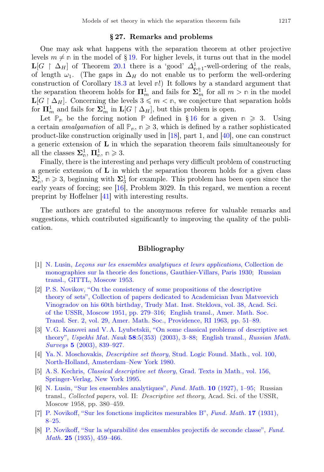#### § 27. Remarks and problems

One may ask what happens with the separation theorem at other projective levels  $m \neq n$  in the model of §[19.](#page-25-0) For higher levels, it turns out that in the model L[G  $\upharpoonright \Delta_H$ ] of Theorem [20.1](#page-26-2) there is a 'good'  $\Delta_{n+1}^1$ -well-ordering of the reals, of length  $\omega_1$ . (The gaps in  $\Delta_H$  do not enable us to perform the well-ordering construction of Corollary [18.3](#page-25-2) at level **n**!) It follows by a standard argument that the separation theorem holds for  $\mathbf{\Pi}_{m}^{1}$  and fails for  $\mathbf{\Sigma}_{m}^{1}$  for all  $m > \mathbb{n}$  in the model  $\mathbf{L}[G \restriction \Delta_H]$ . Concerning the levels  $3 \leqslant m < \mathbb{n}$ , we conjecture that separation holds for  $\mathbf{\Pi}^1_m$  and fails for  $\mathbf{\Sigma}^1_m$  in  $\mathbf{L}[G \restriction \Delta_H]$ , but this problem is open.

Let  $\mathbb{P}_n$  be the forcing notion  $\mathbb{P}$  defined in § [16](#page-21-0) for a given  $n \geq 3$ . Using a certain *amalgamation* of all  $\mathbb{P}_n$ ,  $n \geq 3$ , which is defined by a rather sophisticated product-like construction originally used in [\[18\]](#page-37-9), part 1, and [\[40\]](#page-38-7), one can construct a generic extension of L in which the separation theorem fails simultaneously for all the classes  $\Sigma_{\mathbb{n}}^1$ ,  $\Pi_{\mathbb{n}}^1$ ,  $\mathbb{n} \geq 3$ .

Finally, there is the interesting and perhaps very difficult problem of constructing a generic extension of L in which the separation theorem holds for a given class  $\Sigma_n^{\overline{1}}$ ,  $n \geq 3$ , beginning with  $\Sigma_3^{\overline{1}}$  for example. This problem has been open since the early years of forcing; see [\[16\]](#page-37-7), Problem 3029. In this regard, we mention a recent preprint by Hoffelner [\[41\]](#page-38-8) with interesting results.

The authors are grateful to the anonymous referee for valuable remarks and suggestions, which contributed significantly to improving the quality of the publication.

### Bibliography

- <span id="page-36-0"></span>[1] N. Lusin, *Leçons sur les ensembles analytiques et leurs applications*, Collection de [monographies sur la theorie des fonctions, Gauthier-Villars, Paris 1930;](https://zbmath.org/?q=an:56.0085.01) [Russian](https://zbmath.org/?q=an:0051.29101) [transl., GITTL, Moscow 1953.](https://zbmath.org/?q=an:0051.29101)
- <span id="page-36-1"></span>[2] [P. S. Novikov, "On the consistency of some propositions of the descriptive](http://mi.mathnet.ru/eng/tm1121) [theory of sets", Collection of papers dedicated to Academician Ivan Matveevich](http://mi.mathnet.ru/eng/tm1121) [Vinogradov on his 60th birthday, Trudy Mat. Inst. Steklova, vol. 38, Acad. Sci.](http://mi.mathnet.ru/eng/tm1121) [of the USSR, Moscow 1951, pp. 279–316;](http://mi.mathnet.ru/eng/tm1121) [English transl., Amer. Math. Soc.](https://doi.org/10.1090/trans2/029/02) [Transl. Ser. 2, vol. 29, Amer. Math. Soc., Providence, RI 1963, pp. 51–89.](https://doi.org/10.1090/trans2/029/02)
- <span id="page-36-2"></span>[3] [V. G. Kanovei and V. A. Lyubetskii, "On some classical problems of descriptive set](https://doi.org/10.4213/rm666) theory", Uspekhi Mat. Nauk 58[:5\(353\) \(2003\), 3–88;](https://doi.org/10.4213/rm666) [English transl.,](https://doi.org/10.1070/RM2003v058n05ABEH000666) Russian Math. Surveys 5 [\(2003\), 839–927.](https://doi.org/10.1070/RM2003v058n05ABEH000666)
- <span id="page-36-3"></span>[4] Ya. N. Moschovakis, Descriptive set theory[, Stud. Logic Found. Math., vol. 100,](https://zbmath.org/?q=an:0433.03025) [North-Holland, Amsterdam–New York 1980.](https://zbmath.org/?q=an:0433.03025)
- <span id="page-36-4"></span>[5] A. S. Kechris, Classical descriptive set theory[, Grad. Texts in Math., vol. 156,](https://doi.org/10.1007/978-1-4612-4190-4) [Springer-Verlag, New York 1995.](https://doi.org/10.1007/978-1-4612-4190-4)
- <span id="page-36-5"></span>[6] [N. Lusin, "Sur les ensembles analytiques",](https://doi.org/10.4064/fm-10-1-1-95) Fund. Math. 10 (1927), 1–95; Russian transl., Collected papers, vol. II: Descriptive set theory, Acad. Sci. of the USSR, Moscow 1958, pp. 380–459.
- <span id="page-36-6"></span>[7] [P. Novikoff, "Sur les fonctions implicites mesurables B",](https://doi.org/10.4064/fm-17-1-8-25) Fund. Math. 17 (1931), [8–25.](https://doi.org/10.4064/fm-17-1-8-25)
- <span id="page-36-7"></span>[8] P. Novikoff, "Sur la séparabilité des ensembles projectifs de seconde classe", Fund. *Math.* **25** [\(1935\), 459–466.](https://doi.org/10.4064/fm-25-1-459-466)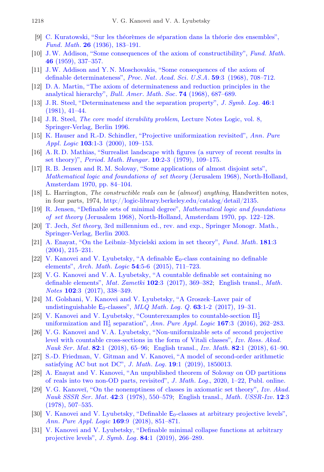- <span id="page-37-0"></span>[9] C. Kuratowski, "Sur les théorèmes de séparation dans la théorie des ensembles", Fund. Math. 26 [\(1936\), 183–191.](https://doi.org/10.4064/fm-26-1-183-191)
- <span id="page-37-1"></span>[10] [J.W. Addison, "Some consequences of the axiom of constructibility",](https://doi.org/10.4064/fm-46-3-337-357) Fund. Math. 46 [\(1959\), 337–357.](https://doi.org/10.4064/fm-46-3-337-357)
- <span id="page-37-2"></span>[11] [J.W. Addison and Y. N. Moschovakis, "Some consequences of the axiom of](https://doi.org/10.1073/pnas.59.3.708) [definable determinateness",](https://doi.org/10.1073/pnas.59.3.708) Proc. Nat. Acad. Sci. U.S.A. 59:3 (1968), 708–712.
- <span id="page-37-3"></span>[12] [D. A. Martin, "The axiom of determinateness and reduction principles in the](https://doi.org/10.1090/S0002-9904-1968-11995-0) [analytical hierarchy",](https://doi.org/10.1090/S0002-9904-1968-11995-0) Bull. Amer. Math. Soc. 74 (1968), 687–689.
- <span id="page-37-4"></span>[13] [J. R. Steel, "Determinateness and the separation property",](https://doi.org/10.2307/2273254) J. Symb. Log. 46:1 [\(1981\), 41–44.](https://doi.org/10.2307/2273254)
- <span id="page-37-5"></span>[14] J. R. Steel, [The core model iterability problem](https://doi.org/10.1017/9781316716892), Lecture Notes Logic, vol. 8, [Springer-Verlag, Berlin 1996.](https://doi.org/10.1017/9781316716892)
- <span id="page-37-6"></span>[15] [K. Hauser and R.-D. Schindler, "Projective uniformization revisited",](https://doi.org/10.1016/S0168-0072(99)00038-X) Ann. Pure Appl. Logic 103[:1-3 \(2000\), 109–153.](https://doi.org/10.1016/S0168-0072(99)00038-X)
- <span id="page-37-7"></span>[16] [A. R. D. Mathias, "Surrealist landscape with figures \(a survey of recent results in](https://doi.org/10.1007/BF02025889) set theory)", Period. Math. Hungar. 10[:2-3 \(1979\), 109–175.](https://doi.org/10.1007/BF02025889)
- <span id="page-37-8"></span>[17] [R. B. Jensen and R. M. Solovay, "Some applications of almost disjoint sets",](https://zbmath.org/?q=an:0222.02077) [Mathematical logic and foundations of set theory](https://zbmath.org/?q=an:0222.02077) (Jerusalem 1968), North-Holland, [Amsterdam 1970, pp. 84–104.](https://zbmath.org/?q=an:0222.02077)
- <span id="page-37-9"></span>[18] L. Harrington, The constructible reals can be (almost) anything, Handwritten notes, in four parts, 1974, [http://logic-library.berkeley.edu/catalog/detail/2135.](http://logic-library.berkeley.edu/catalog/detail/2135)
- <span id="page-37-10"></span>[19] [R. Jensen, "Definable sets of minimal degree",](https://zbmath.org/?q=an:0245.02055) Mathematical logic and foundations of set theory [\(Jerusalem 1968\), North-Holland, Amsterdam 1970, pp. 122–128.](https://zbmath.org/?q=an:0245.02055)
- <span id="page-37-11"></span>[20] T. Jech, Set theory[, 3rd millennium ed., rev. and exp., Springer Monogr. Math.,](https://doi.org/10.1007/3-540-44761-X) [Springer-Verlag, Berlin 2003.](https://doi.org/10.1007/3-540-44761-X)
- <span id="page-37-12"></span>[21] [A. Enayat, "On the Leibniz–Mycielski axiom in set theory",](https://doi.org/10.4064/fm181-3-2) Fund. Math. 181:3 [\(2004\), 215–231.](https://doi.org/10.4064/fm181-3-2)
- <span id="page-37-13"></span>[22] [V. Kanovei and V. Lyubetsky, "A definable](https://doi.org/10.1007/s00153-015-0436-9)  $E_0$ -class containing no definable elements", Arch. Math. Logic 54[:5-6 \(2015\), 711–723.](https://doi.org/10.1007/s00153-015-0436-9)
- <span id="page-37-14"></span>[23] [V. G. Kanovei and V. A. Lyubetsky, "A countable definable set containing no](https://doi.org/10.4213/mzm10842) [definable elements",](https://doi.org/10.4213/mzm10842) Mat. Zametki 102:3 (2017), 369–382; [English transl.,](https://doi.org/10.1134/S0001434617090048) Math. Notes 102[:3 \(2017\), 338–349.](https://doi.org/10.1134/S0001434617090048)
- <span id="page-37-15"></span>[24] [M. Golshani, V. Kanovei and V. Lyubetsky, "A Groszek–Laver pair of](https://doi.org/10.1002/malq.201500020) undistinguishable  $E_0$ -classes", MLQ Math. Log. Q. 63:1-2 (2017), 19-31.
- <span id="page-37-16"></span>[25] [V. Kanovei and V. Lyubetsky, "Counterexamples to countable-section](https://doi.org/10.1016/j.apal.2015.12.002)  $\Pi_2^1$ uniformization and  $\Pi_3^1$  separation", Ann. Pure Appl. Logic 167:3 (2016), 262-283.
- <span id="page-37-17"></span>[26] [V. G. Kanovei and V. A. Lyubetsky, "Non-uniformizable sets of second projective](https://doi.org/10.4213/im8521) [level with countable cross-sections in the form of Vitali classes",](https://doi.org/10.4213/im8521) Izv. Ross. Akad. Nauk Ser. Mat. 82[:1 \(2018\), 65–96;](https://doi.org/10.4213/im8521) English transl., Izv. Math. 82[:1 \(2018\), 61–90.](https://doi.org/10.1070/IM8521)
- <span id="page-37-18"></span>[27] [S.-D. Friedman, V. Gitman and V. Kanovei, "A model of second-order arithmetic](https://doi.org/10.1142/S0219061318500137) [satisfying AC but not DC",](https://doi.org/10.1142/S0219061318500137) *J. Math. Log.* **19**:1 (2019), 1850013.
- <span id="page-37-19"></span>[28] [A. Enayat and V. Kanovei, "An unpublished theorem of Solovay on OD partitions](https://doi.org/10.1142/S0219061321500148) [of reals into two non-OD parts, revisited",](https://doi.org/10.1142/S0219061321500148) J. Math. Log., 2020, 1–22, Publ. online.
- <span id="page-37-20"></span>[29] V. G. Kanoveĭ, "On the nonemptiness of classes in axiomatic set theory", Izv. Akad. Nauk SSSR Ser. Mat. 42[:3 \(1978\), 550–579;](http://mi.mathnet.ru/eng/im1779) [English transl.,](https://doi.org/10.1070/IM1978v012n03ABEH001997) Math. USSR-Izv. 12:3 [\(1978\), 507–535.](https://doi.org/10.1070/IM1978v012n03ABEH001997)
- <span id="page-37-21"></span>[30] [V. Kanovei and V. Lyubetsky, "Definable](https://doi.org/10.1016/j.apal.2018.04.006)  $E_0$ -classes at arbitrary projective levels", Ann. Pure Appl. Logic 169[:9 \(2018\), 851–871.](https://doi.org/10.1016/j.apal.2018.04.006)
- <span id="page-37-22"></span>[31] [V. Kanovei and V. Lyubetsky, "Definable minimal collapse functions at arbitrary](https://doi.org/10.1017/jsl.2018.77) projective levels", J. Symb. Log. 84[:1 \(2019\), 266–289.](https://doi.org/10.1017/jsl.2018.77)